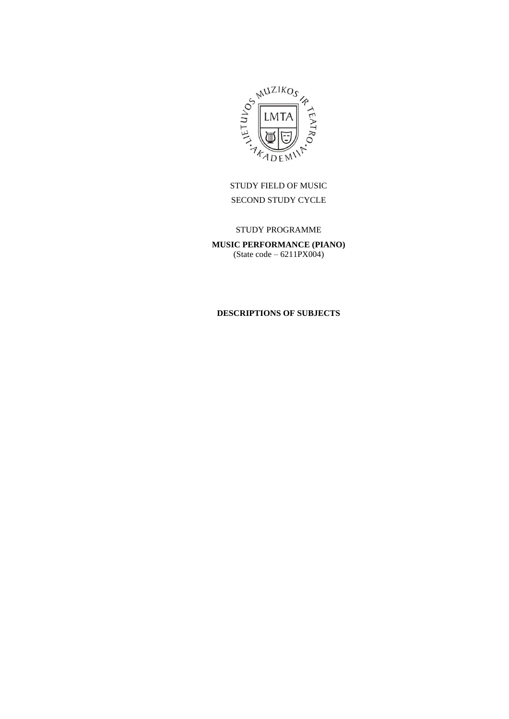

STUDY FIELD OF MUSIC SECOND STUDY CYCLE

STUDY PROGRAMME **MUSIC PERFORMANCE (PIANO)** (State code – 6211PX004)

# **DESCRIPTIONS OF SUBJECTS**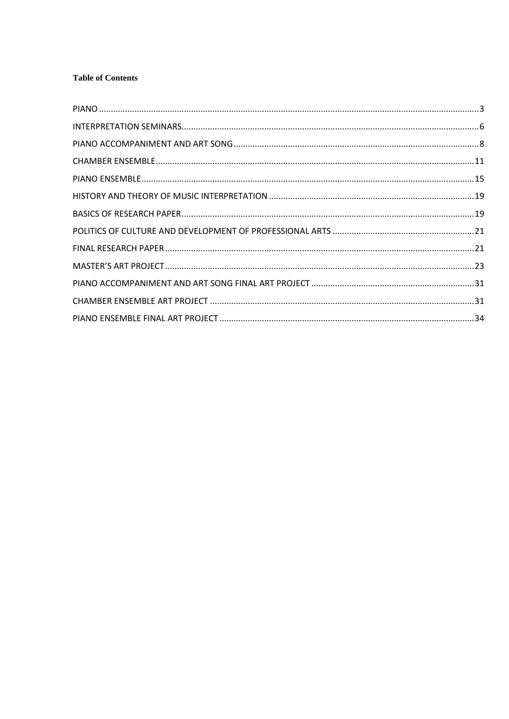# **Table of Contents**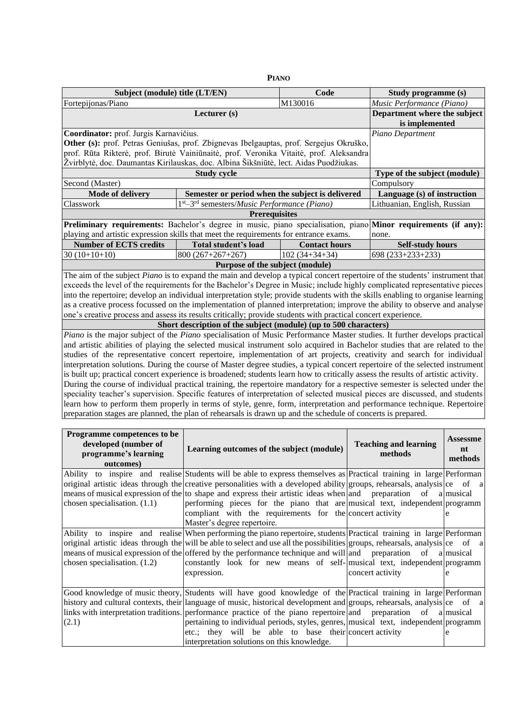<span id="page-2-0"></span>

| <b>PIANO</b>                                                                                                                                                                                                                                                      |                                                                  |                      |                                                                                                                                                                                                                                                       |  |  |  |
|-------------------------------------------------------------------------------------------------------------------------------------------------------------------------------------------------------------------------------------------------------------------|------------------------------------------------------------------|----------------------|-------------------------------------------------------------------------------------------------------------------------------------------------------------------------------------------------------------------------------------------------------|--|--|--|
| Subject (module) title (LT/EN)                                                                                                                                                                                                                                    |                                                                  | Code                 | Study programme (s)                                                                                                                                                                                                                                   |  |  |  |
| Fortepijonas/Piano                                                                                                                                                                                                                                                |                                                                  | M130016              | Music Performance (Piano)                                                                                                                                                                                                                             |  |  |  |
|                                                                                                                                                                                                                                                                   | Lecturer (s)                                                     |                      | Department where the subject                                                                                                                                                                                                                          |  |  |  |
|                                                                                                                                                                                                                                                                   |                                                                  |                      | is implemented                                                                                                                                                                                                                                        |  |  |  |
|                                                                                                                                                                                                                                                                   | Coordinator: prof. Jurgis Karnavičius.                           |                      |                                                                                                                                                                                                                                                       |  |  |  |
| Other (s): prof. Petras Geniušas, prof. Zbignevas Ibelgauptas, prof. Sergejus Okruško,                                                                                                                                                                            |                                                                  |                      |                                                                                                                                                                                                                                                       |  |  |  |
| prof. Rūta Rikterė, prof. Birutė Vainiūnaitė, prof. Veronika Vitaitė, prof. Aleksandra                                                                                                                                                                            |                                                                  |                      |                                                                                                                                                                                                                                                       |  |  |  |
| Žvirblytė, doc. Daumantas Kirilauskas, doc. Albina Šikšniūtė, lect. Aidas Puodžiukas.                                                                                                                                                                             |                                                                  |                      |                                                                                                                                                                                                                                                       |  |  |  |
|                                                                                                                                                                                                                                                                   | <b>Study cycle</b>                                               |                      | Type of the subject (module)                                                                                                                                                                                                                          |  |  |  |
| Second (Master)                                                                                                                                                                                                                                                   |                                                                  |                      | Compulsory                                                                                                                                                                                                                                            |  |  |  |
| <b>Mode of delivery</b>                                                                                                                                                                                                                                           | Semester or period when the subject is delivered                 |                      | Language (s) of instruction                                                                                                                                                                                                                           |  |  |  |
| Classwork                                                                                                                                                                                                                                                         | $1st - 3rd$ semesters/ <i>Music Performance</i> ( <i>Piano</i> ) |                      | Lithuanian, English, Russian                                                                                                                                                                                                                          |  |  |  |
|                                                                                                                                                                                                                                                                   | <b>Prerequisites</b>                                             |                      |                                                                                                                                                                                                                                                       |  |  |  |
|                                                                                                                                                                                                                                                                   |                                                                  |                      | Preliminary requirements: Bachelor's degree in music, piano specialisation, piano Minor requirements (if any):                                                                                                                                        |  |  |  |
| playing and artistic expression skills that meet the requirements for entrance exams.                                                                                                                                                                             |                                                                  |                      | none.                                                                                                                                                                                                                                                 |  |  |  |
| <b>Number of ECTS credits</b>                                                                                                                                                                                                                                     | <b>Total student's load</b>                                      | <b>Contact hours</b> | <b>Self-study hours</b>                                                                                                                                                                                                                               |  |  |  |
| $30(10+10+10)$                                                                                                                                                                                                                                                    | $800(267+267+267)$                                               | $102(34+34+34)$      | 698 (233+233+233)                                                                                                                                                                                                                                     |  |  |  |
|                                                                                                                                                                                                                                                                   | Purpose of the subject (module)                                  |                      |                                                                                                                                                                                                                                                       |  |  |  |
|                                                                                                                                                                                                                                                                   |                                                                  |                      | The aim of the subject Piano is to expand the main and develop a typical concert repertoire of the students' instrument that                                                                                                                          |  |  |  |
|                                                                                                                                                                                                                                                                   |                                                                  |                      | exceeds the level of the requirements for the Bachelor's Degree in Music; include highly complicated representative pieces                                                                                                                            |  |  |  |
|                                                                                                                                                                                                                                                                   |                                                                  |                      | into the repertoire; develop an individual interpretation style; provide students with the skills enabling to organise learning                                                                                                                       |  |  |  |
|                                                                                                                                                                                                                                                                   |                                                                  |                      | as a creative process focussed on the implementation of planned interpretation; improve the ability to observe and analyse                                                                                                                            |  |  |  |
| one's creative process and assess its results critically; provide students with practical concert experience.                                                                                                                                                     |                                                                  |                      |                                                                                                                                                                                                                                                       |  |  |  |
|                                                                                                                                                                                                                                                                   | Short description of the subject (module) (up to 500 characters) |                      |                                                                                                                                                                                                                                                       |  |  |  |
|                                                                                                                                                                                                                                                                   |                                                                  |                      | Piano is the major subject of the Piano specialisation of Music Performance Master studies. It further develops practical                                                                                                                             |  |  |  |
|                                                                                                                                                                                                                                                                   |                                                                  |                      | and artistic abilities of playing the selected musical instrument solo acquired in Bachelor studies that are related to the<br>studies of the representative concert repertoire, implementation of art projects, creativity and search for individual |  |  |  |
|                                                                                                                                                                                                                                                                   |                                                                  |                      | interpretation solutions. During the course of Master degree studies, a typical concert repertoire of the selected instrument                                                                                                                         |  |  |  |
|                                                                                                                                                                                                                                                                   |                                                                  |                      |                                                                                                                                                                                                                                                       |  |  |  |
| is built up; practical concert experience is broadened; students learn how to critically assess the results of artistic activity.<br>During the course of individual practical training, the repertoire mandatory for a respective semester is selected under the |                                                                  |                      |                                                                                                                                                                                                                                                       |  |  |  |
| speciality teacher's supervision. Specific features of interpretation of selected musical pieces are discussed, and students                                                                                                                                      |                                                                  |                      |                                                                                                                                                                                                                                                       |  |  |  |
| learn how to perform them properly in terms of style, genre, form, interpretation and performance technique. Repertoire                                                                                                                                           |                                                                  |                      |                                                                                                                                                                                                                                                       |  |  |  |
| preparation stages are planned, the plan of rehearsals is drawn up and the schedule of concerts is prepared.                                                                                                                                                      |                                                                  |                      |                                                                                                                                                                                                                                                       |  |  |  |
|                                                                                                                                                                                                                                                                   |                                                                  |                      |                                                                                                                                                                                                                                                       |  |  |  |
| Programme competences to be                                                                                                                                                                                                                                       |                                                                  |                      |                                                                                                                                                                                                                                                       |  |  |  |

| Programme competences to be<br>developed (number of<br>programme's learning<br>outcomes) | Learning outcomes of the subject (module)                                                                                     | <b>Teaching and learning</b><br>methods | <b>Assessme</b><br>nt<br>methods |
|------------------------------------------------------------------------------------------|-------------------------------------------------------------------------------------------------------------------------------|-----------------------------------------|----------------------------------|
|                                                                                          | Ability to inspire and realise Students will be able to express themselves as Practical training in large Performan           |                                         |                                  |
|                                                                                          | original artistic ideas through the creative personalities with a developed ability groups, rehearsals, analysis ce of a      |                                         |                                  |
|                                                                                          | means of musical expression of the to shape and express their artistic ideas when and preparation of a musical                |                                         |                                  |
| chosen specialisation. $(1.1)$                                                           | performing pieces for the piano that are musical text, independent programm                                                   |                                         |                                  |
|                                                                                          | compliant with the requirements for the concert activity                                                                      |                                         |                                  |
|                                                                                          | Master's degree repertoire.                                                                                                   |                                         |                                  |
|                                                                                          | Ability to inspire and realise When performing the piano repertoire, students Practical training in large Performan           |                                         |                                  |
|                                                                                          | original artistic ideas through the will be able to select and use all the possibilities groups, rehearsals, analysis ce of a |                                         |                                  |
|                                                                                          | means of musical expression of the offered by the performance technique and will and preparation of a musical                 |                                         |                                  |
| chosen specialisation. $(1.2)$                                                           | constantly look for new means of self- musical text, independent programm                                                     |                                         |                                  |
|                                                                                          | expression.                                                                                                                   | concert activity                        | e                                |
|                                                                                          |                                                                                                                               |                                         |                                  |
|                                                                                          | Good knowledge of music theory, Students will have good knowledge of the Practical training in large Performan                |                                         |                                  |
|                                                                                          | history and cultural contexts, their language of music, historical development and groups, rehearsals, analysis ce of a       |                                         |                                  |
|                                                                                          | links with interpretation traditions. performance practice of the piano repertoire and preparation of a musical               |                                         |                                  |
| (2.1)                                                                                    | pertaining to individual periods, styles, genres, musical text, independent programm                                          |                                         |                                  |
|                                                                                          | etc.; they will be able to base their concert activity                                                                        |                                         | e                                |
|                                                                                          | interpretation solutions on this knowledge.                                                                                   |                                         |                                  |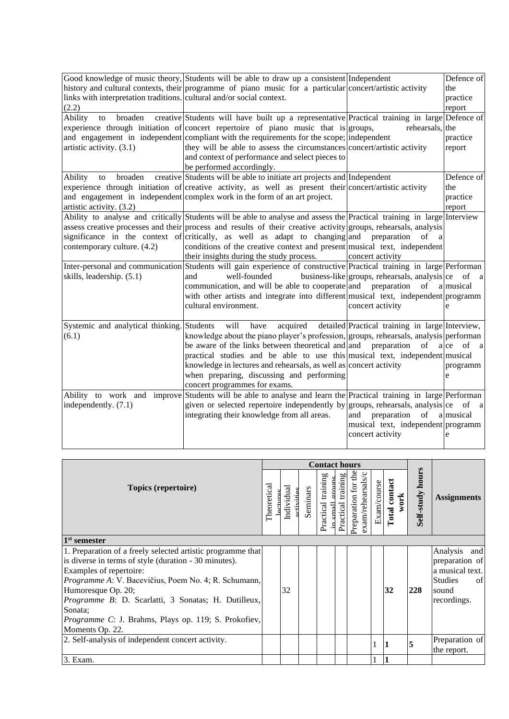| links with interpretation traditions. cultural and/or social context.<br>(2.2) | Good knowledge of music theory, Students will be able to draw up a consistent Independent<br>history and cultural contexts, their programme of piano music for a particular concert/artistic activity                                                                                                                                                                                                                                                                                                                                                                                                                                                                                                                                                              |                                                                                         | Defence of<br>the<br>practice<br>report |
|--------------------------------------------------------------------------------|--------------------------------------------------------------------------------------------------------------------------------------------------------------------------------------------------------------------------------------------------------------------------------------------------------------------------------------------------------------------------------------------------------------------------------------------------------------------------------------------------------------------------------------------------------------------------------------------------------------------------------------------------------------------------------------------------------------------------------------------------------------------|-----------------------------------------------------------------------------------------|-----------------------------------------|
| Ability<br>broaden<br>to<br>artistic activity. (3.1)                           | creative Students will have built up a representative Practical training in large Defence of<br>experience through initiation of concert repertoire of piano music that is groups,<br>and engagement in independent compliant with the requirements for the scope; independent<br>they will be able to assess the circumstances concert/artistic activity<br>and context of performance and select pieces to<br>be performed accordingly.                                                                                                                                                                                                                                                                                                                          | rehearsals, the                                                                         | practice<br>report                      |
| broaden<br>Ability<br>to<br>artistic activity. (3.2)                           | creative Students will be able to initiate art projects and Independent<br>experience through initiation of creative activity, as well as present their concert/artistic activity<br>and engagement in independent complex work in the form of an art project.                                                                                                                                                                                                                                                                                                                                                                                                                                                                                                     |                                                                                         | Defence of<br>the<br>practice<br>report |
| contemporary culture. (4.2)<br>skills, leadership. (5.1)                       | Ability to analyse and critically Students will be able to analyse and assess the Practical training in large Interview<br>assess creative processes and their process and results of their creative activity groups, rehearsals, analysis<br>significance in the context of critically, as well as adapt to changing and preparation<br>conditions of the creative context and present musical text, independent<br>their insights during the study process.<br>Inter-personal and communication Students will gain experience of constructive Practical training in large Performan<br>well-founded<br>and<br>communication, and will be able to cooperate and preparation<br>with other artists and integrate into different musical text, independent programm | of<br>a<br>concert activity<br>business-like groups, rehearsals, analysis ce of a<br>of | a musical                               |
| Systemic and analytical thinking. Students<br>(6.1)                            | cultural environment.<br>will<br>acquired<br>have<br>knowledge about the piano player's profession, groups, rehearsals, analysis performan                                                                                                                                                                                                                                                                                                                                                                                                                                                                                                                                                                                                                         | concert activity<br>detailed Practical training in large Interview,                     |                                         |
|                                                                                | be aware of the links between theoretical and and preparation<br>practical studies and be able to use this musical text, independent musical<br>knowledge in lectures and rehearsals, as well as concert activity<br>when preparing, discussing and performing<br>concert programmes for exams.                                                                                                                                                                                                                                                                                                                                                                                                                                                                    | of                                                                                      | a ce<br>of a<br>programm<br>e           |
| independently. (7.1)                                                           | Ability to work and improve Students will be able to analyse and learn the Practical training in large Performan<br>given or selected repertoire independently by groups, rehearsals, analysis ce of a<br>integrating their knowledge from all areas.                                                                                                                                                                                                                                                                                                                                                                                                                                                                                                              | preparation of<br>and<br>musical text, independent programm<br>concert activity         | a musical<br>e                          |

|                                                                                                                                                                                                                                                                                                                                                                                           |             | <b>Contact hours</b>   |          |                                       |                       |                                             |             |                              |                         |                                                                                                      |
|-------------------------------------------------------------------------------------------------------------------------------------------------------------------------------------------------------------------------------------------------------------------------------------------------------------------------------------------------------------------------------------------|-------------|------------------------|----------|---------------------------------------|-----------------------|---------------------------------------------|-------------|------------------------------|-------------------------|------------------------------------------------------------------------------------------------------|
| Topics (repertoire)                                                                                                                                                                                                                                                                                                                                                                       | Theoretical | Individual<br>rtivitie | Seminars | Practical training<br>$_{\rm rad}$ II | training<br>Practical | ਦ੍ਰ<br>exam/rehearsals/c<br>Preparation for | Exam/course | <b>Total contact</b><br>work | <b>Self-study hours</b> | <b>Assignments</b>                                                                                   |
| 1 <sup>st</sup> semester                                                                                                                                                                                                                                                                                                                                                                  |             |                        |          |                                       |                       |                                             |             |                              |                         |                                                                                                      |
| 1. Preparation of a freely selected artistic programme that<br>is diverse in terms of style (duration - 30 minutes).<br>Examples of repertoire:<br><i>Programme A: V. Bacevičius, Poem No. 4; R. Schumann,</i><br>Humoresque Op. 20;<br>Programme B: D. Scarlatti, 3 Sonatas; H. Dutilleux,<br>Sonata;<br><i>Programme C</i> : J. Brahms, Plays op. 119; S. Prokofiev,<br>Moments Op. 22. |             | 32                     |          |                                       |                       |                                             |             | 32                           | 228                     | Analysis<br>and<br>preparation of<br>a musical text.<br><b>Studies</b><br>of<br>sound<br>recordings. |
| 2. Self-analysis of independent concert activity.                                                                                                                                                                                                                                                                                                                                         |             |                        |          |                                       |                       |                                             |             | 1                            | 5                       | Preparation of<br>the report.                                                                        |
| 3. Exam.                                                                                                                                                                                                                                                                                                                                                                                  |             |                        |          |                                       |                       |                                             |             |                              |                         |                                                                                                      |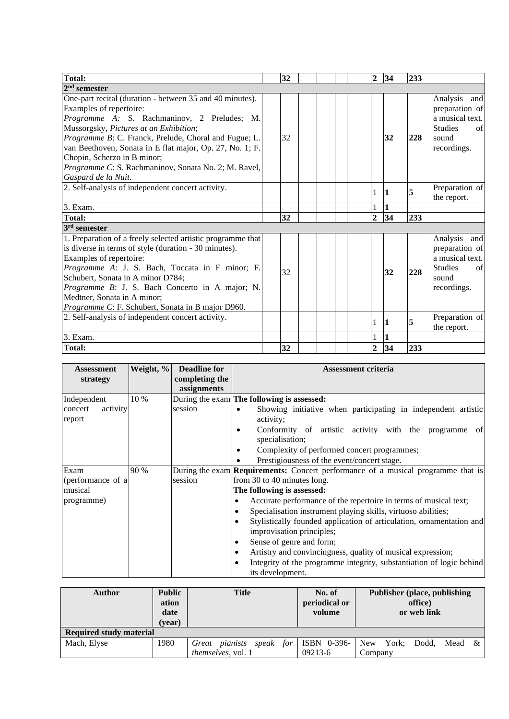| Total:                                                                                                                                                                                                                                                                                                                                                                                                          | 32 | $\overline{2}$ | 34 | 233 |                                                                                                      |
|-----------------------------------------------------------------------------------------------------------------------------------------------------------------------------------------------------------------------------------------------------------------------------------------------------------------------------------------------------------------------------------------------------------------|----|----------------|----|-----|------------------------------------------------------------------------------------------------------|
| $2^{\rm nd}$ semester                                                                                                                                                                                                                                                                                                                                                                                           |    |                |    |     |                                                                                                      |
| One-part recital (duration - between 35 and 40 minutes).<br>Examples of repertoire:<br>Programme A: S. Rachmaninov, 2 Preludes; M.<br>Mussorgsky, Pictures at an Exhibition;<br>Programme B: C. Franck, Prelude, Choral and Fugue; L.<br>van Beethoven, Sonata in E flat major, Op. 27, No. 1; F.<br>Chopin, Scherzo in B minor;<br>Programme C: S. Rachmaninov, Sonata No. 2; M. Ravel,<br>Gaspard de la Nuit. | 32 |                | 32 | 228 | Analysis<br>and<br>preparation of<br>a musical text.<br><b>Studies</b><br>of<br>sound<br>recordings. |
| 2. Self-analysis of independent concert activity.                                                                                                                                                                                                                                                                                                                                                               |    | 1              | 11 | 5   | Preparation of<br>the report.                                                                        |
| 3. Exam.                                                                                                                                                                                                                                                                                                                                                                                                        |    |                |    |     |                                                                                                      |
| Total:                                                                                                                                                                                                                                                                                                                                                                                                          | 32 | $\overline{2}$ | 34 | 233 |                                                                                                      |
| 3 <sup>rd</sup> semester                                                                                                                                                                                                                                                                                                                                                                                        |    |                |    |     |                                                                                                      |
| 1. Preparation of a freely selected artistic programme that<br>is diverse in terms of style (duration - 30 minutes).<br>Examples of repertoire:<br>Programme A: J. S. Bach, Toccata in F minor; F.<br>Schubert, Sonata in A minor D784;<br>Programme B: J. S. Bach Concerto in A major; N.<br>Medtner, Sonata in A minor;<br>Programme C: F. Schubert, Sonata in B major D960.                                  | 32 |                | 32 | 228 | Analysis<br>and<br>preparation of<br>a musical text.<br><b>Studies</b><br>of<br>sound<br>recordings. |
| 2. Self-analysis of independent concert activity.                                                                                                                                                                                                                                                                                                                                                               |    | 1              | 1  | 5   | Preparation of<br>the report.                                                                        |
| 3. Exam.                                                                                                                                                                                                                                                                                                                                                                                                        |    |                |    |     |                                                                                                      |
| Total:                                                                                                                                                                                                                                                                                                                                                                                                          | 32 | $\overline{2}$ | 34 | 233 |                                                                                                      |

| <b>Assessment</b><br>strategy                      | Weight, % | <b>Deadline for</b><br>completing the<br>assignments | <b>Assessment criteria</b>                                                                                                                                                                                                                                                                                                                                                                                                                                                                                                                                                                         |
|----------------------------------------------------|-----------|------------------------------------------------------|----------------------------------------------------------------------------------------------------------------------------------------------------------------------------------------------------------------------------------------------------------------------------------------------------------------------------------------------------------------------------------------------------------------------------------------------------------------------------------------------------------------------------------------------------------------------------------------------------|
| Independent<br>activity<br>concert<br>report       | 10 %      | session                                              | During the exam <b>The following is assessed:</b><br>Showing initiative when participating in independent artistic<br>$\bullet$<br>activity:<br>Conformity of artistic activity with the programme of<br>٠<br>specialisation;<br>Complexity of performed concert programmes;<br>٠<br>Prestigiousness of the event/concert stage.                                                                                                                                                                                                                                                                   |
| Exam<br>(performance of a<br>musical<br>programme) | 90 %      | session                                              | During the exam <b>Requirements:</b> Concert performance of a musical programme that is<br>from 30 to 40 minutes long.<br>The following is assessed:<br>Accurate performance of the repertoire in terms of musical text;<br>Specialisation instrument playing skills, virtuoso abilities;<br>Stylistically founded application of articulation, ornamentation and<br>improvisation principles;<br>Sense of genre and form;<br>$\bullet$<br>Artistry and convincingness, quality of musical expression;<br>Integrity of the programme integrity, substantiation of logic behind<br>its development. |

| <b>Author</b>                  | <b>Public</b><br>ation<br>date<br>(vear) | <b>Title</b>                      | No. of<br>periodical or<br>volume | Publisher (place, publishing<br>office)<br>or web link |
|--------------------------------|------------------------------------------|-----------------------------------|-----------------------------------|--------------------------------------------------------|
| <b>Required study material</b> |                                          |                                   |                                   |                                                        |
| Mach, Elyse                    | 1980                                     | for<br>pianists<br>speak<br>Great | ISBN 0-396-                       | <b>New</b><br>York:<br>Dodd.<br>Mead &                 |
|                                |                                          | themselves, vol. 1                | $09213-6$                         | Company                                                |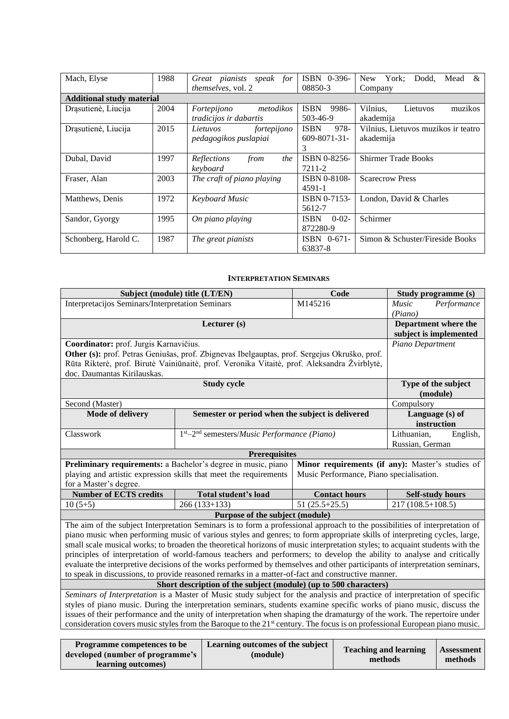| Mach, Elyse                      | 1988 | Great pianists speak for   | ISBN 0-396-               | York;<br>Dodd.<br>Mead<br>&<br>New  |
|----------------------------------|------|----------------------------|---------------------------|-------------------------------------|
|                                  |      | themselves, vol. 2         | 08850-3                   | Company                             |
| <b>Additional study material</b> |      |                            |                           |                                     |
| Drąsutienė, Liucija              | 2004 | metodikos<br>Fortepijono   | 9986-<br><b>ISBN</b>      | Lietuvos<br>Vilnius.<br>muzikos     |
|                                  |      | tradicijos ir dabartis     | 503-46-9                  | akademija                           |
| Drąsutienė, Liucija              | 2015 | fortepijono<br>Lietuvos    | 978-<br><b>ISBN</b>       | Vilnius, Lietuvos muzikos ir teatro |
|                                  |      | pedagogikos puslapiai      | $609 - 8071 - 31$         | akademija                           |
|                                  |      |                            | 3                         |                                     |
| Dubal, David                     | 1997 | Reflections<br>the<br>from | ISBN 0-8256-              | <b>Shirmer Trade Books</b>          |
|                                  |      | keyboard                   | 7211-2                    |                                     |
| Fraser, Alan                     | 2003 | The craft of piano playing | <b>ISBN 0-8108-</b>       | <b>Scarecrow Press</b>              |
|                                  |      |                            | 4591-1                    |                                     |
| Matthews, Denis                  | 1972 | <b>Keyboard Music</b>      | ISBN 0-7153-              | London, David & Charles             |
|                                  |      |                            | 5612-7                    |                                     |
| Sandor, Gyorgy                   | 1995 | On piano playing           | <b>ISBN</b><br>$0 - 02 -$ | Schirmer                            |
|                                  |      |                            | 872280-9                  |                                     |
| Schonberg, Harold C.             | 1987 | The great pianists         | $ISBN \quad 0-671-$       | Simon & Schuster/Fireside Books     |
|                                  |      |                            | 63837-8                   |                                     |

#### **INTERPRETATION SEMINARS**

<span id="page-5-0"></span>

|                                                                                                                                                                                                                                                                     | Subject (module) title (LT/EN)<br>Code                                                                                 |                                                                  |                 | Study programme (s)                      |                         |                     |
|---------------------------------------------------------------------------------------------------------------------------------------------------------------------------------------------------------------------------------------------------------------------|------------------------------------------------------------------------------------------------------------------------|------------------------------------------------------------------|-----------------|------------------------------------------|-------------------------|---------------------|
| Interpretacijos Seminars/Interpretation Seminars                                                                                                                                                                                                                    |                                                                                                                        |                                                                  | M145216         |                                          | Music                   | Performance         |
|                                                                                                                                                                                                                                                                     |                                                                                                                        |                                                                  |                 |                                          | (Piano)                 |                     |
|                                                                                                                                                                                                                                                                     |                                                                                                                        | Lecturer (s)                                                     |                 |                                          | Department where the    |                     |
|                                                                                                                                                                                                                                                                     |                                                                                                                        |                                                                  |                 |                                          | subject is implemented  |                     |
| Coordinator: prof. Jurgis Karnavičius.                                                                                                                                                                                                                              |                                                                                                                        |                                                                  |                 |                                          | Piano Department        |                     |
| Other (s): prof. Petras Geniušas, prof. Zbignevas Ibelgauptas, prof. Sergejus Okruško, prof.                                                                                                                                                                        |                                                                                                                        |                                                                  |                 |                                          |                         |                     |
| Rūta Rikterė, prof. Birutė Vainiūnaitė, prof. Veronika Vitaitė, prof. Aleksandra Žvirblytė,                                                                                                                                                                         |                                                                                                                        |                                                                  |                 |                                          |                         |                     |
| doc. Daumantas Kirilauskas.                                                                                                                                                                                                                                         |                                                                                                                        |                                                                  |                 |                                          |                         |                     |
| <b>Study cycle</b>                                                                                                                                                                                                                                                  |                                                                                                                        |                                                                  |                 |                                          | Type of the subject     |                     |
|                                                                                                                                                                                                                                                                     |                                                                                                                        |                                                                  |                 |                                          | (module)                |                     |
| Second (Master)                                                                                                                                                                                                                                                     |                                                                                                                        |                                                                  |                 |                                          | Compulsory              |                     |
| Mode of delivery                                                                                                                                                                                                                                                    |                                                                                                                        | Semester or period when the subject is delivered                 |                 |                                          | Language (s) of         |                     |
|                                                                                                                                                                                                                                                                     |                                                                                                                        |                                                                  |                 |                                          | instruction             |                     |
| Classwork                                                                                                                                                                                                                                                           |                                                                                                                        | 1st-2 <sup>nd</sup> semesters/ <i>Music Performance</i> (Piano)  |                 |                                          | Lithuanian,             | English,            |
|                                                                                                                                                                                                                                                                     |                                                                                                                        |                                                                  |                 |                                          | Russian, German         |                     |
|                                                                                                                                                                                                                                                                     |                                                                                                                        | <b>Prerequisites</b>                                             |                 |                                          |                         |                     |
| Preliminary requirements: a Bachelor's degree in music, piano<br>Minor requirements (if any): Master's studies of                                                                                                                                                   |                                                                                                                        |                                                                  |                 |                                          |                         |                     |
| playing and artistic expression skills that meet the requirements                                                                                                                                                                                                   |                                                                                                                        |                                                                  |                 | Music Performance, Piano specialisation. |                         |                     |
| for a Master's degree.                                                                                                                                                                                                                                              |                                                                                                                        |                                                                  |                 |                                          |                         |                     |
| <b>Number of ECTS credits</b>                                                                                                                                                                                                                                       |                                                                                                                        | Total student's load                                             |                 | <b>Contact hours</b>                     | <b>Self-study hours</b> |                     |
| $10(5+5)$                                                                                                                                                                                                                                                           |                                                                                                                        | $266(133+133)$                                                   | $51(25.5+25.5)$ |                                          | $217(108.5+108.5)$      |                     |
|                                                                                                                                                                                                                                                                     |                                                                                                                        | Purpose of the subject (module)                                  |                 |                                          |                         |                     |
| The aim of the subject Interpretation Seminars is to form a professional approach to the possibilities of interpretation of                                                                                                                                         |                                                                                                                        |                                                                  |                 |                                          |                         |                     |
| piano music when performing music of various styles and genres; to form appropriate skills of interpreting cycles, large,                                                                                                                                           |                                                                                                                        |                                                                  |                 |                                          |                         |                     |
| small scale musical works; to broaden the theoretical horizons of music interpretation styles; to acquaint students with the                                                                                                                                        |                                                                                                                        |                                                                  |                 |                                          |                         |                     |
| principles of interpretation of world-famous teachers and performers; to develop the ability to analyse and critically                                                                                                                                              |                                                                                                                        |                                                                  |                 |                                          |                         |                     |
| evaluate the interpretive decisions of the works performed by themselves and other participants of interpretation seminars,                                                                                                                                         |                                                                                                                        |                                                                  |                 |                                          |                         |                     |
| to speak in discussions, to provide reasoned remarks in a matter-of-fact and constructive manner.                                                                                                                                                                   |                                                                                                                        |                                                                  |                 |                                          |                         |                     |
|                                                                                                                                                                                                                                                                     |                                                                                                                        | Short description of the subject (module) (up to 500 characters) |                 |                                          |                         |                     |
| Seminars of Interpretation is a Master of Music study subject for the analysis and practice of interpretation of specific                                                                                                                                           |                                                                                                                        |                                                                  |                 |                                          |                         |                     |
|                                                                                                                                                                                                                                                                     | styles of piano music. During the interpretation seminars, students examine specific works of piano music, discuss the |                                                                  |                 |                                          |                         |                     |
| issues of their performance and the unity of interpretation when shaping the dramaturgy of the work. The repertoire under<br>consideration covers music styles from the Baroque to the 21 <sup>st</sup> century. The focus is on professional European piano music. |                                                                                                                        |                                                                  |                 |                                          |                         |                     |
|                                                                                                                                                                                                                                                                     |                                                                                                                        |                                                                  |                 |                                          |                         |                     |
|                                                                                                                                                                                                                                                                     |                                                                                                                        |                                                                  |                 |                                          |                         |                     |
| Programme competences to be                                                                                                                                                                                                                                         |                                                                                                                        | Learning outcomes of the subject                                 |                 |                                          | Topohing and loorning   | $\Delta$ concernant |

| I Togi allille competences to be | Learning outcomes of the subject | <b>Teaching and learning</b> | <b>Assessment</b> |
|----------------------------------|----------------------------------|------------------------------|-------------------|
| developed (number of programme's | (module)                         |                              |                   |
|                                  |                                  | methods                      | methods           |
| learning outcomes)               |                                  |                              |                   |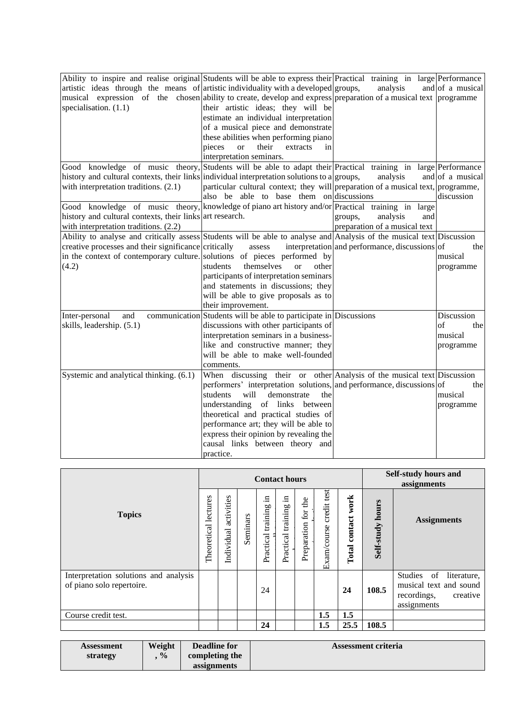| Ability to inspire and realise original Students will be able to express their Practical training in large Performance |                                                                                  |                                                |                  |
|------------------------------------------------------------------------------------------------------------------------|----------------------------------------------------------------------------------|------------------------------------------------|------------------|
| artistic ideas through the means of artistic individuality with a developed groups,                                    |                                                                                  | analysis                                       | and of a musical |
| musical expression of the chosen ability to create, develop and express preparation of a musical text programme        |                                                                                  |                                                |                  |
| specialisation. (1.1)                                                                                                  | their artistic ideas; they will be                                               |                                                |                  |
|                                                                                                                        | estimate an individual interpretation                                            |                                                |                  |
|                                                                                                                        | of a musical piece and demonstrate                                               |                                                |                  |
|                                                                                                                        | these abilities when performing piano                                            |                                                |                  |
|                                                                                                                        | their<br>pieces<br>extracts<br><sub>or</sub><br>in                               |                                                |                  |
|                                                                                                                        | interpretation seminars.                                                         |                                                |                  |
| Good knowledge of music theory, Students will be able to adapt their Practical training in large Performance           |                                                                                  |                                                |                  |
| history and cultural contexts, their links individual interpretation solutions to a groups,                            |                                                                                  | analysis                                       | and of a musical |
| with interpretation traditions. (2.1)                                                                                  | particular cultural context; they will preparation of a musical text, programme, |                                                |                  |
|                                                                                                                        | also be able to base them on discussions                                         |                                                | discussion       |
| Good knowledge of music theory, knowledge of piano art history and/or Practical training in large                      |                                                                                  |                                                |                  |
| history and cultural contexts, their links art research.                                                               |                                                                                  |                                                |                  |
|                                                                                                                        |                                                                                  | analysis<br>groups,<br>and                     |                  |
| with interpretation traditions. (2.2)                                                                                  |                                                                                  | preparation of a musical text                  |                  |
| Ability to analyse and critically assess Students will be able to analyse and Analysis of the musical text Discussion  |                                                                                  |                                                |                  |
| creative processes and their significance critically                                                                   | assess                                                                           | interpretation and performance, discussions of | the              |
| in the context of contemporary culture. solutions of pieces performed by                                               |                                                                                  |                                                | musical          |
| (4.2)                                                                                                                  | themselves<br>students<br>other<br>$\alpha$                                      |                                                | programme        |
|                                                                                                                        | participants of interpretation seminars                                          |                                                |                  |
|                                                                                                                        | and statements in discussions; they                                              |                                                |                  |
|                                                                                                                        | will be able to give proposals as to                                             |                                                |                  |
|                                                                                                                        | their improvement.                                                               |                                                |                  |
| and<br>Inter-personal                                                                                                  | communication Students will be able to participate in Discussions                |                                                | Discussion       |
| skills, leadership. (5.1)                                                                                              | discussions with other participants of                                           |                                                | of<br>the        |
|                                                                                                                        | interpretation seminars in a business-                                           |                                                | musical          |
|                                                                                                                        | like and constructive manner; they                                               |                                                | programme        |
|                                                                                                                        | will be able to make well-founded                                                |                                                |                  |
|                                                                                                                        | comments.                                                                        |                                                |                  |
| Systemic and analytical thinking. (6.1)                                                                                | When discussing their or other Analysis of the musical text Discussion           |                                                |                  |
|                                                                                                                        | performers' interpretation solutions, and performance, discussions of            |                                                | the              |
|                                                                                                                        | students<br>will<br>demonstrate<br>the                                           |                                                | musical          |
|                                                                                                                        | understanding of links<br>between                                                |                                                | programme        |
|                                                                                                                        | theoretical and practical studies of                                             |                                                |                  |
|                                                                                                                        | performance art; they will be able to                                            |                                                |                  |
|                                                                                                                        | express their opinion by revealing the                                           |                                                |                  |
|                                                                                                                        | causal links between theory and                                                  |                                                |                  |
|                                                                                                                        |                                                                                  |                                                |                  |
|                                                                                                                        | practice.                                                                        |                                                |                  |

|                                                                    |                      | <b>Contact hours</b>     |          |                          |                             |                                            |                               |                          | <b>Self-study hours and</b><br>assignments |                                                                                                  |  |
|--------------------------------------------------------------------|----------------------|--------------------------|----------|--------------------------|-----------------------------|--------------------------------------------|-------------------------------|--------------------------|--------------------------------------------|--------------------------------------------------------------------------------------------------|--|
| <b>Topics</b>                                                      | Theoretical lectures | activities<br>Individual | Seminars | Ξ.<br>Practical training | .크<br>training<br>Practical | the<br>$\operatorname{for}$<br>Preparation | test<br>credit<br>Exam/course | work<br>contact<br>Total | Self-study hours                           | <b>Assignments</b>                                                                               |  |
| Interpretation solutions and analysis<br>of piano solo repertoire. |                      |                          |          | 24                       |                             |                                            |                               | 24                       | 108.5                                      | Studies<br>of<br>literature,<br>musical text and sound<br>recordings,<br>creative<br>assignments |  |
| Course credit test.                                                |                      |                          |          |                          |                             |                                            | 1.5                           | 1.5                      |                                            |                                                                                                  |  |
|                                                                    |                      |                          |          | 24                       |                             |                                            | 1.5                           | 25.5                     | 108.5                                      |                                                                                                  |  |

| Assessment | Weight        | <b>Deadline for</b> | Assessment criteria |
|------------|---------------|---------------------|---------------------|
| strategy   | $\frac{0}{0}$ | completing the      |                     |
|            |               | assignments         |                     |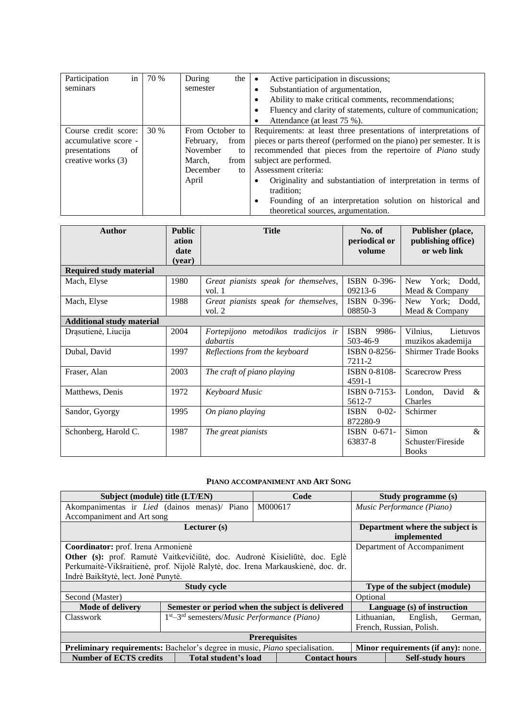| Participation<br>in  | 70 % | During<br>the 1   | Active participation in discussions;                                 |  |  |  |
|----------------------|------|-------------------|----------------------------------------------------------------------|--|--|--|
| seminars             |      | semester          | Substantiation of argumentation,                                     |  |  |  |
|                      |      |                   | Ability to make critical comments, recommendations;                  |  |  |  |
|                      |      |                   | Fluency and clarity of statements, culture of communication;<br>٠    |  |  |  |
|                      |      |                   | Attendance (at least 75 %).<br>٠                                     |  |  |  |
| Course credit score: | 30 % | From October to   | Requirements: at least three presentations of interpretations of     |  |  |  |
| accumulative score - |      | February,<br>from | pieces or parts thereof (performed on the piano) per semester. It is |  |  |  |
| presentations<br>of  |      | November<br>to    | recommended that pieces from the repertoire of <i>Piano</i> study    |  |  |  |
| creative works (3)   |      | March,<br>from    | subject are performed.                                               |  |  |  |
|                      |      | December<br>to    | Assessment criteria:                                                 |  |  |  |
|                      |      | April             | Originality and substantiation of interpretation in terms of<br>٠    |  |  |  |
|                      |      |                   | tradition;                                                           |  |  |  |
|                      |      |                   | Founding of an interpretation solution on historical and<br>٠        |  |  |  |
|                      |      |                   | theoretical sources, argumentation.                                  |  |  |  |

| <b>Author</b>                    | <b>Public</b><br>ation<br>date<br>(vear) | <b>Title</b>                                     | No. of<br>periodical or<br>volume     | Publisher (place,<br>publishing office)<br>or web link |  |
|----------------------------------|------------------------------------------|--------------------------------------------------|---------------------------------------|--------------------------------------------------------|--|
| <b>Required study material</b>   |                                          |                                                  |                                       |                                                        |  |
| Mach, Elyse                      | 1980                                     | Great pianists speak for themselves,<br>vol. $1$ | ISBN 0-396-<br>09213-6                | York; Dodd,<br><b>New</b><br>Mead & Company            |  |
| Mach, Elyse                      | 1988                                     | Great pianists speak for themselves,<br>vol. $2$ | ISBN 0-396-<br>08850-3                | York; Dodd,<br>New<br>Mead & Company                   |  |
| <b>Additional study material</b> |                                          |                                                  |                                       |                                                        |  |
| Drąsutienė, Liucija              | 2004                                     | Fortepijono metodikos tradicijos ir<br>dabartis  | <b>ISBN</b><br>9986-<br>503-46-9      | Vilnius.<br>Lietuvos<br>muzikos akademija              |  |
| Dubal, David                     | 1997                                     | Reflections from the keyboard                    | ISBN 0-8256-<br>7211-2                | <b>Shirmer Trade Books</b>                             |  |
| Fraser, Alan                     | 2003                                     | The craft of piano playing                       | ISBN 0-8108-<br>$4591 - 1$            | <b>Scarecrow Press</b>                                 |  |
| Matthews, Denis                  | 1972                                     | Keyboard Music                                   | ISBN 0-7153-<br>5612-7                | David<br>London.<br>$\&$<br>Charles                    |  |
| Sandor, Gyorgy                   | 1995                                     | On piano playing                                 | <b>ISBN</b><br>$0 - 02 -$<br>872280-9 | Schirmer                                               |  |
| Schonberg, Harold C.             | 1987                                     | The great pianists                               | $ISBN \quad 0-671-$<br>63837-8        | Simon<br>&<br>Schuster/Fireside<br><b>Books</b>        |  |

### **PIANO ACCOMPANIMENT AND ART SONG**

<span id="page-7-0"></span>

| Subject (module) title (LT/EN)                                                  |                                                         | Code                                             |                             | Study programme (s)         |  |
|---------------------------------------------------------------------------------|---------------------------------------------------------|--------------------------------------------------|-----------------------------|-----------------------------|--|
| Akompanimentas ir <i>Lied</i> (dainos menas)/ Piano                             |                                                         | M000617                                          | Music Performance (Piano)   |                             |  |
| Accompaniment and Art song                                                      |                                                         |                                                  |                             |                             |  |
|                                                                                 | Department where the subject is<br>implemented          |                                                  |                             |                             |  |
| Coordinator: prof. Irena Armonienė                                              |                                                         |                                                  |                             | Department of Accompaniment |  |
| Other (s): prof. Ramutė Vaitkevičiūtė, doc. Audronė Kisieliūtė, doc. Eglė       |                                                         |                                                  |                             |                             |  |
| Perkumaitė-Vikšraitienė, prof. Nijolė Ralytė, doc. Irena Markauskienė, doc. dr. |                                                         |                                                  |                             |                             |  |
| Indrė Baikštytė, lect. Jonė Punytė.                                             |                                                         |                                                  |                             |                             |  |
|                                                                                 | Type of the subject (module)                            |                                                  |                             |                             |  |
| Second (Master)                                                                 |                                                         |                                                  | Optional                    |                             |  |
| <b>Mode of delivery</b>                                                         |                                                         | Semester or period when the subject is delivered | Language (s) of instruction |                             |  |
| Classwork                                                                       | $1st - 3rd$ semesters/ <i>Music Performance (Piano)</i> |                                                  | Lithuanian,                 | English,<br>German,         |  |
|                                                                                 |                                                         | French, Russian, Polish.                         |                             |                             |  |
|                                                                                 |                                                         |                                                  |                             |                             |  |
| Preliminary requirements: Bachelor's degree in music, Piano specialisation.     |                                                         | Minor requirements (if any): none.               |                             |                             |  |
| <b>Number of ECTS credits</b>                                                   | Total student's load<br><b>Contact hours</b>            |                                                  | <b>Self-study hours</b>     |                             |  |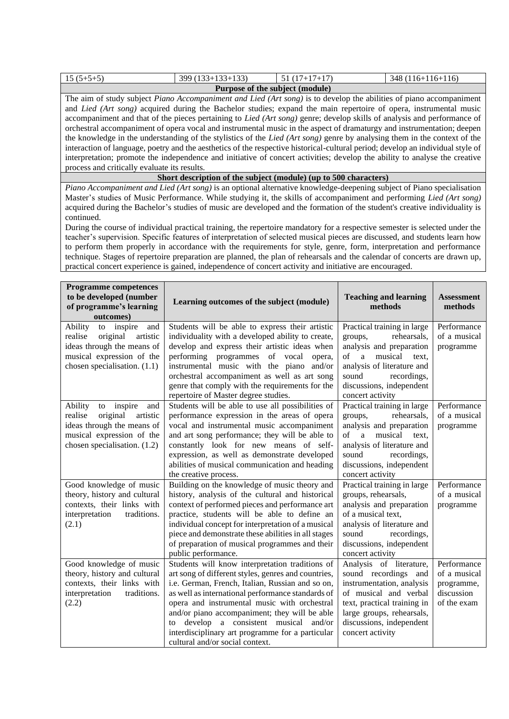|             |                    | Purpose of the subject (module) |                    |
|-------------|--------------------|---------------------------------|--------------------|
| $15(5+5+5)$ | $399(133+133+133)$ | $51(17+17+17)$                  | $348(116+116+116)$ |

The aim of study subject *Piano Accompaniment and Lied (Art song)* is to develop the abilities of piano accompaniment and *Lied (Art song)* acquired during the Bachelor studies; expand the main repertoire of opera, instrumental music accompaniment and that of the pieces pertaining to *Lied (Art song)* genre; develop skills of analysis and performance of orchestral accompaniment of opera vocal and instrumental music in the aspect of dramaturgy and instrumentation; deepen the knowledge in the understanding of the stylistics of the *Lied (Art song)* genre by analysing them in the context of the interaction of language, poetry and the aesthetics of the respective historical-cultural period; develop an individual style of interpretation; promote the independence and initiative of concert activities; develop the ability to analyse the creative process and critically evaluate its results.

**Short description of the subject (module) (up to 500 characters)**

*Piano Accompaniment and Lied (Art song)* is an optional alternative knowledge-deepening subject of Piano specialisation Master's studies of Music Performance. While studying it, the skills of accompaniment and performing *Lied (Art song)* acquired during the Bachelor's studies of music are developed and the formation of the student's creative individuality is continued.

During the course of individual practical training, the repertoire mandatory for a respective semester is selected under the teacher's supervision. Specific features of interpretation of selected musical pieces are discussed, and students learn how to perform them properly in accordance with the requirements for style, genre, form, interpretation and performance technique. Stages of repertoire preparation are planned, the plan of rehearsals and the calendar of concerts are drawn up, practical concert experience is gained, independence of concert activity and initiative are encouraged.

| <b>Programme competences</b><br>to be developed (number<br>of programme's learning<br>outcomes)                                                               | Learning outcomes of the subject (module)                                                                                                                                                                                                                                                                                                                                                                                                         | <b>Teaching and learning</b><br>methods                                                                                                                                                                                | <b>Assessment</b><br>methods                                           |
|---------------------------------------------------------------------------------------------------------------------------------------------------------------|---------------------------------------------------------------------------------------------------------------------------------------------------------------------------------------------------------------------------------------------------------------------------------------------------------------------------------------------------------------------------------------------------------------------------------------------------|------------------------------------------------------------------------------------------------------------------------------------------------------------------------------------------------------------------------|------------------------------------------------------------------------|
| Ability<br>inspire<br>to<br>and<br>realise<br>original<br>artistic<br>ideas through the means of<br>musical expression of the<br>chosen specialisation. (1.1) | Students will be able to express their artistic<br>individuality with a developed ability to create,<br>develop and express their artistic ideas when<br>performing programmes of vocal<br>opera,<br>instrumental music with the piano and/or<br>orchestral accompaniment as well as art song<br>genre that comply with the requirements for the<br>repertoire of Master degree studies.                                                          | Practical training in large<br>rehearsals,<br>groups,<br>analysis and preparation<br>musical<br>text,<br>a<br>of<br>analysis of literature and<br>sound<br>recordings,<br>discussions, independent<br>concert activity | Performance<br>of a musical<br>programme                               |
| Ability<br>inspire<br>to<br>and<br>artistic<br>realise<br>original<br>ideas through the means of<br>musical expression of the<br>chosen specialisation. (1.2) | Students will be able to use all possibilities of<br>performance expression in the areas of opera<br>vocal and instrumental music accompaniment<br>and art song performance; they will be able to<br>constantly look for new means of self-<br>expression, as well as demonstrate developed<br>abilities of musical communication and heading<br>the creative process.                                                                            | Practical training in large<br>rehearsals,<br>groups,<br>analysis and preparation<br>musical<br>of<br>a<br>text,<br>analysis of literature and<br>sound<br>recordings,<br>discussions, independent<br>concert activity | Performance<br>of a musical<br>programme                               |
| Good knowledge of music<br>theory, history and cultural<br>contexts, their links with<br>interpretation<br>traditions.<br>(2.1)                               | Building on the knowledge of music theory and<br>history, analysis of the cultural and historical<br>context of performed pieces and performance art<br>practice, students will be able to define an<br>individual concept for interpretation of a musical<br>piece and demonstrate these abilities in all stages<br>of preparation of musical programmes and their<br>public performance.                                                        | Practical training in large<br>groups, rehearsals,<br>analysis and preparation<br>of a musical text.<br>analysis of literature and<br>recordings,<br>sound<br>discussions, independent<br>concert activity             | Performance<br>of a musical<br>programme                               |
| Good knowledge of music<br>theory, history and cultural<br>contexts, their links with<br>traditions.<br>interpretation<br>(2.2)                               | Students will know interpretation traditions of<br>art song of different styles, genres and countries,<br>i.e. German, French, Italian, Russian and so on,<br>as well as international performance standards of<br>opera and instrumental music with orchestral<br>and/or piano accompaniment; they will be able<br>to develop a consistent musical and/or<br>interdisciplinary art programme for a particular<br>cultural and/or social context. | Analysis of literature,<br>sound recordings and<br>instrumentation, analysis<br>of musical and verbal<br>text, practical training in<br>large groups, rehearsals,<br>discussions, independent<br>concert activity      | Performance<br>of a musical<br>programme,<br>discussion<br>of the exam |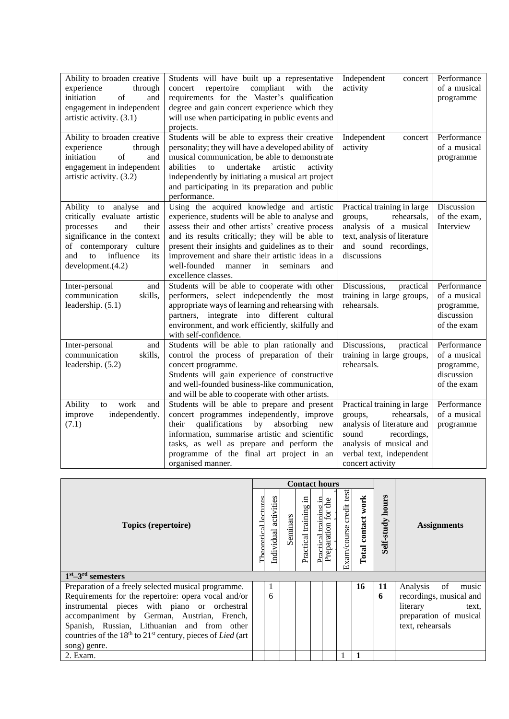| Ability to broaden creative<br>experience<br>through<br>initiation<br>of<br>and<br>engagement in independent<br>artistic activity. (3.1)                                                               | Students will have built up a representative<br>repertoire<br>compliant<br>with<br>concert<br>the<br>requirements for the Master's qualification<br>degree and gain concert experience which they<br>will use when participating in public events and<br>projects.                                                                                                                                          | Independent<br>concert<br>activity                                                                                                                                                     | Performance<br>of a musical<br>programme                               |
|--------------------------------------------------------------------------------------------------------------------------------------------------------------------------------------------------------|-------------------------------------------------------------------------------------------------------------------------------------------------------------------------------------------------------------------------------------------------------------------------------------------------------------------------------------------------------------------------------------------------------------|----------------------------------------------------------------------------------------------------------------------------------------------------------------------------------------|------------------------------------------------------------------------|
| Ability to broaden creative<br>experience<br>through<br>of<br>initiation<br>and<br>engagement in independent<br>artistic activity. (3.2)                                                               | Students will be able to express their creative<br>personality; they will have a developed ability of<br>musical communication, be able to demonstrate<br>abilities<br>undertake<br>artistic<br>activity<br>$\mathbf{t}$<br>independently by initiating a musical art project<br>and participating in its preparation and public<br>performance.                                                            | Independent<br>concert<br>activity                                                                                                                                                     | Performance<br>of a musical<br>programme                               |
| Ability to analyse<br>and<br>critically evaluate artistic<br>processes<br>and<br>their<br>significance in the context<br>of contemporary culture<br>influence<br>and<br>to<br>its<br>development.(4.2) | Using the acquired knowledge and artistic<br>experience, students will be able to analyse and<br>assess their and other artists' creative process<br>and its results critically; they will be able to<br>present their insights and guidelines as to their<br>improvement and share their artistic ideas in a<br>well-founded<br>manner<br>$\overline{\text{in}}$<br>seminars<br>and<br>excellence classes. | Practical training in large<br>rehearsals.<br>groups,<br>analysis of a musical<br>text, analysis of literature<br>and sound recordings,<br>discussions                                 | Discussion<br>of the exam.<br>Interview                                |
| Inter-personal<br>and<br>communication<br>skills,<br>leadership. (5.1)                                                                                                                                 | Students will be able to cooperate with other<br>performers, select independently the most<br>appropriate ways of learning and rehearsing with<br>partners, integrate into different cultural<br>environment, and work efficiently, skilfully and<br>with self-confidence.                                                                                                                                  | Discussions,<br>practical<br>training in large groups,<br>rehearsals.                                                                                                                  | Performance<br>of a musical<br>programme,<br>discussion<br>of the exam |
| Inter-personal<br>and<br>communication<br>skills,<br>leadership. (5.2)                                                                                                                                 | Students will be able to plan rationally and<br>control the process of preparation of their<br>concert programme.<br>Students will gain experience of constructive<br>and well-founded business-like communication,<br>and will be able to cooperate with other artists.                                                                                                                                    | Discussions,<br>practical<br>training in large groups,<br>rehearsals.                                                                                                                  | Performance<br>of a musical<br>programme,<br>discussion<br>of the exam |
| work<br>Ability<br>and<br>to<br>improve<br>independently.<br>(7.1)                                                                                                                                     | Students will be able to prepare and present<br>concert programmes independently, improve<br>qualifications<br>absorbing<br>their<br>by<br>new<br>information, summarise artistic and scientific<br>tasks, as well as prepare and perform the<br>programme of the final art project in an<br>organised manner.                                                                                              | Practical training in large<br>groups,<br>rehearsals,<br>analysis of literature and<br>sound<br>recordings,<br>analysis of musical and<br>verbal text, independent<br>concert activity | Performance<br>of a musical<br>programme                               |

|                                                                                            |  |    |          | <b>Contact hours</b>  |                    |                     |                         |                       |                     |                                            |
|--------------------------------------------------------------------------------------------|--|----|----------|-----------------------|--------------------|---------------------|-------------------------|-----------------------|---------------------|--------------------------------------------|
| Topics (repertoire)                                                                        |  |    | Seminars | Practical training in | Practical training | Preparation for the | Exam/course credit test | work<br>Total contact | hours<br>Self-study | <b>Assignments</b>                         |
| $1st - 3rd$ semesters                                                                      |  |    |          |                       |                    |                     |                         |                       |                     |                                            |
| Preparation of a freely selected musical programme.                                        |  | -1 |          |                       |                    |                     |                         | 16                    | 11                  | of<br>Analysis<br>music                    |
| Requirements for the repertoire: opera vocal and/or                                        |  | 6  |          |                       |                    |                     |                         |                       | 6                   | recordings, musical and                    |
| instrumental pieces with piano or orchestral<br>accompaniment by German, Austrian, French, |  |    |          |                       |                    |                     |                         |                       |                     | literary<br>text.                          |
| Spanish, Russian, Lithuanian and from other                                                |  |    |          |                       |                    |                     |                         |                       |                     | preparation of musical<br>text, rehearsals |
| countries of the $18th$ to $21st$ century, pieces of Lied (art                             |  |    |          |                       |                    |                     |                         |                       |                     |                                            |
| song) genre.                                                                               |  |    |          |                       |                    |                     |                         |                       |                     |                                            |
| 2. Exam.                                                                                   |  |    |          |                       |                    |                     |                         |                       |                     |                                            |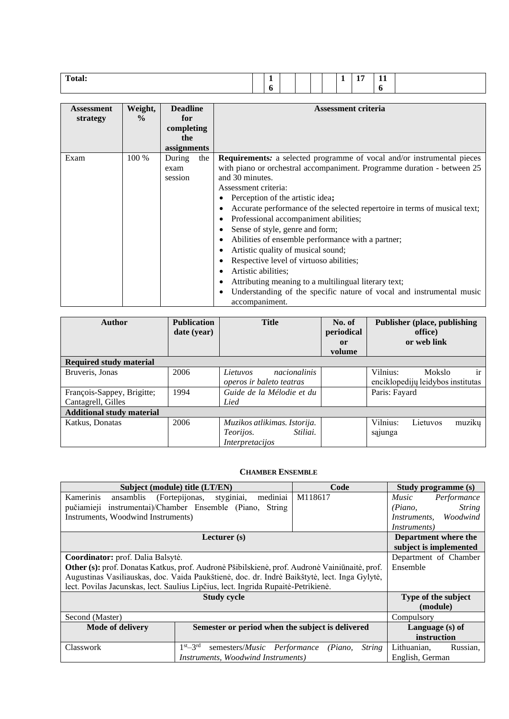| Assessment | Weight,       | <b>Deadline</b> | <b>Assessment criteria</b>                                                                          |
|------------|---------------|-----------------|-----------------------------------------------------------------------------------------------------|
| strategy   | $\frac{0}{0}$ | for             |                                                                                                     |
|            |               | completing      |                                                                                                     |
|            |               | the             |                                                                                                     |
|            |               | assignments     |                                                                                                     |
| Exam       | 100 %         | During<br>the   | <b>Requirements:</b> a selected programme of vocal and/or instrumental pieces                       |
|            |               | exam            | with piano or orchestral accompaniment. Programme duration - between 25                             |
|            |               | session         | and 30 minutes.                                                                                     |
|            |               |                 | Assessment criteria:                                                                                |
|            |               |                 | Perception of the artistic idea;                                                                    |
|            |               |                 | Accurate performance of the selected repertoire in terms of musical text;<br>٠                      |
|            |               |                 | Professional accompaniment abilities;<br>٠                                                          |
|            |               |                 | Sense of style, genre and form;<br>٠                                                                |
|            |               |                 | Abilities of ensemble performance with a partner;<br>٠                                              |
|            |               |                 | Artistic quality of musical sound;<br>٠                                                             |
|            |               |                 | Respective level of virtuoso abilities;<br>٠                                                        |
|            |               |                 | Artistic abilities;                                                                                 |
|            |               |                 | Attributing meaning to a multilingual literary text;                                                |
|            |               |                 | Understanding of the specific nature of vocal and instrumental music<br>$\bullet$<br>accompaniment. |

| <b>Author</b>                                    | <b>Publication</b><br>date (year) | <b>Title</b>                                                                    | No. of<br>periodical<br>or<br>volume | <b>Publisher (place, publishing)</b><br>office)<br>or web link                  |
|--------------------------------------------------|-----------------------------------|---------------------------------------------------------------------------------|--------------------------------------|---------------------------------------------------------------------------------|
| <b>Required study material</b>                   |                                   |                                                                                 |                                      |                                                                                 |
| Bruveris, Jonas                                  | 2006                              | nacionalinis<br>Lietuvos<br>operos ir baleto teatras                            |                                      | Vilnius:<br><b>Mokslo</b><br><sub>ir</sub><br>enciklopedijų leidybos institutas |
| François-Sappey, Brigitte;<br>Cantagrell, Gilles | 1994                              | Guide de la Mélodie et du<br>Lied                                               |                                      | Paris: Fayard                                                                   |
| <b>Additional study material</b>                 |                                   |                                                                                 |                                      |                                                                                 |
| Katkus, Donatas                                  | 2006                              | Muzikos atlikimas. Istorija.<br>Stiliai.<br><i>Teorijos.</i><br>Interpretacijos |                                      | Vilnius:<br>muzikų<br>Lietuvos<br>sajunga                                       |

#### **CHAMBER ENSEMBLE**

<span id="page-10-0"></span>

|                                    | Subject (module) title (LT/EN)                                                                | Code                     | <b>Study programme (s)</b>  |  |  |
|------------------------------------|-----------------------------------------------------------------------------------------------|--------------------------|-----------------------------|--|--|
| Kamerinis                          | ansamblis (Fortepijonas, styginiai, mediniai                                                  | M118617                  | <i>Music</i><br>Performance |  |  |
|                                    | pučiamieji instrumentai)/Chamber Ensemble (Piano, String                                      |                          | <b>String</b><br>(Piano,    |  |  |
| Instruments, Woodwind Instruments) |                                                                                               |                          | Instruments, Woodwind       |  |  |
|                                    |                                                                                               |                          | <i>Instruments</i> )        |  |  |
|                                    | Lecturer (s)                                                                                  |                          | Department where the        |  |  |
|                                    |                                                                                               |                          | subject is implemented      |  |  |
| Coordinator: prof. Dalia Balsytė.  |                                                                                               |                          | Department of Chamber       |  |  |
|                                    | Other (s): prof. Donatas Katkus, prof. Audronė Pšibilskienė, prof. Audronė Vainiūnaitė, prof. |                          | Ensemble                    |  |  |
|                                    | Augustinas Vasiliauskas, doc. Vaida Paukštienė, doc. dr. Indrė Baikštytė, lect. Inga Gylytė,  |                          |                             |  |  |
|                                    | lect. Povilas Jacunskas, lect. Saulius Lipčius, lect. Ingrida Rupaitė-Petrikienė.             |                          |                             |  |  |
|                                    | <b>Study cycle</b>                                                                            |                          | Type of the subject         |  |  |
|                                    |                                                                                               |                          | (module)                    |  |  |
| Second (Master)                    |                                                                                               |                          | Compulsory                  |  |  |
| <b>Mode of delivery</b>            | Semester or period when the subject is delivered                                              |                          | Language (s) of             |  |  |
|                                    |                                                                                               |                          | instruction                 |  |  |
| Classwork                          | $1st - 3rd$<br>semesters/ <i>Music Performance</i>                                            | <i>String</i><br>(Piano, | Lithuanian,<br>Russian,     |  |  |
|                                    | Instruments, Woodwind Instruments)                                                            |                          | English, German             |  |  |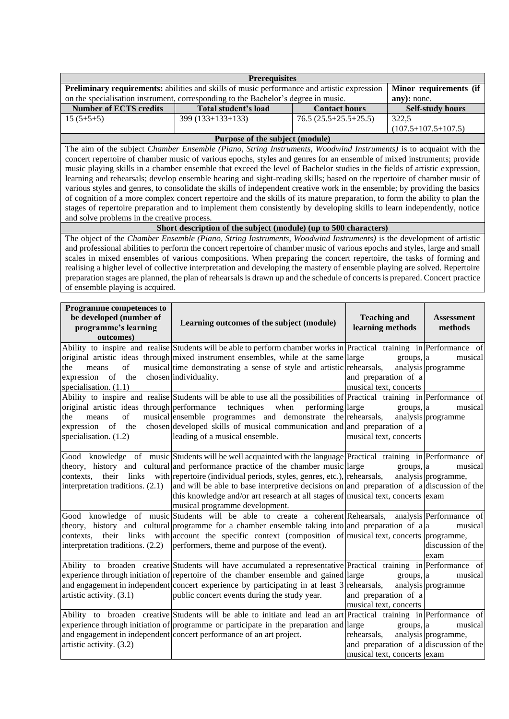|                                                        | <b>Prerequisites</b>                                                                                                                                                                                                                                      |                        |             |                               |  |  |  |  |  |  |
|--------------------------------------------------------|-----------------------------------------------------------------------------------------------------------------------------------------------------------------------------------------------------------------------------------------------------------|------------------------|-------------|-------------------------------|--|--|--|--|--|--|
|                                                        | Preliminary requirements: abilities and skills of music performance and artistic expression                                                                                                                                                               |                        |             | Minor requirements (if        |  |  |  |  |  |  |
|                                                        | on the specialisation instrument, corresponding to the Bachelor's degree in music.                                                                                                                                                                        |                        | any): none. |                               |  |  |  |  |  |  |
| <b>Number of ECTS credits</b>                          | Total student's load<br><b>Contact hours</b>                                                                                                                                                                                                              |                        |             | <b>Self-study hours</b>       |  |  |  |  |  |  |
| $15(5+5+5)$                                            | $76.5(25.5+25.5+25.5)$<br>399 (133+133+133)                                                                                                                                                                                                               |                        | 322,5       |                               |  |  |  |  |  |  |
| $(107.5+107.5+107.5)$                                  |                                                                                                                                                                                                                                                           |                        |             |                               |  |  |  |  |  |  |
|                                                        | Purpose of the subject (module)                                                                                                                                                                                                                           |                        |             |                               |  |  |  |  |  |  |
|                                                        | The aim of the subject Chamber Ensemble (Piano, String Instruments, Woodwind Instruments) is to acquaint with the                                                                                                                                         |                        |             |                               |  |  |  |  |  |  |
|                                                        | concert repertoire of chamber music of various epochs, styles and genres for an ensemble of mixed instruments; provide                                                                                                                                    |                        |             |                               |  |  |  |  |  |  |
|                                                        | music playing skills in a chamber ensemble that exceed the level of Bachelor studies in the fields of artistic expression,                                                                                                                                |                        |             |                               |  |  |  |  |  |  |
|                                                        | learning and rehearsals; develop ensemble hearing and sight-reading skills; based on the repertoire of chamber music of                                                                                                                                   |                        |             |                               |  |  |  |  |  |  |
|                                                        | various styles and genres, to consolidate the skills of independent creative work in the ensemble; by providing the basics<br>of cognition of a more complex concert repertoire and the skills of its mature preparation, to form the ability to plan the |                        |             |                               |  |  |  |  |  |  |
|                                                        | stages of repertoire preparation and to implement them consistently by developing skills to learn independently, notice                                                                                                                                   |                        |             |                               |  |  |  |  |  |  |
| and solve problems in the creative process.            |                                                                                                                                                                                                                                                           |                        |             |                               |  |  |  |  |  |  |
|                                                        | Short description of the subject (module) (up to 500 characters)                                                                                                                                                                                          |                        |             |                               |  |  |  |  |  |  |
|                                                        | The object of the Chamber Ensemble (Piano, String Instruments, Woodwind Instruments) is the development of artistic                                                                                                                                       |                        |             |                               |  |  |  |  |  |  |
|                                                        | and professional abilities to perform the concert repertoire of chamber music of various epochs and styles, large and small                                                                                                                               |                        |             |                               |  |  |  |  |  |  |
|                                                        | scales in mixed ensembles of various compositions. When preparing the concert repertoire, the tasks of forming and                                                                                                                                        |                        |             |                               |  |  |  |  |  |  |
|                                                        | realising a higher level of collective interpretation and developing the mastery of ensemble playing are solved. Repertoire                                                                                                                               |                        |             |                               |  |  |  |  |  |  |
|                                                        | preparation stages are planned, the plan of rehearsals is drawn up and the schedule of concerts is prepared. Concert practice                                                                                                                             |                        |             |                               |  |  |  |  |  |  |
| of ensemble playing is acquired.                       |                                                                                                                                                                                                                                                           |                        |             |                               |  |  |  |  |  |  |
|                                                        |                                                                                                                                                                                                                                                           |                        |             |                               |  |  |  |  |  |  |
| Programme competences to                               |                                                                                                                                                                                                                                                           |                        |             |                               |  |  |  |  |  |  |
| be developed (number of                                | Learning outcomes of the subject (module)                                                                                                                                                                                                                 | <b>Teaching and</b>    |             | <b>Assessment</b>             |  |  |  |  |  |  |
| programme's learning                                   |                                                                                                                                                                                                                                                           | learning methods       |             | methods                       |  |  |  |  |  |  |
| outcomes)                                              |                                                                                                                                                                                                                                                           |                        |             |                               |  |  |  |  |  |  |
|                                                        | Ability to inspire and realise Students will be able to perform chamber works in Practical training in Performance of                                                                                                                                     |                        |             |                               |  |  |  |  |  |  |
| of<br>means<br>the                                     | original artistic ideas through mixed instrument ensembles, while at the same large<br>musical time demonstrating a sense of style and artistic rehearsals,                                                                                               |                        | groups, a   | musical<br>analysis programme |  |  |  |  |  |  |
| expression of the                                      | chosen individuality.                                                                                                                                                                                                                                     | and preparation of a   |             |                               |  |  |  |  |  |  |
| specialisation. $(1.1)$                                |                                                                                                                                                                                                                                                           | musical text, concerts |             |                               |  |  |  |  |  |  |
|                                                        | Ability to inspire and realise Students will be able to use all the possibilities of Practical training in Performance of                                                                                                                                 |                        |             |                               |  |  |  |  |  |  |
| original artistic ideas through performance techniques | when<br>performing large                                                                                                                                                                                                                                  |                        | groups, a   | musical                       |  |  |  |  |  |  |
| of<br>the<br>means                                     | musical ensemble programmes and demonstrate the rehearsals,                                                                                                                                                                                               |                        |             | analysis programme            |  |  |  |  |  |  |
| expression<br>of<br>the                                | chosen developed skills of musical communication and and preparation of a                                                                                                                                                                                 |                        |             |                               |  |  |  |  |  |  |
| specialisation. $(1.2)$                                | leading of a musical ensemble.                                                                                                                                                                                                                            | musical text, concerts |             |                               |  |  |  |  |  |  |
|                                                        |                                                                                                                                                                                                                                                           |                        |             |                               |  |  |  |  |  |  |
|                                                        | Good knowledge of music Students will be well acquainted with the language Practical training in Performance of                                                                                                                                           |                        |             |                               |  |  |  |  |  |  |
|                                                        | theory, history and cultural and performance practice of the chamber music large                                                                                                                                                                          |                        | groups, a   | musical                       |  |  |  |  |  |  |
| their<br>links<br>contexts,                            | with repertoire (individual periods, styles, genres, etc.), rehearsals,                                                                                                                                                                                   |                        |             | analysis programme,           |  |  |  |  |  |  |
| interpretation traditions. (2.1)                       | and will be able to base interpretive decisions on and preparation of a discussion of the                                                                                                                                                                 |                        |             |                               |  |  |  |  |  |  |
|                                                        | this knowledge and/or art research at all stages of musical text, concerts exam                                                                                                                                                                           |                        |             |                               |  |  |  |  |  |  |
|                                                        | musical programme development.                                                                                                                                                                                                                            |                        |             |                               |  |  |  |  |  |  |
|                                                        | Good knowledge of music Students will be able to create a coherent Rehearsals, analysis Performance of                                                                                                                                                    |                        |             |                               |  |  |  |  |  |  |
|                                                        | theory, history and cultural programme for a chamber ensemble taking into and preparation of a a                                                                                                                                                          |                        |             | musical                       |  |  |  |  |  |  |
| contexts,<br>interpretation traditions. (2.2)          | their links with account the specific context (composition of musical text, concerts programme,<br>performers, theme and purpose of the event).                                                                                                           |                        |             |                               |  |  |  |  |  |  |
|                                                        |                                                                                                                                                                                                                                                           |                        |             | discussion of the<br>exam     |  |  |  |  |  |  |
|                                                        |                                                                                                                                                                                                                                                           |                        |             |                               |  |  |  |  |  |  |
|                                                        |                                                                                                                                                                                                                                                           |                        |             |                               |  |  |  |  |  |  |
|                                                        | Ability to broaden creative Students will have accumulated a representative Practical training in Performance of                                                                                                                                          |                        |             |                               |  |  |  |  |  |  |
|                                                        | experience through initiation of repertoire of the chamber ensemble and gained large<br>and engagement in independent concert experience by participating in at least 3 rehearsals,                                                                       |                        | groups, a   | musical<br>analysis programme |  |  |  |  |  |  |

Ability to broaden creative Students will be able to initiate and lead an art Practical training in Performance of

experience through initiation of programme or participate in the preparation and

and engagement in independent concert performance of an art project.

artistic activity. (3.2)

musical text, concerts

musical text, concerts exam

rehearsals,

 $groups, a$ 

musical

and preparation of a discussion of the

analysis programme,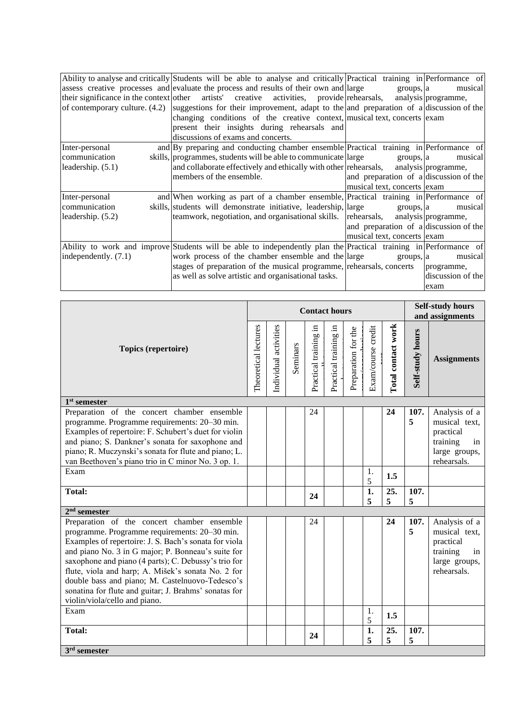|                        | Ability to analyse and critically Students will be able to analyse and critically Practical training in Performance of  |                                        |                   |
|------------------------|-------------------------------------------------------------------------------------------------------------------------|----------------------------------------|-------------------|
|                        | assess creative processes and evaluate the process and results of their own and large                                   | groups, a                              | musical           |
|                        | their significance in the context of the artists' creative activities, provide rehearsals, analysis programme,          |                                        |                   |
|                        | of contemporary culture. $(4.2)$ suggestions for their improvement, adapt to the and preparation of a discussion of the |                                        |                   |
|                        | changing conditions of the creative context, musical text, concerts exam                                                |                                        |                   |
|                        | present their insights during rehearsals and                                                                            |                                        |                   |
|                        | discussions of exams and concerts.                                                                                      |                                        |                   |
| Inter-personal         | and By preparing and conducting chamber ensemble Practical training in Performance of                                   |                                        |                   |
| communication          | skills, programmes, students will be able to communicate large                                                          | groups, a                              | musical           |
| leadership. $(5.1)$    | and collaborate effectively and ethically with other rehearsals, analysis programme,                                    |                                        |                   |
|                        | members of the ensemble.                                                                                                | and preparation of a discussion of the |                   |
|                        |                                                                                                                         | musical text, concerts exam            |                   |
| Inter-personal         | and When working as part of a chamber ensemble, Practical training in Performance of                                    |                                        |                   |
| communication          | skills, students will demonstrate initiative, leadership, large                                                         | groups, a                              | musical           |
| leadership. (5.2)      | teamwork, negotiation, and organisational skills. rehearsals, analysis programme,                                       |                                        |                   |
|                        |                                                                                                                         | and preparation of a discussion of the |                   |
|                        |                                                                                                                         | musical text, concerts exam            |                   |
|                        | Ability to work and improve Students will be able to independently plan the Practical training in Performance of        |                                        |                   |
| independently. $(7.1)$ | work process of the chamber ensemble and the large                                                                      | groups, a                              | musical           |
|                        | stages of preparation of the musical programme, rehearsals, concerts                                                    | programme,                             |                   |
|                        | as well as solve artistic and organisational tasks.                                                                     |                                        | discussion of the |
|                        |                                                                                                                         | exam                                   |                   |

|                                                                                                                                                                                                                                                                                                                                                                                                                                                                        | <b>Contact hours</b> |                       |          |                       |                       |                     |                     | <b>Self-study hours</b><br>and assignments |                         |                                                                                               |
|------------------------------------------------------------------------------------------------------------------------------------------------------------------------------------------------------------------------------------------------------------------------------------------------------------------------------------------------------------------------------------------------------------------------------------------------------------------------|----------------------|-----------------------|----------|-----------------------|-----------------------|---------------------|---------------------|--------------------------------------------|-------------------------|-----------------------------------------------------------------------------------------------|
| Topics (repertoire)                                                                                                                                                                                                                                                                                                                                                                                                                                                    | Theoretical lectures | Individual activities | Seminars | Practical training in | Practical training in | Preparation for the | Exam/course credit  | Total contact work                         | <b>Self-study hours</b> | <b>Assignments</b>                                                                            |
| $\overline{1^{st}}$ semester                                                                                                                                                                                                                                                                                                                                                                                                                                           |                      |                       |          |                       |                       |                     |                     |                                            |                         |                                                                                               |
| Preparation of the concert chamber ensemble<br>programme. Programme requirements: 20–30 min.<br>Examples of repertoire: F. Schubert's duet for violin<br>and piano; S. Dankner's sonata for saxophone and<br>piano; R. Muczynski's sonata for flute and piano; L.<br>van Beethoven's piano trio in C minor No. 3 op. 1.                                                                                                                                                |                      |                       |          | 24                    |                       |                     |                     | 24                                         | 107.<br>5               | Analysis of a<br>musical text,<br>practical<br>training<br>in<br>large groups,<br>rehearsals. |
| Exam                                                                                                                                                                                                                                                                                                                                                                                                                                                                   |                      |                       |          |                       |                       |                     | 1.<br>5             | 1.5                                        |                         |                                                                                               |
| <b>Total:</b>                                                                                                                                                                                                                                                                                                                                                                                                                                                          |                      |                       |          | 24                    |                       |                     | $\mathbf{1}$ .<br>5 | 25.<br>5                                   | 107.<br>5               |                                                                                               |
| $2nd$ semester                                                                                                                                                                                                                                                                                                                                                                                                                                                         |                      |                       |          |                       |                       |                     |                     |                                            |                         |                                                                                               |
| Preparation of the concert chamber ensemble<br>programme. Programme requirements: 20-30 min.<br>Examples of repertoire: J. S. Bach's sonata for viola<br>and piano No. 3 in G major; P. Bonneau's suite for<br>saxophone and piano (4 parts); C. Debussy's trio for<br>flute, viola and harp; A. Mišek's sonata No. 2 for<br>double bass and piano; M. Castelnuovo-Tedesco's<br>sonatina for flute and guitar; J. Brahms' sonatas for<br>violin/viola/cello and piano. |                      |                       |          | 24                    |                       |                     |                     | 24                                         | 107.<br>5               | Analysis of a<br>musical text,<br>practical<br>training<br>in<br>large groups,<br>rehearsals. |
| Exam                                                                                                                                                                                                                                                                                                                                                                                                                                                                   |                      |                       |          |                       |                       |                     | 1.<br>5             | 1.5                                        |                         |                                                                                               |
| <b>Total:</b>                                                                                                                                                                                                                                                                                                                                                                                                                                                          |                      |                       |          | 24                    |                       |                     | $\mathbf{1}$<br>5   | 25.<br>5                                   | 107.<br>5               |                                                                                               |
| $3rd$ semester                                                                                                                                                                                                                                                                                                                                                                                                                                                         |                      |                       |          |                       |                       |                     |                     |                                            |                         |                                                                                               |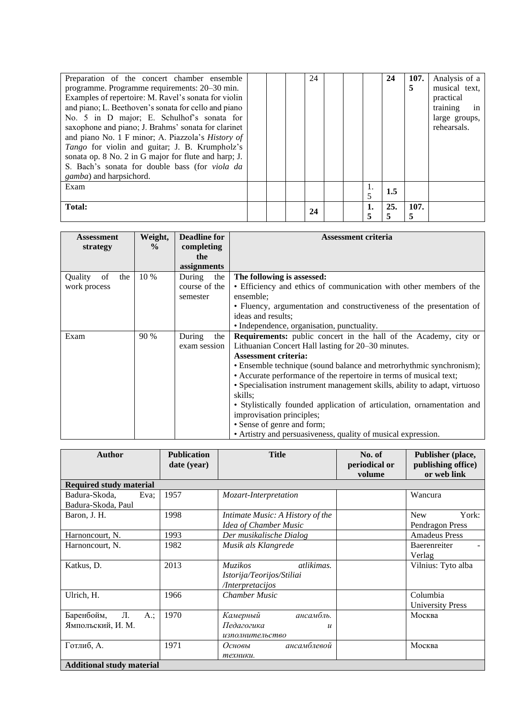| Preparation of the concert chamber ensemble<br>programme. Programme requirements: 20–30 min.<br>Examples of repertoire: M. Ravel's sonata for violin<br>and piano; L. Beethoven's sonata for cello and piano<br>No. 5 in D major; E. Schulhof's sonata for<br>saxophone and piano; J. Brahms' sonata for clarinet<br>and piano No. 1 F minor; A. Piazzola's History of<br>Tango for violin and guitar; J. B. Krumpholz's<br>sonata op. 8 No. 2 in G major for flute and harp; J.<br>S. Bach's sonata for double bass (for viola da<br><i>gamba</i> ) and harpsichord. |  | 24 |  |         | 24  | 107.<br>5 | Analysis of a<br>musical text,<br>practical<br>in<br>training<br>large groups,<br>rehearsals. |
|-----------------------------------------------------------------------------------------------------------------------------------------------------------------------------------------------------------------------------------------------------------------------------------------------------------------------------------------------------------------------------------------------------------------------------------------------------------------------------------------------------------------------------------------------------------------------|--|----|--|---------|-----|-----------|-----------------------------------------------------------------------------------------------|
| Exam                                                                                                                                                                                                                                                                                                                                                                                                                                                                                                                                                                  |  |    |  | 1.<br>5 | 1.5 |           |                                                                                               |
| <b>Total:</b>                                                                                                                                                                                                                                                                                                                                                                                                                                                                                                                                                         |  | 24 |  | 1.<br>5 | 25. | 107.      |                                                                                               |

| <b>Assessment</b>    | Weight,<br>$\frac{0}{0}$ | <b>Deadline for</b> | <b>Assessment criteria</b>                                                |
|----------------------|--------------------------|---------------------|---------------------------------------------------------------------------|
| strategy             |                          | completing<br>the   |                                                                           |
|                      |                          | assignments         |                                                                           |
| Quality<br>of<br>the | 10 %                     | During<br>the       | The following is assessed:                                                |
| work process         |                          | course of the       | • Efficiency and ethics of communication with other members of the        |
|                      |                          | semester            | ensemble;                                                                 |
|                      |                          |                     | • Fluency, argumentation and constructiveness of the presentation of      |
|                      |                          |                     | ideas and results;                                                        |
|                      |                          |                     | • Independence, organisation, punctuality.                                |
| Exam                 | 90 %                     | During<br>the       | Requirements: public concert in the hall of the Academy, city or          |
|                      |                          | exam session        | Lithuanian Concert Hall lasting for 20–30 minutes.                        |
|                      |                          |                     | <b>Assessment criteria:</b>                                               |
|                      |                          |                     | • Ensemble technique (sound balance and metrorhythmic synchronism);       |
|                      |                          |                     | • Accurate performance of the repertoire in terms of musical text;        |
|                      |                          |                     | • Specialisation instrument management skills, ability to adapt, virtuoso |
|                      |                          |                     | skills:                                                                   |
|                      |                          |                     | • Stylistically founded application of articulation, ornamentation and    |
|                      |                          |                     | improvisation principles;                                                 |
|                      |                          |                     | • Sense of genre and form;                                                |
|                      |                          |                     | • Artistry and persuasiveness, quality of musical expression.             |

| Author                                          | <b>Publication</b><br>date (year) | <b>Title</b>                                                                  | No. of<br>periodical or<br>volume | Publisher (place,<br>publishing office)<br>or web link |
|-------------------------------------------------|-----------------------------------|-------------------------------------------------------------------------------|-----------------------------------|--------------------------------------------------------|
| <b>Required study material</b>                  |                                   |                                                                               |                                   |                                                        |
| Badura-Skoda,<br>Eva:<br>Badura-Skoda, Paul     | 1957                              | Mozart-Interpretation                                                         |                                   | Wancura                                                |
| Baron, J. H.                                    | 1998                              | Intimate Music: A History of the<br>Idea of Chamber Music                     |                                   | <b>New</b><br>York:<br>Pendragon Press                 |
| Harnoncourt, N.                                 | 1993                              | Der musikalische Dialog                                                       |                                   | <b>Amadeus Press</b>                                   |
| Harnoncourt, N.                                 | 1982                              | Musik als Klangrede                                                           |                                   | Baerenreiter<br>Verlag                                 |
| Katkus, D.                                      | 2013                              | <b>Muzikos</b><br>atlikimas.<br>Istorija/Teorijos/Stiliai<br>/Interpretacijos |                                   | Vilnius: Tyto alba                                     |
| Ulrich, H.                                      | 1966                              | <b>Chamber Music</b>                                                          |                                   | Columbia<br><b>University Press</b>                    |
| Л.<br>Баренбойм,<br>$A$ .;<br>Ямпольский, И. М. | 1970                              | ансамбль.<br>Камерный<br>Педагогика<br>$\boldsymbol{u}$<br>изполнительство    |                                   | Москва                                                 |
| Готлиб, А.                                      | 1971                              | ансамблевой<br>Основы<br>техники.                                             |                                   | Москва                                                 |
| <b>Additional study material</b>                |                                   |                                                                               |                                   |                                                        |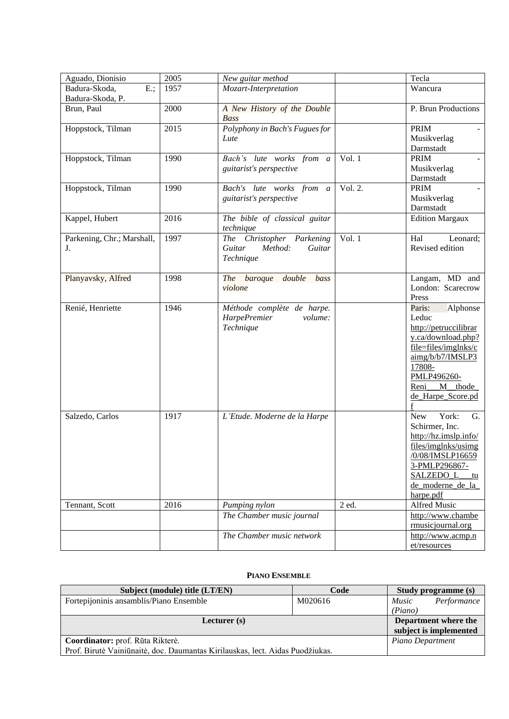| Aguado, Dionisio                 | 2005 | New guitar method                                                     |          | Tecla                                                                                                                                                                                          |
|----------------------------------|------|-----------------------------------------------------------------------|----------|------------------------------------------------------------------------------------------------------------------------------------------------------------------------------------------------|
| Badura-Skoda,<br>$E$ .;          | 1957 | Mozart-Interpretation                                                 |          | Wancura                                                                                                                                                                                        |
| Badura-Skoda, P.                 |      |                                                                       |          |                                                                                                                                                                                                |
| Brun, Paul                       | 2000 | A New History of the Double<br><b>Bass</b>                            |          | P. Brun Productions                                                                                                                                                                            |
| Hoppstock, Tilman                | 2015 | Polyphony in Bach's Fugues for<br>Lute                                |          | <b>PRIM</b><br>Musikverlag<br>Darmstadt                                                                                                                                                        |
| Hoppstock, Tilman                | 1990 | Bach's lute works from a<br>guitarist's perspective                   | Vol. $1$ | <b>PRIM</b><br>Musikverlag<br>Darmstadt                                                                                                                                                        |
| Hoppstock, Tilman                | 1990 | Bach's lute works from a<br>guitarist's perspective                   | Vol. 2.  | <b>PRIM</b><br>Musikverlag<br>Darmstadt                                                                                                                                                        |
| Kappel, Hubert                   | 2016 | The bible of classical guitar<br>technique                            |          | <b>Edition Margaux</b>                                                                                                                                                                         |
| Parkening, Chr.; Marshall,<br>J. | 1997 | The Christopher Parkening<br>Guitar<br>Method:<br>Guitar<br>Technique | Vol. $1$ | Hal<br>Leonard;<br>Revised edition                                                                                                                                                             |
| Planyavsky, Alfred               | 1998 | The baroque double<br>bass<br>violone                                 |          | Langam, MD and<br>London: Scarecrow<br>Press                                                                                                                                                   |
| Renié, Henriette                 | 1946 | Méthode complète de harpe.<br>HarpePremier<br>volume:<br>Technique    |          | Paris:<br>Alphonse<br>Leduc<br>http://petruccilibrar<br>y.ca/download.php?<br>file=files/imglnks/c<br>aimg/b/b7/IMSLP3<br>17808-<br>PMLP496260-<br>$M$ thode<br>Reni<br>de_Harpe_Score.pd<br>f |
| Salzedo, Carlos                  | 1917 | L'Etude. Moderne de la Harpe                                          |          | York:<br>G.<br><b>New</b><br>Schirmer, Inc.<br>http://hz.imslp.info/<br>files/imglnks/usimg<br>/0/08/IMSLP16659<br>3-PMLP296867-<br><b>SALZEDO L</b><br>tu<br>de moderne de la<br>harpe.pdf    |
| Tennant, Scott                   | 2016 | Pumping nylon                                                         | 2 ed.    | Alfred Music                                                                                                                                                                                   |
|                                  |      | The Chamber music journal                                             |          | http://www.chambe<br>rmusicjournal.org                                                                                                                                                         |
|                                  |      | The Chamber music network                                             |          | http://www.acmp.n<br>et/resources                                                                                                                                                              |

### **PIANO ENSEMBLE**

<span id="page-14-0"></span>

| Subject (module) title (LT/EN)                                                | Code    |                  | <b>Study programme (s)</b> |
|-------------------------------------------------------------------------------|---------|------------------|----------------------------|
| Fortepijoninis ansamblis/Piano Ensemble                                       | M020616 | <i>Music</i>     | Performance                |
|                                                                               |         | (Piano)          |                            |
| Lecturer $(s)$                                                                |         |                  | Department where the       |
|                                                                               |         |                  | subject is implemented     |
| Coordinator: prof. Rūta Rikterė.                                              |         | Piano Department |                            |
| Prof. Birutė Vainiūnaitė, doc. Daumantas Kirilauskas, lect. Aidas Puodžiukas. |         |                  |                            |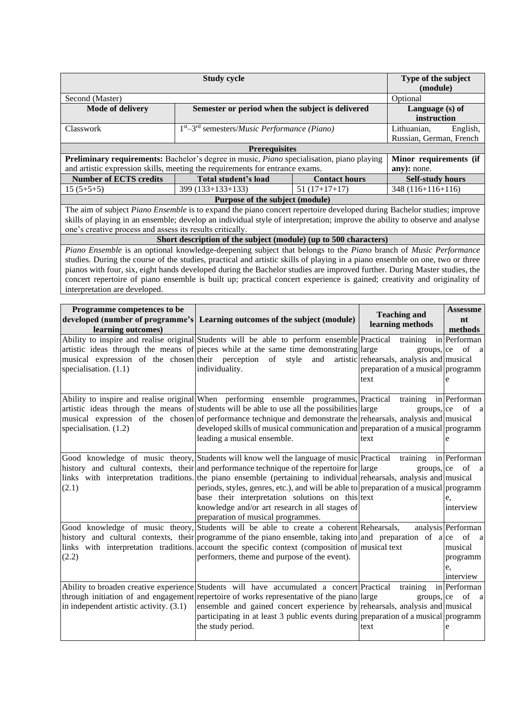|                                                                                                                                                                                                                                                                                                                                                                                                                                                                                                                                          | Type of the subject<br>(module)                                                                                                                                                                                                   |                      |                                |                                                                                                          |                                                              |
|------------------------------------------------------------------------------------------------------------------------------------------------------------------------------------------------------------------------------------------------------------------------------------------------------------------------------------------------------------------------------------------------------------------------------------------------------------------------------------------------------------------------------------------|-----------------------------------------------------------------------------------------------------------------------------------------------------------------------------------------------------------------------------------|----------------------|--------------------------------|----------------------------------------------------------------------------------------------------------|--------------------------------------------------------------|
| Second (Master)                                                                                                                                                                                                                                                                                                                                                                                                                                                                                                                          |                                                                                                                                                                                                                                   |                      |                                | Optional                                                                                                 |                                                              |
| Mode of delivery                                                                                                                                                                                                                                                                                                                                                                                                                                                                                                                         | Semester or period when the subject is delivered                                                                                                                                                                                  |                      | Language (s) of<br>instruction |                                                                                                          |                                                              |
| Classwork                                                                                                                                                                                                                                                                                                                                                                                                                                                                                                                                | 1st-3rd semesters/Music Performance (Piano)                                                                                                                                                                                       |                      |                                | Lithuanian,<br>Russian, German, French                                                                   | English,                                                     |
|                                                                                                                                                                                                                                                                                                                                                                                                                                                                                                                                          | <b>Prerequisites</b>                                                                                                                                                                                                              |                      |                                |                                                                                                          |                                                              |
| Preliminary requirements: Bachelor's degree in music, Piano specialisation, piano playing                                                                                                                                                                                                                                                                                                                                                                                                                                                |                                                                                                                                                                                                                                   |                      |                                | Minor requirements (if                                                                                   |                                                              |
| and artistic expression skills, meeting the requirements for entrance exams.                                                                                                                                                                                                                                                                                                                                                                                                                                                             |                                                                                                                                                                                                                                   |                      |                                | any): none.                                                                                              |                                                              |
| <b>Number of ECTS credits</b>                                                                                                                                                                                                                                                                                                                                                                                                                                                                                                            | Total student's load                                                                                                                                                                                                              | <b>Contact hours</b> |                                | <b>Self-study hours</b>                                                                                  |                                                              |
| $15(5+5+5)$                                                                                                                                                                                                                                                                                                                                                                                                                                                                                                                              | 399 (133+133+133)                                                                                                                                                                                                                 | $51(17+17+17)$       |                                | 348 (116+116+116)                                                                                        |                                                              |
|                                                                                                                                                                                                                                                                                                                                                                                                                                                                                                                                          | Purpose of the subject (module)                                                                                                                                                                                                   |                      |                                |                                                                                                          |                                                              |
| The aim of subject Piano Ensemble is to expand the piano concert repertoire developed during Bachelor studies; improve<br>skills of playing in an ensemble; develop an individual style of interpretation; improve the ability to observe and analyse<br>one's creative process and assess its results critically.                                                                                                                                                                                                                       |                                                                                                                                                                                                                                   |                      |                                |                                                                                                          |                                                              |
|                                                                                                                                                                                                                                                                                                                                                                                                                                                                                                                                          | Short description of the subject (module) (up to 500 characters)                                                                                                                                                                  |                      |                                |                                                                                                          |                                                              |
| Piano Ensemble is an optional knowledge-deepening subject that belongs to the Piano branch of Music Performance<br>studies. During the course of the studies, practical and artistic skills of playing in a piano ensemble on one, two or three<br>pianos with four, six, eight hands developed during the Bachelor studies are improved further. During Master studies, the<br>concert repertoire of piano ensemble is built up; practical concert experience is gained; creativity and originality of<br>interpretation are developed. |                                                                                                                                                                                                                                   |                      |                                |                                                                                                          |                                                              |
| Programme competences to be                                                                                                                                                                                                                                                                                                                                                                                                                                                                                                              |                                                                                                                                                                                                                                   |                      |                                |                                                                                                          | <b>Assessme</b>                                              |
| developed (number of programme's Learning outcomes of the subject (module)<br>learning outcomes)                                                                                                                                                                                                                                                                                                                                                                                                                                         |                                                                                                                                                                                                                                   |                      |                                | <b>Teaching and</b><br>learning methods                                                                  | nt<br>methods                                                |
| Ability to inspire and realise original Students will be able to perform ensemble Practical<br>artistic ideas through the means of pieces while at the same time demonstrating large<br>musical expression of the chosen their perception<br>specialisation. (1.1)                                                                                                                                                                                                                                                                       | of<br>individuality.                                                                                                                                                                                                              | style<br>and         | text                           | training<br>groups, ce<br>artistic rehearsals, analysis and musical<br>preparation of a musical programm | in Performan<br>of a<br>e                                    |
| Ability to inspire and realise original When performing ensemble programmes, Practical<br>artistic ideas through the means of students will be able to use all the possibilities are<br>musical expression of the chosen of performance technique and demonstrate the rehearsals, analysis and musical<br>specialisation. (1.2)                                                                                                                                                                                                          | developed skills of musical communication and preparation of a musical programm<br>leading a musical ensemble.                                                                                                                    |                      | text                           | training<br>groups, ce                                                                                   | in Performan<br>of<br><sub>a</sub><br>e                      |
| Good knowledge of music theory, Students will know well the language of music Practical training in Performan<br>history and cultural contexts, their and performance technique of the repertoire for large<br>links with interpretation traditions. the piano ensemble (pertaining to individual rehearsals, analysis and musical<br>(2.1)                                                                                                                                                                                              | periods, styles, genres, etc.), and will be able to preparation of a musical programm<br>base their interpretation solutions on this text<br>knowledge and/or art research in all stages of<br>preparation of musical programmes. |                      |                                | groups,  ce                                                                                              | of a<br>e,<br>interview                                      |
| Good knowledge of music theory, Students will be able to create a coherent Rehearsals,<br>history and cultural contexts, their programme of the piano ensemble, taking into and preparation of a ce<br>links with interpretation traditions account the specific context (composition of musical text<br>(2.2)                                                                                                                                                                                                                           | performers, theme and purpose of the event).                                                                                                                                                                                      |                      |                                |                                                                                                          | analysis Performan<br>musical<br>programm<br>e,<br>interview |
| Ability to broaden creative experience Students will have accumulated a concert Practical<br>through initiation of and engagement repertoire of works representative of the piano large<br>in independent artistic activity. (3.1)                                                                                                                                                                                                                                                                                                       | ensemble and gained concert experience by rehearsals, analysis and musical<br>participating in at least 3 public events during preparation of a musical programm<br>the study period.                                             |                      | text                           | training<br>groups, ce                                                                                   | in Performan<br>of<br><sub>a</sub><br>e                      |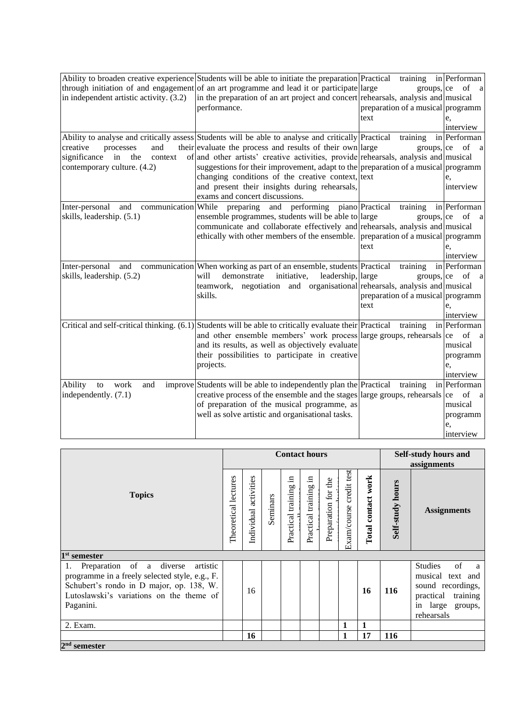|                                         | Ability to broaden creative experience Students will be able to initiate the preparation Practical        |      | training in Performan             |                          |
|-----------------------------------------|-----------------------------------------------------------------------------------------------------------|------|-----------------------------------|--------------------------|
|                                         | through initiation of and engagement of an art programme and lead it or participate large                 |      |                                   | groups, $ ce$ of a       |
| in independent artistic activity. (3.2) | in the preparation of an art project and concert rehearsals, analysis and musical                         |      |                                   |                          |
|                                         | performance.                                                                                              |      | preparation of a musical programm |                          |
|                                         |                                                                                                           | text |                                   | e,                       |
|                                         |                                                                                                           |      |                                   | interview                |
|                                         | Ability to analyse and critically assess Students will be able to analyse and critically Practical        |      | training                          | in Performan             |
| creative<br>processes<br>and            | their evaluate the process and results of their own large                                                 |      | groups, ce                        | of<br><sub>a</sub>       |
| significance<br>in the<br>context       | of and other artists' creative activities, provide rehearsals, analysis and musical                       |      |                                   |                          |
| contemporary culture. (4.2)             | suggestions for their improvement, adapt to the preparation of a musical programm                         |      |                                   |                          |
|                                         | changing conditions of the creative context, text                                                         |      |                                   | e,                       |
|                                         | and present their insights during rehearsals,                                                             |      |                                   | interview                |
|                                         | exams and concert discussions.                                                                            |      |                                   |                          |
| Inter-personal<br>and                   | and performing piano Practical<br>communication While preparing                                           |      | training                          | in Performan             |
| skills, leadership. (5.1)               | ensemble programmes, students will be able to large                                                       |      | groups,  ce                       | of<br><sub>a</sub>       |
|                                         | communicate and collaborate effectively and rehearsals, analysis and musical                              |      |                                   |                          |
|                                         | ethically with other members of the ensemble. preparation of a musical programm                           |      |                                   |                          |
|                                         |                                                                                                           | text |                                   | e,                       |
|                                         |                                                                                                           |      |                                   | interview                |
| Inter-personal<br>and                   | communication When working as part of an ensemble, students Practical                                     |      | training                          | in Performan             |
| skills, leadership. (5.2)               | leadership, large<br>will<br>demonstrate<br>initiative,                                                   |      | groups,  ce                       | of a                     |
|                                         | teamwork, negotiation and organisational rehearsals, analysis and musical                                 |      |                                   |                          |
|                                         | skills.                                                                                                   |      | preparation of a musical programm |                          |
|                                         |                                                                                                           | text |                                   | e,                       |
|                                         |                                                                                                           |      |                                   | interview                |
|                                         | Critical and self-critical thinking. $(6.1)$ Students will be able to critically evaluate their Practical |      | training                          | in Performan             |
|                                         | and other ensemble members' work process large groups, rehearsals ce                                      |      |                                   | of<br><sub>a</sub>       |
|                                         | and its results, as well as objectively evaluate                                                          |      |                                   | musical                  |
|                                         | their possibilities to participate in creative                                                            |      |                                   | programm                 |
|                                         | projects.                                                                                                 |      |                                   | e,                       |
|                                         |                                                                                                           |      |                                   | interview                |
| Ability<br>work<br>to<br>and            | improve Students will be able to independently plan the Practical                                         |      | training                          | in Performan             |
| independently. (7.1)                    | creative process of the ensemble and the stages alarge groups, rehearsals                                 |      |                                   | of<br>ce<br><sub>a</sub> |
|                                         | of preparation of the musical programme, as                                                               |      |                                   | musical                  |
|                                         | well as solve artistic and organisational tasks.                                                          |      |                                   | programm                 |
|                                         |                                                                                                           |      |                                   | e,                       |
|                                         |                                                                                                           |      |                                   | interview                |

|                                                                                                                                                                                                   |  |                       |          | <b>Contact hours</b>      |                          |                     |                               |                    |                         | <b>Self-study hours and</b><br>assignments                                                                                         |  |  |
|---------------------------------------------------------------------------------------------------------------------------------------------------------------------------------------------------|--|-----------------------|----------|---------------------------|--------------------------|---------------------|-------------------------------|--------------------|-------------------------|------------------------------------------------------------------------------------------------------------------------------------|--|--|
| <b>Topics</b>                                                                                                                                                                                     |  | Individual activities | Seminars | - 드<br>Practical training | .日<br>Practical training | Preparation for the | test<br>credit<br>Exam/course | Total contact work | <b>Self-study hours</b> | <b>Assignments</b>                                                                                                                 |  |  |
| $1st$ semester                                                                                                                                                                                    |  |                       |          |                           |                          |                     |                               |                    |                         |                                                                                                                                    |  |  |
| Preparation of a diverse<br>artistic<br>1.<br>programme in a freely selected style, e.g., F.<br>Schubert's rondo in D major, op. 138, W.<br>Lutoslawski's variations on the theme of<br>Paganini. |  | 16                    |          |                           |                          |                     |                               | 16                 | 116                     | <b>Studies</b><br>of<br>a a<br>musical text and<br>sound recordings,<br>practical<br>training<br>in large<br>groups,<br>rehearsals |  |  |
| 2. Exam.                                                                                                                                                                                          |  |                       |          |                           |                          |                     | 1                             |                    |                         |                                                                                                                                    |  |  |
|                                                                                                                                                                                                   |  | 16                    |          |                           |                          |                     | 1                             | 17                 | 116                     |                                                                                                                                    |  |  |
| $2nd$ semester                                                                                                                                                                                    |  |                       |          |                           |                          |                     |                               |                    |                         |                                                                                                                                    |  |  |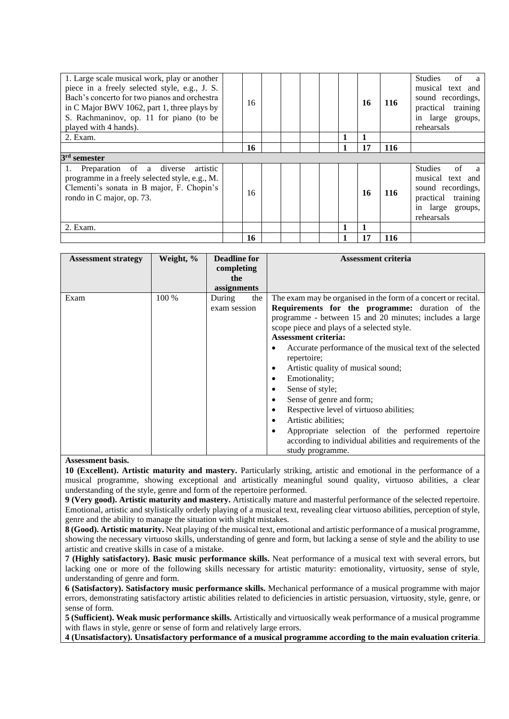| 1. Large scale musical work, play or another<br>piece in a freely selected style, e.g., J. S.<br>Bach's concerto for two pianos and orchestra<br>in C Major BWV 1062, part 1, three plays by<br>S. Rachmaninov, op. 11 for piano (to be<br>played with 4 hands). | 16 |  |   | 16           | 116        | of<br>Studies<br>$\mathbf{a}$<br>musical text and<br>sound recordings,<br>practical training<br>in large groups,<br>rehearsals  |
|------------------------------------------------------------------------------------------------------------------------------------------------------------------------------------------------------------------------------------------------------------------|----|--|---|--------------|------------|---------------------------------------------------------------------------------------------------------------------------------|
| 2. Exam.                                                                                                                                                                                                                                                         |    |  |   | $\mathbf{1}$ |            |                                                                                                                                 |
|                                                                                                                                                                                                                                                                  | 16 |  |   | 17           | <b>116</b> |                                                                                                                                 |
| 3 <sup>rd</sup> semester                                                                                                                                                                                                                                         |    |  |   |              |            |                                                                                                                                 |
| 1. Preparation of a diverse<br>artistic<br>programme in a freely selected style, e.g., M.<br>Clementi's sonata in B major, F. Chopin's<br>rondo in C major, op. 73.                                                                                              | 16 |  |   | 16           | 116        | <b>Studies</b><br>of<br>a a<br>musical text and<br>sound recordings,<br>practical<br>training<br>in large groups,<br>rehearsals |
| 2. Exam.                                                                                                                                                                                                                                                         |    |  |   | $\mathbf{1}$ |            |                                                                                                                                 |
|                                                                                                                                                                                                                                                                  | 16 |  | 1 | 17           | 116        |                                                                                                                                 |

| <b>Assessment strategy</b> | Weight, % | <b>Deadline for</b><br>completing<br>the<br>assignments | <b>Assessment criteria</b>                                                                                                                                                                                                                                                                                                                                                                                                                                                                                                                                                                                                                                                                 |
|----------------------------|-----------|---------------------------------------------------------|--------------------------------------------------------------------------------------------------------------------------------------------------------------------------------------------------------------------------------------------------------------------------------------------------------------------------------------------------------------------------------------------------------------------------------------------------------------------------------------------------------------------------------------------------------------------------------------------------------------------------------------------------------------------------------------------|
| Exam                       | 100 %     | During<br>the<br>exam session                           | The exam may be organised in the form of a concert or recital.<br>Requirements for the programme: duration of the<br>programme - between 15 and 20 minutes; includes a large<br>scope piece and plays of a selected style.<br><b>Assessment criteria:</b><br>Accurate performance of the musical text of the selected<br>٠<br>repertoire;<br>Artistic quality of musical sound;<br>٠<br>Emotionality;<br>٠<br>Sense of style;<br>٠<br>Sense of genre and form;<br>٠<br>Respective level of virtuoso abilities;<br>٠<br>Artistic abilities;<br>٠<br>Appropriate selection of the performed repertoire<br>٠<br>according to individual abilities and requirements of the<br>study programme. |

#### **Assessment basis.**

**10 (Excellent). Artistic maturity and mastery.** Particularly striking, artistic and emotional in the performance of a musical programme, showing exceptional and artistically meaningful sound quality, virtuoso abilities, a clear understanding of the style, genre and form of the repertoire performed.

**9 (Very good). Artistic maturity and mastery.** Artistically mature and masterful performance of the selected repertoire. Emotional, artistic and stylistically orderly playing of a musical text, revealing clear virtuoso abilities, perception of style, genre and the ability to manage the situation with slight mistakes.

**8 (Good). Artistic maturity.** Neat playing of the musical text, emotional and artistic performance of a musical programme, showing the necessary virtuoso skills, understanding of genre and form, but lacking a sense of style and the ability to use artistic and creative skills in case of a mistake.

**7 (Highly satisfactory). Basic music performance skills.** Neat performance of a musical text with several errors, but lacking one or more of the following skills necessary for artistic maturity: emotionality, virtuosity, sense of style, understanding of genre and form.

**6 (Satisfactory). Satisfactory music performance skills.** Mechanical performance of a musical programme with major errors, demonstrating satisfactory artistic abilities related to deficiencies in artistic persuasion, virtuosity, style, genre, or sense of form.

**5 (Sufficient). Weak music performance skills.** Artistically and virtuosically weak performance of a musical programme with flaws in style, genre or sense of form and relatively large errors.

**4 (Unsatisfactory). Unsatisfactory performance of a musical programme according to the main evaluation criteria**.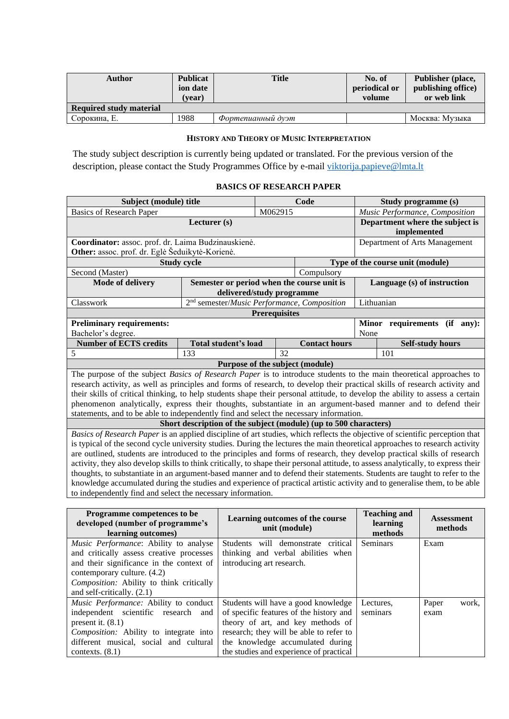| Author                  | <b>Publicat</b><br>ion date<br>(vear) | <b>Title</b>      | No. of<br>periodical or<br>volume | Publisher (place,<br>publishing office)<br>or web link |
|-------------------------|---------------------------------------|-------------------|-----------------------------------|--------------------------------------------------------|
| Required study material |                                       |                   |                                   |                                                        |
| Сорокина. Е.            | 988                                   | Фортепианный дуэт |                                   | Москва: Музыка                                         |

### **HISTORY AND THEORY OF MUSIC INTERPRETATION**

<span id="page-18-0"></span>The study subject description is currently being updated or translated. For the previous version of the description, please contact the Study Programmes Office by e-mail [viktorija.papieve@lmta.lt](mailto:viktorija.papieve@lmta.lt)

# **BASICS OF RESEARCH PAPER**

<span id="page-18-1"></span>

| Subject (module) title                                                                                                             |                                                                  |                                                | Code                            | Study programme (s) |                                  |                                |
|------------------------------------------------------------------------------------------------------------------------------------|------------------------------------------------------------------|------------------------------------------------|---------------------------------|---------------------|----------------------------------|--------------------------------|
| <b>Basics of Research Paper</b>                                                                                                    |                                                                  | M062915                                        |                                 |                     |                                  | Music Performance, Composition |
|                                                                                                                                    |                                                                  | Department where the subject is<br>implemented |                                 |                     |                                  |                                |
| Coordinator: assoc. prof. dr. Laima Budzinauskienė.<br>Other: assoc. prof. dr. Eglė Šeduikytė-Korienė.                             |                                                                  |                                                |                                 |                     | Department of Arts Management    |                                |
|                                                                                                                                    | <b>Study cycle</b>                                               |                                                |                                 |                     | Type of the course unit (module) |                                |
| Second (Master)                                                                                                                    |                                                                  |                                                | Compulsory                      |                     |                                  |                                |
| <b>Mode of delivery</b>                                                                                                            | Semester or period when the course unit is                       |                                                |                                 |                     |                                  | Language (s) of instruction    |
|                                                                                                                                    | delivered/study programme                                        |                                                |                                 |                     |                                  |                                |
| Classwork                                                                                                                          | 2 <sup>nd</sup> semester/Music Performance, Composition          |                                                |                                 | Lithuanian          |                                  |                                |
|                                                                                                                                    |                                                                  | <b>Prerequisites</b>                           |                                 |                     |                                  |                                |
| <b>Preliminary requirements:</b>                                                                                                   |                                                                  |                                                |                                 |                     | Minor requirements               | $(if$ any):                    |
| Bachelor's degree.                                                                                                                 |                                                                  |                                                |                                 | None                |                                  |                                |
| <b>Number of ECTS credits</b>                                                                                                      | Total student's load                                             |                                                | <b>Contact hours</b>            |                     |                                  | <b>Self-study hours</b>        |
| 5                                                                                                                                  | 133                                                              | 32                                             |                                 |                     | 101                              |                                |
|                                                                                                                                    | Purpose of the subject (module)                                  |                                                |                                 |                     |                                  |                                |
| The purpose of the subject <i>Basics of Research Paper</i> is to introduce students to the main theoretical approaches to          |                                                                  |                                                |                                 |                     |                                  |                                |
| research activity, as well as principles and forms of research, to develop their practical skills of research activity and         |                                                                  |                                                |                                 |                     |                                  |                                |
| their skills of critical thinking, to help students shape their personal attitude, to develop the ability to assess a certain      |                                                                  |                                                |                                 |                     |                                  |                                |
| phenomenon analytically, express their thoughts, substantiate in an argument-based manner and to defend their                      |                                                                  |                                                |                                 |                     |                                  |                                |
| statements, and to be able to independently find and select the necessary information.                                             |                                                                  |                                                |                                 |                     |                                  |                                |
|                                                                                                                                    | Short description of the subject (module) (up to 500 characters) |                                                |                                 |                     |                                  |                                |
| Basics of Research Paper is an applied discipline of art studies, which reflects the objective of scientific perception that       |                                                                  |                                                |                                 |                     |                                  |                                |
| is typical of the second cycle university studies. During the lectures the main theoretical approaches to research activity        |                                                                  |                                                |                                 |                     |                                  |                                |
| are outlined, students are introduced to the principles and forms of research, they develop practical skills of research           |                                                                  |                                                |                                 |                     |                                  |                                |
| activity, they also develop skills to think critically, to shape their personal attitude, to assess analytically, to express their |                                                                  |                                                |                                 |                     |                                  |                                |
| thoughts, to substantiate in an argument-based manner and to defend their statements. Students are taught to refer to the          |                                                                  |                                                |                                 |                     |                                  |                                |
| knowledge accumulated during the studies and experience of practical artistic activity and to generalise them, to be able          |                                                                  |                                                |                                 |                     |                                  |                                |
| to independently find and select the necessary information.                                                                        |                                                                  |                                                |                                 |                     |                                  |                                |
|                                                                                                                                    |                                                                  |                                                |                                 |                     |                                  |                                |
| Programme competences to be<br>developed (number of programme's                                                                    |                                                                  | min(fmodula)                                   | Learning outcomes of the course |                     | <b>Teaching and</b><br>learning  | <b>Assessment</b><br>mathode   |

| developed (number of programme's<br>learning outcomes) | Learning outcomes of the course<br>unit (module) | learning<br>methods | Assessment<br>methods |
|--------------------------------------------------------|--------------------------------------------------|---------------------|-----------------------|
| Music Performance: Ability to analyse                  | Students will demonstrate<br>critical            | Seminars            | Exam                  |
| and critically assess creative processes               | thinking and verbal abilities when               |                     |                       |
| and their significance in the context of               | introducing art research.                        |                     |                       |
| contemporary culture. (4.2)                            |                                                  |                     |                       |
| Composition: Ability to think critically               |                                                  |                     |                       |
| and self-critically. $(2.1)$                           |                                                  |                     |                       |
| <i>Music Performance:</i> Ability to conduct           | Students will have a good knowledge              | Lectures.           | Paper<br>work,        |
| independent scientific research and                    | of specific features of the history and          | seminars            | exam                  |
| present it. $(8.1)$                                    | theory of art, and key methods of                |                     |                       |
| <i>Composition:</i> Ability to integrate into          | research; they will be able to refer to          |                     |                       |
| different musical, social and cultural                 | the knowledge accumulated during                 |                     |                       |
| contexts. $(8.1)$                                      | the studies and experience of practical          |                     |                       |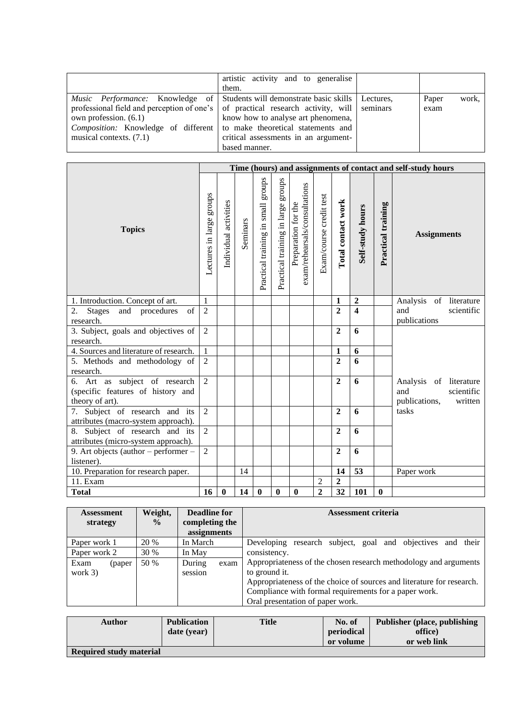|                                                                                                                                                                                                                                                                                                                                    | artistic activity and to generalise<br>them.                                                |                        |
|------------------------------------------------------------------------------------------------------------------------------------------------------------------------------------------------------------------------------------------------------------------------------------------------------------------------------------|---------------------------------------------------------------------------------------------|------------------------|
| <i>Music Performance:</i> Knowledge of Students will demonstrate basic skills Lectures,<br>professional field and perception of one's $\vert$ of practical research activity, will seminars<br>own profession. $(6.1)$<br><i>Composition:</i> Knowledge of different to make theoretical statements and<br>musical contexts. (7.1) | know how to analyse art phenomena,<br>critical assessments in an argument-<br>based manner. | work,<br>Paper<br>exam |

|                                                                                       |                          | Time (hours) and assignments of contact and self-study hours |          |                                       |                                    |                                                      |                         |                    |                     |                    |                                                                         |
|---------------------------------------------------------------------------------------|--------------------------|--------------------------------------------------------------|----------|---------------------------------------|------------------------------------|------------------------------------------------------|-------------------------|--------------------|---------------------|--------------------|-------------------------------------------------------------------------|
| <b>Topics</b>                                                                         | Lectures in large groups | Individual activities                                        | Seminars | sdnong<br>Practical training in small | Practical training in large groups | exam/rehearsals/consultations<br>Preparation for the | Exam/course credit test | Total contact work | Self-study hours    | Practical training | <b>Assignments</b>                                                      |
| 1. Introduction. Concept of art.                                                      | $\mathbf{1}$             |                                                              |          |                                       |                                    |                                                      |                         | $\mathbf{1}$       | $\mathbf 2$         |                    | Analysis of literature                                                  |
| <b>Stages</b><br>and procedures<br>of<br>2.<br>research.                              | $\overline{2}$           |                                                              |          |                                       |                                    |                                                      |                         | $\overline{2}$     | $\overline{\bf{4}}$ |                    | and<br>scientific<br>publications                                       |
| 3. Subject, goals and objectives of<br>research.                                      | 2                        |                                                              |          |                                       |                                    |                                                      |                         | $\mathbf{2}$       | 6                   |                    |                                                                         |
| 4. Sources and literature of research.                                                | 1                        |                                                              |          |                                       |                                    |                                                      |                         | $\mathbf{1}$       | 6                   |                    |                                                                         |
| 5. Methods and methodology of<br>research.                                            | $\overline{2}$           |                                                              |          |                                       |                                    |                                                      |                         | $\overline{2}$     | 6                   |                    |                                                                         |
| 6. Art as subject of research<br>(specific features of history and<br>theory of art). | $\overline{2}$           |                                                              |          |                                       |                                    |                                                      |                         | $\overline{2}$     | 6                   |                    | Analysis of literature<br>scientific<br>and<br>publications,<br>written |
| 7. Subject of research and its<br>attributes (macro-system approach).                 | $\overline{2}$           |                                                              |          |                                       |                                    |                                                      |                         | $\overline{2}$     | 6                   |                    | tasks                                                                   |
| 8. Subject of research and its<br>attributes (micro-system approach).                 | $\overline{2}$           |                                                              |          |                                       |                                    |                                                      |                         | $\overline{2}$     | 6                   |                    |                                                                         |
| 9. Art objects (author $-$ performer $-$<br>listener).                                | 2                        |                                                              |          |                                       |                                    |                                                      |                         | $\overline{2}$     | 6                   |                    |                                                                         |
| 10. Preparation for research paper.                                                   |                          |                                                              | 14       |                                       |                                    |                                                      |                         | 14                 | 53                  |                    | Paper work                                                              |
| 11. Exam                                                                              |                          |                                                              |          |                                       |                                    |                                                      | 2                       | $\overline{2}$     |                     |                    |                                                                         |
| <b>Total</b>                                                                          | 16                       | $\boldsymbol{0}$                                             | 14       | $\bf{0}$                              | $\bf{0}$                           | $\bf{0}$                                             | $\overline{2}$          | 32                 | 101                 | $\bf{0}$           |                                                                         |

| <b>Assessment</b><br>strategy | Weight,<br>$\frac{0}{0}$ | Deadline for<br>completing the<br>assignments | <b>Assessment criteria</b>                                                                                                                                                                                                                              |  |  |  |  |
|-------------------------------|--------------------------|-----------------------------------------------|---------------------------------------------------------------------------------------------------------------------------------------------------------------------------------------------------------------------------------------------------------|--|--|--|--|
| Paper work 1                  | 20 %                     | In March                                      | research subject, goal and objectives and their<br>Developing                                                                                                                                                                                           |  |  |  |  |
| Paper work 2                  | 30 %                     | In May                                        | consistency.                                                                                                                                                                                                                                            |  |  |  |  |
| Exam<br>(paper)<br>work $3)$  | 50 %                     | During<br>exam<br>session                     | Appropriateness of the chosen research methodology and arguments<br>to ground it.<br>Appropriateness of the choice of sources and literature for research.<br>Compliance with formal requirements for a paper work.<br>Oral presentation of paper work. |  |  |  |  |

| <b>Author</b>                  | <b>Publication</b> | <b>Title</b> | No. of     | <b>Publisher (place, publishing)</b> |
|--------------------------------|--------------------|--------------|------------|--------------------------------------|
|                                | date (year)        |              | periodical | office)                              |
|                                |                    |              | or volume  | or web link                          |
| <b>Required study material</b> |                    |              |            |                                      |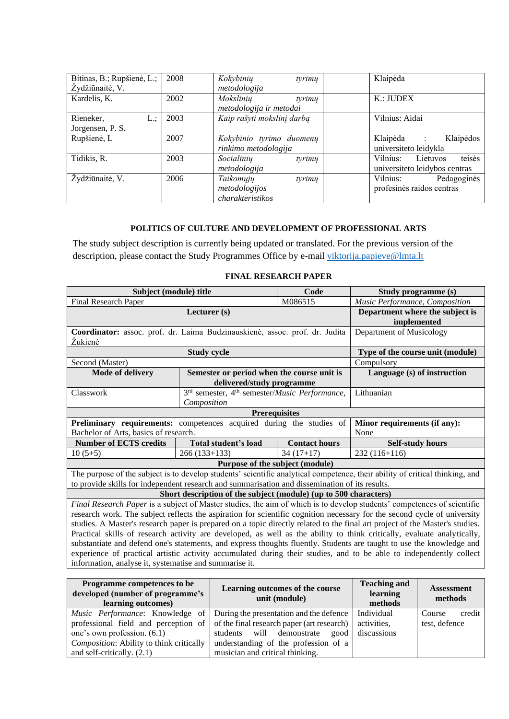| Bitinas, B.; Rupšienė, L.;<br>Žydžiūnaitė, V. | 2008 | Kokybinių<br>tyrimų<br>metodologija                      | Klaipėda                                                         |
|-----------------------------------------------|------|----------------------------------------------------------|------------------------------------------------------------------|
| Kardelis, K.                                  | 2002 | Mokslinių<br>tyrimų<br>metodologija ir metodai           | $K$ .: JUDEX                                                     |
| Rieneker,<br>L.:<br>Jorgensen, P. S.          | 2003 | Kaip rašyti mokslinį darbą                               | Vilnius: Aidai                                                   |
| Rupšienė, L                                   | 2007 | Kokybinio tyrimo duomenų<br>rinkimo metodologija         | Klaipėdos<br>Klaipėda<br>$\sim$ 1.<br>universiteto leidykla      |
| Tidikis, R.                                   | 2003 | Socialinių<br>tyrimų<br>metodologija                     | teisės<br>Vilnius:<br>Lietuvos<br>universite to leidybos centras |
| Žydžiūnaitė, V.                               | 2006 | Taikomųjų<br>tyrimų<br>metodologijos<br>charakteristikos | Vilnius:<br>Pedagoginės<br>profesinės raidos centras             |

### **POLITICS OF CULTURE AND DEVELOPMENT OF PROFESSIONAL ARTS**

<span id="page-20-0"></span>The study subject description is currently being updated or translated. For the previous version of the description, please contact the Study Programmes Office by e-mail [viktorija.papieve@lmta.lt](mailto:viktorija.papieve@lmta.lt)

### **FINAL RESEARCH PAPER**

<span id="page-20-1"></span>

| Subject (module) title                                                                                                  |                                                                  | Code                 | Study programme (s)                                                                                                          |  |  |  |
|-------------------------------------------------------------------------------------------------------------------------|------------------------------------------------------------------|----------------------|------------------------------------------------------------------------------------------------------------------------------|--|--|--|
| <b>Final Research Paper</b>                                                                                             |                                                                  | M086515              | Music Performance, Composition                                                                                               |  |  |  |
|                                                                                                                         | Department where the subject is                                  |                      |                                                                                                                              |  |  |  |
|                                                                                                                         | implemented                                                      |                      |                                                                                                                              |  |  |  |
| Coordinator: assoc. prof. dr. Laima Budzinauskienė, assoc. prof. dr. Judita                                             |                                                                  |                      | Department of Musicology                                                                                                     |  |  |  |
| Žukienė                                                                                                                 |                                                                  |                      |                                                                                                                              |  |  |  |
|                                                                                                                         | <b>Study cycle</b>                                               |                      | Type of the course unit (module)                                                                                             |  |  |  |
| Second (Master)                                                                                                         |                                                                  |                      | Compulsory                                                                                                                   |  |  |  |
| <b>Mode of delivery</b>                                                                                                 | Semester or period when the course unit is                       |                      | Language (s) of instruction                                                                                                  |  |  |  |
|                                                                                                                         | delivered/study programme                                        |                      |                                                                                                                              |  |  |  |
| Classwork                                                                                                               | 3rd semester, 4 <sup>th</sup> semester/Music Performance,        |                      | Lithuanian                                                                                                                   |  |  |  |
|                                                                                                                         | Composition                                                      |                      |                                                                                                                              |  |  |  |
| <b>Prerequisites</b>                                                                                                    |                                                                  |                      |                                                                                                                              |  |  |  |
| Preliminary requirements: competences acquired during the studies of                                                    |                                                                  |                      | Minor requirements (if any):                                                                                                 |  |  |  |
| Bachelor of Arts, basics of research.                                                                                   |                                                                  |                      | None                                                                                                                         |  |  |  |
| <b>Number of ECTS credits</b>                                                                                           | Total student's load                                             | <b>Contact hours</b> | <b>Self-study hours</b>                                                                                                      |  |  |  |
| $10(5+5)$                                                                                                               | $266(133+133)$                                                   | $34(17+17)$          | $232(116+116)$                                                                                                               |  |  |  |
|                                                                                                                         | Purpose of the subject (module)                                  |                      |                                                                                                                              |  |  |  |
|                                                                                                                         |                                                                  |                      | The purpose of the subject is to develop students' scientific analytical competence, their ability of critical thinking, and |  |  |  |
| to provide skills for independent research and summarisation and dissemination of its results.                          |                                                                  |                      |                                                                                                                              |  |  |  |
|                                                                                                                         | Short description of the subject (module) (up to 500 characters) |                      |                                                                                                                              |  |  |  |
|                                                                                                                         |                                                                  |                      | Final Research Paper is a subject of Master studies, the aim of which is to develop students' competences of scientific      |  |  |  |
|                                                                                                                         |                                                                  |                      | research work. The subject reflects the aspiration for scientific cognition necessary for the second cycle of university     |  |  |  |
|                                                                                                                         |                                                                  |                      | studies. A Master's research paper is prepared on a topic directly related to the final art project of the Master's studies. |  |  |  |
| Practical skills of research activity are developed, as well as the ability to think critically, evaluate analytically, |                                                                  |                      |                                                                                                                              |  |  |  |
|                                                                                                                         |                                                                  |                      | substantiate and defend one's statements, and express thoughts fluently. Students are taught to use the knowledge and        |  |  |  |
|                                                                                                                         |                                                                  |                      | experience of practical artistic activity accumulated during their studies, and to be able to independently collect          |  |  |  |
| the contract of the contract of the contract of the contract of the contract of the contract of the contract of         |                                                                  |                      |                                                                                                                              |  |  |  |

information, analyse it, systematise and summarise it.

| <b>Programme competences to be</b><br>developed (number of programme's<br>learning outcomes) | Learning outcomes of the course<br>unit (module)                                        | <b>Teaching and</b><br>learning<br>methods | <b>Assessment</b><br>methods |  |
|----------------------------------------------------------------------------------------------|-----------------------------------------------------------------------------------------|--------------------------------------------|------------------------------|--|
| <i>Music Performance</i> : Knowledge of                                                      | During the presentation and the defence                                                 | Individual                                 | credit<br>Course             |  |
|                                                                                              | professional field and perception of $\vert$ of the final research paper (art research) | activities,                                | test, defence                |  |
| one's own profession. (6.1)                                                                  | students will demonstrate good                                                          | discussions                                |                              |  |
| Composition: Ability to think critically                                                     | understanding of the profession of a                                                    |                                            |                              |  |
| and self-critically. $(2.1)$                                                                 | musician and critical thinking.                                                         |                                            |                              |  |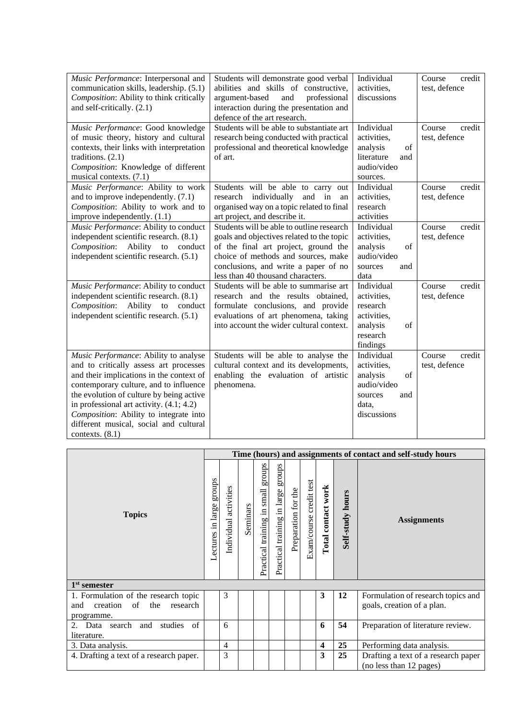| Music Performance: Interpersonal and<br>communication skills, leadership. (5.1)<br>Composition: Ability to think critically<br>and self-critically. (2.1)                                                                                                                                                                                                                | Students will demonstrate good verbal<br>abilities and skills of constructive,<br>argument-based<br>and<br>professional<br>interaction during the presentation and<br>defence of the art research.                                                 | Individual<br>activities,<br>discussions                                                             | Course<br>credit<br>test, defence |
|--------------------------------------------------------------------------------------------------------------------------------------------------------------------------------------------------------------------------------------------------------------------------------------------------------------------------------------------------------------------------|----------------------------------------------------------------------------------------------------------------------------------------------------------------------------------------------------------------------------------------------------|------------------------------------------------------------------------------------------------------|-----------------------------------|
| Music Performance: Good knowledge<br>of music theory, history and cultural<br>contexts, their links with interpretation<br>traditions. $(2.1)$<br>Composition: Knowledge of different<br>musical contexts. (7.1)                                                                                                                                                         | Students will be able to substantiate art<br>research being conducted with practical<br>professional and theoretical knowledge<br>of art.                                                                                                          | Individual<br>activities,<br>analysis<br>of<br>literature<br>and<br>audio/video<br>sources.          | credit<br>Course<br>test, defence |
| Music Performance: Ability to work<br>and to improve independently. (7.1)<br>Composition: Ability to work and to<br>improve independently. (1.1)                                                                                                                                                                                                                         | Students will be able to carry out<br>research individually<br>and in<br>an<br>organised way on a topic related to final<br>art project, and describe it.                                                                                          | Individual<br>activities,<br>research<br>activities                                                  | Course<br>credit<br>test, defence |
| Music Performance: Ability to conduct<br>independent scientific research. (8.1)<br>Composition:<br>Ability<br>to conduct<br>independent scientific research. (5.1)                                                                                                                                                                                                       | Students will be able to outline research<br>goals and objectives related to the topic<br>of the final art project, ground the<br>choice of methods and sources, make<br>conclusions, and write a paper of no<br>less than 40 thousand characters. | Individual<br>activities,<br>analysis<br>of<br>audio/video<br>sources<br>and<br>data                 | Course<br>credit<br>test, defence |
| Music Performance: Ability to conduct<br>independent scientific research. (8.1)<br>Ability<br>Composition:<br>to<br>conduct<br>independent scientific research. (5.1)                                                                                                                                                                                                    | Students will be able to summarise art<br>research and the results obtained,<br>formulate conclusions, and provide<br>evaluations of art phenomena, taking<br>into account the wider cultural context.                                             | Individual<br>activities,<br>research<br>activities,<br>analysis<br>of<br>research<br>findings       | Course<br>credit<br>test, defence |
| Music Performance: Ability to analyse<br>and to critically assess art processes<br>and their implications in the context of<br>contemporary culture, and to influence<br>the evolution of culture by being active<br>in professional art activity. $(4.1; 4.2)$<br>Composition: Ability to integrate into<br>different musical, social and cultural<br>contexts. $(8.1)$ | Students will be able to analyse the<br>cultural context and its developments,<br>enabling the evaluation of artistic<br>phenomena.                                                                                                                | Individual<br>activities,<br>analysis<br>of<br>audio/video<br>sources<br>and<br>data,<br>discussions | Course<br>credit<br>test, defence |

|                                                                                                | Time (hours) and assignments of contact and self-study hours |                          |          |                                                                     |                                       |                     |                         |                         |                  |                                                                  |  |
|------------------------------------------------------------------------------------------------|--------------------------------------------------------------|--------------------------|----------|---------------------------------------------------------------------|---------------------------------------|---------------------|-------------------------|-------------------------|------------------|------------------------------------------------------------------|--|
| <b>Topics</b>                                                                                  | sdnora<br>Lectures in large                                  | activities<br>Individual | Seminars | sdnorß<br>$\ensuremath{\mathsf{small}}$<br>training in<br>Practical | groups<br>Practical training in large | Preparation for the | Exam/course credit test | Total contact work      | Self-study hours | <b>Assignments</b>                                               |  |
| $1st$ semester                                                                                 |                                                              |                          |          |                                                                     |                                       |                     |                         |                         |                  |                                                                  |  |
| 1. Formulation of the research topic<br>of<br>the<br>creation<br>research<br>and<br>programme. |                                                              | 3                        |          |                                                                     |                                       |                     |                         | 3                       | 12               | Formulation of research topics and<br>goals, creation of a plan. |  |
| Data search and<br>studies of<br>2.<br>literature.                                             |                                                              | 6                        |          |                                                                     |                                       |                     |                         | 6                       | 54               | Preparation of literature review.                                |  |
| 3. Data analysis.                                                                              |                                                              | 4                        |          |                                                                     |                                       |                     |                         | $\overline{\mathbf{4}}$ | 25               | Performing data analysis.                                        |  |
| 4. Drafting a text of a research paper.                                                        |                                                              | 3                        |          |                                                                     |                                       |                     |                         | 3                       | 25               | Drafting a text of a research paper<br>(no less than 12 pages)   |  |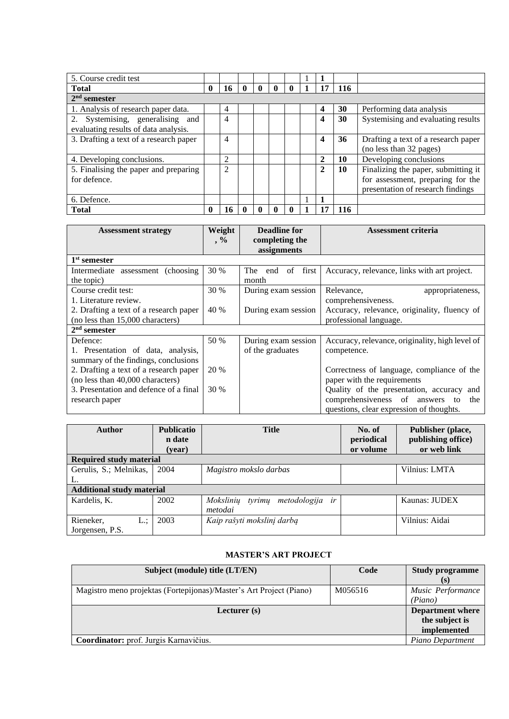| 5. Course credit test                  |          |                |              |          |              |              |                         |     |                                     |
|----------------------------------------|----------|----------------|--------------|----------|--------------|--------------|-------------------------|-----|-------------------------------------|
| <b>Total</b>                           | $\bf{0}$ | 16             | $\mathbf{0}$ | $\bf{0}$ | $\mathbf{0}$ | $\mathbf{0}$ | 17                      | 116 |                                     |
| $2nd$ semester                         |          |                |              |          |              |              |                         |     |                                     |
| 1. Analysis of research paper data.    |          | 4              |              |          |              |              | 4                       | 30  | Performing data analysis            |
| 2. Systemising, generalising and       |          | 4              |              |          |              |              | 4                       | 30  | Systemising and evaluating results  |
| evaluating results of data analysis.   |          |                |              |          |              |              |                         |     |                                     |
| 3. Drafting a text of a research paper |          | 4              |              |          |              |              | $\overline{\mathbf{4}}$ | 36  | Drafting a text of a research paper |
|                                        |          |                |              |          |              |              |                         |     | (no less than 32 pages)             |
| 4. Developing conclusions.             |          | $\overline{2}$ |              |          |              |              | $\mathbf{2}$            | 10  | Developing conclusions              |
| 5. Finalising the paper and preparing  |          | $\overline{2}$ |              |          |              |              | 2                       | 10  | Finalizing the paper, submitting it |
| for defence.                           |          |                |              |          |              |              |                         |     | for assessment, preparing for the   |
|                                        |          |                |              |          |              |              |                         |     | presentation of research findings   |
| 6. Defence.                            |          |                |              |          |              |              |                         |     |                                     |
| <b>Total</b>                           | 0        | 16             |              |          |              |              | 7                       | 116 |                                     |

| <b>Assessment strategy</b>             | Weight | <b>Deadline for</b>                 | <b>Assessment criteria</b>                      |  |  |  |
|----------------------------------------|--------|-------------------------------------|-------------------------------------------------|--|--|--|
|                                        | $, \%$ | completing the<br>assignments       |                                                 |  |  |  |
| 1 <sup>st</sup> semester               |        |                                     |                                                 |  |  |  |
| Intermediate assessment (choosing)     | 30 %   | of first<br>The <sub>1</sub><br>end | Accuracy, relevance, links with art project.    |  |  |  |
| the topic)                             |        | month                               |                                                 |  |  |  |
| Course credit test:                    | 30 %   | During exam session                 | Relevance,<br>appropriateness,                  |  |  |  |
| 1. Literature review.                  |        |                                     | comprehensiveness.                              |  |  |  |
| 2. Drafting a text of a research paper | 40 %   | During exam session                 | Accuracy, relevance, originality, fluency of    |  |  |  |
| (no less than 15,000 characters)       |        |                                     | professional language.                          |  |  |  |
| $2nd$ semester                         |        |                                     |                                                 |  |  |  |
| Defence:                               | 50 %   | During exam session                 | Accuracy, relevance, originality, high level of |  |  |  |
| 1. Presentation of data, analysis,     |        | of the graduates                    | competence.                                     |  |  |  |
| summary of the findings, conclusions   |        |                                     |                                                 |  |  |  |
| 2. Drafting a text of a research paper | 20 %   |                                     | Correctness of language, compliance of the      |  |  |  |
| (no less than 40,000 characters)       |        |                                     | paper with the requirements                     |  |  |  |
| 3. Presentation and defence of a final | 30 %   |                                     | Quality of the presentation, accuracy and       |  |  |  |
| research paper                         |        |                                     | comprehensiveness of answers<br>the<br>to       |  |  |  |
|                                        |        |                                     | questions, clear expression of thoughts.        |  |  |  |

| <b>Author</b>                    | <b>Publicatio</b> | <b>Title</b>                              | No. of     | Publisher (place,  |
|----------------------------------|-------------------|-------------------------------------------|------------|--------------------|
|                                  | n date            |                                           | periodical | publishing office) |
|                                  | (year)            |                                           | or volume  | or web link        |
| <b>Required study material</b>   |                   |                                           |            |                    |
| Gerulis, S.; Melnikas,           | 2004              | Magistro mokslo darbas                    |            | Vilnius: LMTA      |
| L.                               |                   |                                           |            |                    |
| <b>Additional study material</b> |                   |                                           |            |                    |
| Kardelis, K.                     | 2002              | Moksliniu<br>metodologija<br>tyrimų<br>ir |            | Kaunas: JUDEX      |
|                                  |                   | metodai                                   |            |                    |
| Rieneker,<br>$L$ .:              | 2003              | Kaip rašyti mokslinį darbą                |            | Vilnius: Aidai     |
| Jorgensen, P.S.                  |                   |                                           |            |                    |

# **MASTER'S ART PROJECT**

<span id="page-22-0"></span>

| Subject (module) title (LT/EN)                                      | Code    | <b>Study programme</b>  |
|---------------------------------------------------------------------|---------|-------------------------|
|                                                                     |         | (s)                     |
| Magistro meno projektas (Fortepijonas)/Master's Art Project (Piano) | M056516 | Music Performance       |
|                                                                     |         | (Piano)                 |
| Lecturer $(s)$                                                      |         | <b>Department where</b> |
|                                                                     |         | the subject is          |
|                                                                     |         | implemented             |
| Coordinator: prof. Jurgis Karnavičius.                              |         | Piano Department        |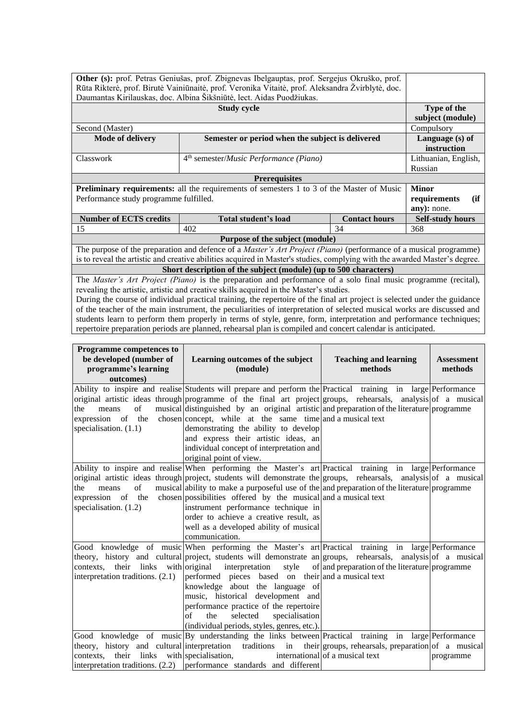|                                                                                                                                                                                                                 | Other (s): prof. Petras Geniušas, prof. Zbignevas Ibelgauptas, prof. Sergejus Okruško, prof.                             |                      |                         |  |  |  |  |
|-----------------------------------------------------------------------------------------------------------------------------------------------------------------------------------------------------------------|--------------------------------------------------------------------------------------------------------------------------|----------------------|-------------------------|--|--|--|--|
|                                                                                                                                                                                                                 |                                                                                                                          |                      |                         |  |  |  |  |
| Rūta Rikterė, prof. Birutė Vainiūnaitė, prof. Veronika Vitaitė, prof. Aleksandra Žvirblytė, doc.                                                                                                                |                                                                                                                          |                      |                         |  |  |  |  |
|                                                                                                                                                                                                                 | Daumantas Kirilauskas, doc. Albina Šikšniūtė, lect. Aidas Puodžiukas.                                                    |                      |                         |  |  |  |  |
|                                                                                                                                                                                                                 | <b>Study cycle</b>                                                                                                       |                      | Type of the             |  |  |  |  |
|                                                                                                                                                                                                                 |                                                                                                                          |                      | subject (module)        |  |  |  |  |
| Second (Master)                                                                                                                                                                                                 |                                                                                                                          |                      | Compulsory              |  |  |  |  |
| <b>Mode of delivery</b>                                                                                                                                                                                         | Semester or period when the subject is delivered                                                                         |                      | Language (s) of         |  |  |  |  |
|                                                                                                                                                                                                                 |                                                                                                                          |                      | instruction             |  |  |  |  |
| Classwork                                                                                                                                                                                                       | 4 <sup>th</sup> semester/ <i>Music Performance</i> (Piano)                                                               |                      | Lithuanian, English,    |  |  |  |  |
|                                                                                                                                                                                                                 |                                                                                                                          |                      | Russian                 |  |  |  |  |
|                                                                                                                                                                                                                 | <b>Prerequisites</b>                                                                                                     |                      |                         |  |  |  |  |
|                                                                                                                                                                                                                 | Preliminary requirements: all the requirements of semesters 1 to 3 of the Master of Music                                |                      | <b>Minor</b>            |  |  |  |  |
| Performance study programme fulfilled.                                                                                                                                                                          |                                                                                                                          |                      | requirements<br>(ii)    |  |  |  |  |
|                                                                                                                                                                                                                 |                                                                                                                          |                      | any): none.             |  |  |  |  |
| <b>Number of ECTS credits</b>                                                                                                                                                                                   | <b>Total student's load</b>                                                                                              | <b>Contact hours</b> | <b>Self-study hours</b> |  |  |  |  |
| 15                                                                                                                                                                                                              | 402                                                                                                                      | 34                   | 368                     |  |  |  |  |
|                                                                                                                                                                                                                 | Purpose of the subject (module)                                                                                          |                      |                         |  |  |  |  |
|                                                                                                                                                                                                                 | The purpose of the preparation and defence of a <i>Master's Art Project (Piano)</i> (performance of a musical programme) |                      |                         |  |  |  |  |
| is to reveal the artistic and creative abilities acquired in Master's studies, complying with the awarded Master's degree.                                                                                      |                                                                                                                          |                      |                         |  |  |  |  |
| Short description of the subject (module) (up to 500 characters)                                                                                                                                                |                                                                                                                          |                      |                         |  |  |  |  |
|                                                                                                                                                                                                                 |                                                                                                                          |                      |                         |  |  |  |  |
| The <i>Master's Art Project (Piano)</i> is the preparation and performance of a solo final music programme (recital),<br>revealing the artistic, artistic and creative skills acquired in the Master's studies. |                                                                                                                          |                      |                         |  |  |  |  |

During the course of individual practical training, the repertoire of the final art project is selected under the guidance of the teacher of the main instrument, the peculiarities of interpretation of selected musical works are discussed and students learn to perform them properly in terms of style, genre, form, interpretation and performance techniques; repertoire preparation periods are planned, rehearsal plan is compiled and concert calendar is anticipated.

| Programme competences to<br>be developed (number of<br>programme's learning<br>outcomes) | Learning outcomes of the subject<br>(module)                                                                                                                                                                                                                                                                                                                                                                                                                                                                                                                | <b>Teaching and learning</b><br>methods        | <b>Assessment</b><br>methods |
|------------------------------------------------------------------------------------------|-------------------------------------------------------------------------------------------------------------------------------------------------------------------------------------------------------------------------------------------------------------------------------------------------------------------------------------------------------------------------------------------------------------------------------------------------------------------------------------------------------------------------------------------------------------|------------------------------------------------|------------------------------|
| of<br>the<br>means<br>expression of the<br>specialisation. $(1.1)$                       | Ability to inspire and realise Students will prepare and perform the Practical training in large Performance<br>original artistic ideas through programme of the final art project groups, rehearsals, analysis of a musical<br>musical distinguished by an original artistic and preparation of the literature programme<br>chosen concept, while at the same time and a musical text<br>demonstrating the ability to develop<br>and express their artistic ideas, an<br>individual concept of interpretation and<br>original point of view.               |                                                |                              |
| of<br>the<br>means<br>specialisation. $(1.2)$                                            | Ability to inspire and realise When performing the Master's art Practical training in large Performance<br>original artistic ideas through project, students will demonstrate the groups, rehearsals, analysis of a musical<br>musical ability to make a purposeful use of the and preparation of the literature programme<br>expression of the chosen possibilities offered by the musical and a musical text<br>instrument performance technique in<br>order to achieve a creative result, as<br>well as a developed ability of musical<br>communication. |                                                |                              |
| contexts.<br>interpretation traditions. (2.1)                                            | Good knowledge of music When performing the Master's art Practical training in large Performance<br>theory, history and cultural project, students will demonstrate an groups, rehearsals, analysis of a musical<br>their links with original interpretation<br>style<br>performed pieces based on their and a musical text<br>knowledge about the language of<br>music, historical development and<br>performance practice of the repertoire<br>selected<br>of<br>the<br>specialisation<br>(individual periods, styles, genres, etc.).                     | of and preparation of the literature programme |                              |
| their links with specialisation,<br>contexts.                                            | Good knowledge of music By understanding the links between Practical training in large Performance<br>theory, history and cultural interpretation traditions in their groups, rehearsals, preparation of a musical<br>interpretation traditions. $(2.2)$ performance standards and different                                                                                                                                                                                                                                                                | international of a musical text                | programme                    |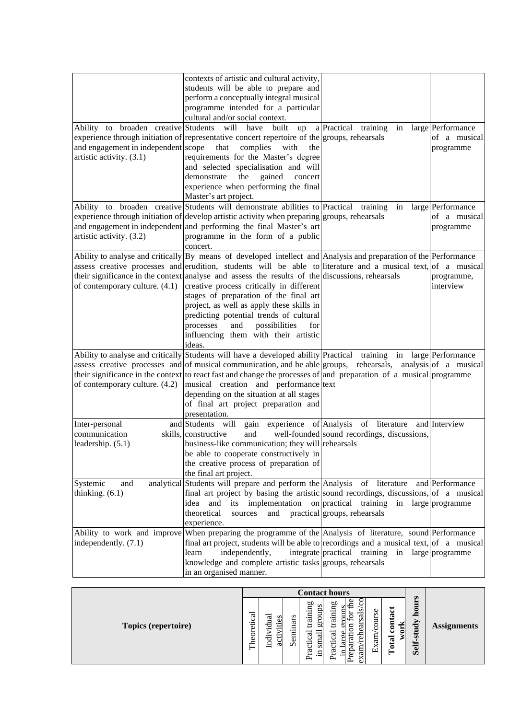|                                                                 | contexts of artistic and cultural activity,<br>students will be able to prepare and                                                                                                   |                                                             |                                   |
|-----------------------------------------------------------------|---------------------------------------------------------------------------------------------------------------------------------------------------------------------------------------|-------------------------------------------------------------|-----------------------------------|
|                                                                 | perform a conceptually integral musical<br>programme intended for a particular                                                                                                        |                                                             |                                   |
| Ability to broaden creative Students will have                  | cultural and/or social context.<br>built<br>up<br>experience through initiation of representative concert repertoire of the groups, rehearsals                                        | a Practical training<br>in                                  | large Performance<br>of a musical |
| and engagement in independent scope<br>artistic activity. (3.1) | that<br>complies<br>with<br>the<br>requirements for the Master's degree                                                                                                               |                                                             | programme                         |
|                                                                 | and selected specialisation and will<br>the<br>demonstrate<br>gained<br>concert                                                                                                       |                                                             |                                   |
|                                                                 | experience when performing the final<br>Master's art project.                                                                                                                         |                                                             |                                   |
|                                                                 | Ability to broaden creative Students will demonstrate abilities to Practical training<br>experience through initiation of develop artistic activity when preparing groups, rehearsals | in                                                          | large Performance<br>of a musical |
|                                                                 | and engagement in independent and performing the final Master's art                                                                                                                   |                                                             | programme                         |
| artistic activity. (3.2)                                        | programme in the form of a public                                                                                                                                                     |                                                             |                                   |
|                                                                 | concert.                                                                                                                                                                              |                                                             |                                   |
|                                                                 | Ability to analyse and critically $\begin{bmatrix} By \text{ means of developed} \end{bmatrix}$ intellect and Analysis and preparation of the Performance                             |                                                             |                                   |
|                                                                 | assess creative processes and erudition, students will be able to literature and a musical text, of a musical                                                                         |                                                             |                                   |
|                                                                 | their significance in the context analyse and assess the results of the discussions, rehearsals                                                                                       |                                                             | programme,                        |
|                                                                 | of contemporary culture. $(4.1)$ creative process critically in different                                                                                                             |                                                             | interview                         |
|                                                                 | stages of preparation of the final art                                                                                                                                                |                                                             |                                   |
|                                                                 | project, as well as apply these skills in                                                                                                                                             |                                                             |                                   |
|                                                                 | predicting potential trends of cultural                                                                                                                                               |                                                             |                                   |
|                                                                 | and<br>possibilities<br>processes<br>for                                                                                                                                              |                                                             |                                   |
|                                                                 | influencing them with their artistic<br>ideas.                                                                                                                                        |                                                             |                                   |
|                                                                 | Ability to analyse and critically Students will have a developed ability Practical training in large Performance                                                                      |                                                             |                                   |
|                                                                 | assess creative processes and of musical communication, and be able groups, rehearsals, analysis of a musical                                                                         |                                                             |                                   |
|                                                                 | their significance in the context to react fast and change the processes of and preparation of a musical programme                                                                    |                                                             |                                   |
| of contemporary culture. (4.2)                                  | musical creation and performance text                                                                                                                                                 |                                                             |                                   |
|                                                                 | depending on the situation at all stages                                                                                                                                              |                                                             |                                   |
|                                                                 | of final art project preparation and                                                                                                                                                  |                                                             |                                   |
|                                                                 | presentation.                                                                                                                                                                         |                                                             |                                   |
| Inter-personal<br>communication                                 | and Students will gain experience of Analysis of literature<br>and<br>skills, constructive                                                                                            | well-founded sound recordings, discussions,                 | and Interview                     |
| leadership. (5.1)                                               | business-like communication; they will rehearsals                                                                                                                                     |                                                             |                                   |
|                                                                 | be able to cooperate constructively in                                                                                                                                                |                                                             |                                   |
|                                                                 | the creative process of preparation of                                                                                                                                                |                                                             |                                   |
|                                                                 | the final art project.                                                                                                                                                                |                                                             |                                   |
| Systemic<br>and                                                 | analytical Students will prepare and perform the Analysis of literature                                                                                                               |                                                             | and Performance                   |
| thinking. $(6.1)$                                               | final art project by basing the artistic sound recordings, discussions, of a musical                                                                                                  |                                                             |                                   |
|                                                                 | and<br>idea                                                                                                                                                                           | its implementation on practical training in large programme |                                   |
|                                                                 | theoretical<br>and<br>sources                                                                                                                                                         | practical groups, rehearsals                                |                                   |
|                                                                 | experience.                                                                                                                                                                           |                                                             |                                   |
|                                                                 | Ability to work and improve When preparing the programme of the Analysis of literature, sound Performance                                                                             |                                                             |                                   |
| independently. (7.1)                                            | final art project, students will be able to recordings and a musical text, of a musical                                                                                               |                                                             |                                   |
|                                                                 | independently,<br>learn                                                                                                                                                               | integrate practical training                                | in large programme                |
|                                                                 | knowledge and complete artistic tasks groups, rehearsals                                                                                                                              |                                                             |                                   |
|                                                                 | in an organised manner.                                                                                                                                                               |                                                             |                                   |

|                            |                 |                                                         |                  |                                                                 | <b>Contact hours</b>                                                                              |                               |                                   |                            |                    |
|----------------------------|-----------------|---------------------------------------------------------|------------------|-----------------------------------------------------------------|---------------------------------------------------------------------------------------------------|-------------------------------|-----------------------------------|----------------------------|--------------------|
| <b>Topics (repertoire)</b> | ದ<br>oreti<br>ξ | ಸ<br>∞⊧<br>Ë<br>ᆷ<br>$\overline{\phantom{a}}$<br>Ĕ<br>ದ | nars<br>Ë<br>Sej | ρО<br>groups<br>.드<br>train<br>ದ<br>smal<br>ॱਜ਼<br>ದ<br>.급<br>۳ | ρO<br>岳<br>trainin<br>–<br>ದ<br>s<br>ಡ<br>⊏<br>ω<br>ctical<br>reh<br>ದ<br>щ<br>ದ<br>Pre<br>۰<br>ω | Se<br>E<br>ō<br>Ō<br>am<br>ங் | ರ<br>Š<br>ខី<br>work<br>otal<br>⊨ | hours<br>udy<br>5<br>Self. | <b>Assignments</b> |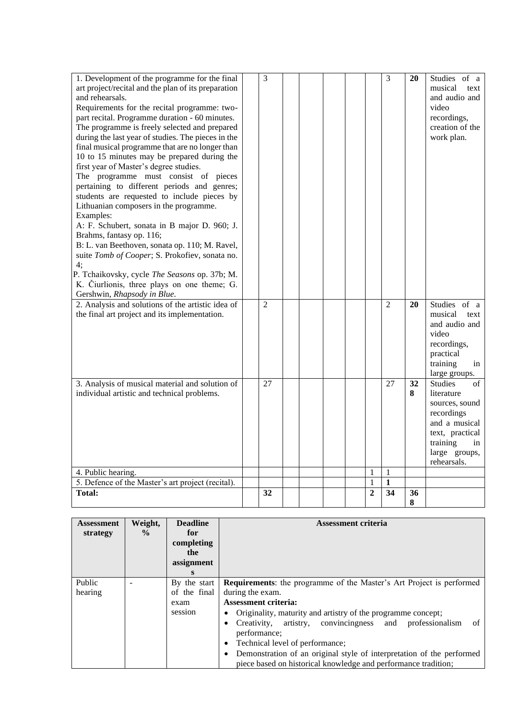| 1. Development of the programme for the final<br>art project/recital and the plan of its preparation<br>and rehearsals.<br>Requirements for the recital programme: two-<br>part recital. Programme duration - 60 minutes.<br>The programme is freely selected and prepared<br>during the last year of studies. The pieces in the<br>final musical programme that are no longer than | 3              |  |  |                | 3              | 20      | Studies of a<br>musical<br>text<br>and audio and<br>video<br>recordings,<br>creation of the<br>work plan.                                                        |
|-------------------------------------------------------------------------------------------------------------------------------------------------------------------------------------------------------------------------------------------------------------------------------------------------------------------------------------------------------------------------------------|----------------|--|--|----------------|----------------|---------|------------------------------------------------------------------------------------------------------------------------------------------------------------------|
| 10 to 15 minutes may be prepared during the<br>first year of Master's degree studies.<br>The programme must consist of pieces<br>pertaining to different periods and genres;<br>students are requested to include pieces by<br>Lithuanian composers in the programme.<br>Examples:<br>A: F. Schubert, sonata in B major D. 960; J.                                                  |                |  |  |                |                |         |                                                                                                                                                                  |
| Brahms, fantasy op. 116;<br>B: L. van Beethoven, sonata op. 110; M. Ravel,<br>suite Tomb of Cooper; S. Prokofiev, sonata no.<br>4;<br>P. Tchaikovsky, cycle The Seasons op. 37b; M.<br>K. Čiurlionis, three plays on one theme; G.<br>Gershwin, Rhapsody in Blue.                                                                                                                   |                |  |  |                |                |         |                                                                                                                                                                  |
| 2. Analysis and solutions of the artistic idea of<br>the final art project and its implementation.                                                                                                                                                                                                                                                                                  | $\overline{2}$ |  |  |                | $\overline{2}$ | 20      | Studies of a<br>musical<br>text<br>and audio and<br>video<br>recordings,<br>practical<br>training<br>in<br>large groups.                                         |
| 3. Analysis of musical material and solution of<br>individual artistic and technical problems.                                                                                                                                                                                                                                                                                      | 27             |  |  |                | 27             | 32<br>8 | <b>Studies</b><br>$\sigma$ f<br>literature<br>sources, sound<br>recordings<br>and a musical<br>text, practical<br>training<br>in<br>large groups,<br>rehearsals. |
| 4. Public hearing.                                                                                                                                                                                                                                                                                                                                                                  |                |  |  | 1              | $\mathbf{1}$   |         |                                                                                                                                                                  |
| 5. Defence of the Master's art project (recital).                                                                                                                                                                                                                                                                                                                                   |                |  |  | $\mathbf{1}$   | $\mathbf{1}$   |         |                                                                                                                                                                  |
| <b>Total:</b>                                                                                                                                                                                                                                                                                                                                                                       | 32             |  |  | $\overline{2}$ | 34             | 36<br>8 |                                                                                                                                                                  |

| <b>Assessment</b> | Weight,       | <b>Deadline</b> | <b>Assessment criteria</b>                                                         |
|-------------------|---------------|-----------------|------------------------------------------------------------------------------------|
| strategy          | $\frac{0}{0}$ | for             |                                                                                    |
|                   |               | completing      |                                                                                    |
|                   |               | the             |                                                                                    |
|                   |               | assignment      |                                                                                    |
|                   |               | S               |                                                                                    |
| Public            |               | By the start    | <b>Requirements:</b> the programme of the Master's Art Project is performed        |
| hearing           |               | of the final    | during the exam.                                                                   |
|                   |               | exam            | <b>Assessment criteria:</b>                                                        |
|                   |               | session         | Originality, maturity and artistry of the programme concept;<br>٠                  |
|                   |               |                 | artistry, convincingness and professionalism<br>of<br>Creativity,                  |
|                   |               |                 | performance:                                                                       |
|                   |               |                 | Technical level of performance;<br>٠                                               |
|                   |               |                 | Demonstration of an original style of interpretation of the performed<br>$\bullet$ |
|                   |               |                 | piece based on historical knowledge and performance tradition;                     |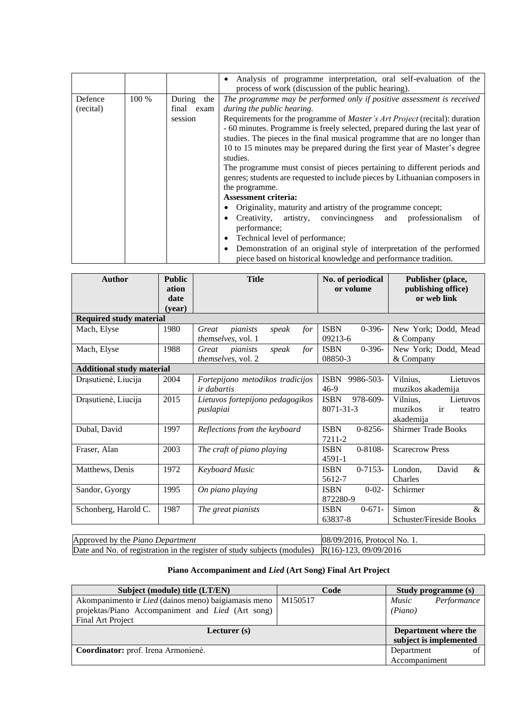|           |       |               | Analysis of programme interpretation, oral self-evaluation of the<br>$\bullet$<br>process of work (discussion of the public hearing). |  |  |  |  |  |  |
|-----------|-------|---------------|---------------------------------------------------------------------------------------------------------------------------------------|--|--|--|--|--|--|
| Defence   | 100 % | During<br>the | The programme may be performed only if positive assessment is received                                                                |  |  |  |  |  |  |
| (recital) |       | final exam    | during the public hearing.                                                                                                            |  |  |  |  |  |  |
|           |       | session       | Requirements for the programme of <i>Master's Art Project</i> (recital): duration                                                     |  |  |  |  |  |  |
|           |       |               | - 60 minutes. Programme is freely selected, prepared during the last year of                                                          |  |  |  |  |  |  |
|           |       |               | studies. The pieces in the final musical programme that are no longer than                                                            |  |  |  |  |  |  |
|           |       |               | 10 to 15 minutes may be prepared during the first year of Master's degree                                                             |  |  |  |  |  |  |
|           |       |               | studies.                                                                                                                              |  |  |  |  |  |  |
|           |       |               | The programme must consist of pieces pertaining to different periods and                                                              |  |  |  |  |  |  |
|           |       |               | genres; students are requested to include pieces by Lithuanian composers in                                                           |  |  |  |  |  |  |
|           |       |               | the programme.                                                                                                                        |  |  |  |  |  |  |
|           |       |               | <b>Assessment criteria:</b>                                                                                                           |  |  |  |  |  |  |
|           |       |               | Originality, maturity and artistry of the programme concept;                                                                          |  |  |  |  |  |  |
|           |       |               | Creativity, artistry, convincingness<br>and professionalism<br>of<br>٠                                                                |  |  |  |  |  |  |
|           |       |               | performance;                                                                                                                          |  |  |  |  |  |  |
|           |       |               | Technical level of performance;<br>٠                                                                                                  |  |  |  |  |  |  |
|           |       |               | Demonstration of an original style of interpretation of the performed<br>$\bullet$                                                    |  |  |  |  |  |  |
|           |       |               | piece based on historical knowledge and performance tradition.                                                                        |  |  |  |  |  |  |

| <b>Author</b>                    | <b>Public</b><br>ation<br>date<br>(vear) | <b>Title</b>                                            | No. of periodical<br>or volume            | Publisher (place,<br>publishing office)<br>or web link          |  |  |  |  |  |  |  |
|----------------------------------|------------------------------------------|---------------------------------------------------------|-------------------------------------------|-----------------------------------------------------------------|--|--|--|--|--|--|--|
| <b>Required study material</b>   |                                          |                                                         |                                           |                                                                 |  |  |  |  |  |  |  |
| Mach, Elyse                      | 1980                                     | Great<br>pianists<br>for<br>speak<br>themselves, vol. 1 | <b>ISBN</b><br>$0-396-$<br>09213-6        | New York; Dodd, Mead<br>& Company                               |  |  |  |  |  |  |  |
| Mach, Elyse                      | 1988                                     | for<br>speak<br>Great<br>pianists<br>themselves, vol. 2 | $0 - 396 -$<br><b>ISBN</b><br>08850-3     | New York; Dodd, Mead<br>& Company                               |  |  |  |  |  |  |  |
| <b>Additional study material</b> |                                          |                                                         |                                           |                                                                 |  |  |  |  |  |  |  |
| Drąsutienė, Liucija              | 2004                                     | Fortepijono metodikos tradicijos<br><i>ir dabartis</i>  | <b>ISBN</b><br>9986-503-<br>$46-9$        | Vilnius,<br>Lietuvos<br>muzikos akademija                       |  |  |  |  |  |  |  |
| Drąsutienė, Liucija              | 2015                                     | Lietuvos fortepijono pedagogikos<br>puslapiai           | 978-609-<br><b>ISBN</b><br>8071-31-3      | Vilnius,<br>Lietuvos<br>ir<br>muzikos<br>teatro<br>akademija    |  |  |  |  |  |  |  |
| Dubal, David                     | 1997                                     | Reflections from the keyboard                           | $0 - 8256 -$<br><b>ISBN</b><br>7211-2     | <b>Shirmer Trade Books</b>                                      |  |  |  |  |  |  |  |
| Fraser, Alan                     | 2003                                     | The craft of piano playing                              | $0 - 8108 -$<br><b>ISBN</b><br>$4591 - 1$ | <b>Scarecrow Press</b>                                          |  |  |  |  |  |  |  |
| Matthews, Denis                  | 1972                                     | <b>Keyboard Music</b>                                   | $0 - 7153 -$<br><b>ISBN</b><br>5612-7     | David<br>$\&$<br>London.<br>Charles                             |  |  |  |  |  |  |  |
| Sandor, Gyorgy                   | 1995                                     | On piano playing                                        | $0 - 02 -$<br><b>ISBN</b><br>872280-9     | Schirmer                                                        |  |  |  |  |  |  |  |
| Schonberg, Harold C.             | 1987                                     | The great pianists                                      | $0 - 671 -$<br><b>ISBN</b><br>63837-8     | Simon<br>$\mathcal{R}_{\mathcal{L}}$<br>Schuster/Fireside Books |  |  |  |  |  |  |  |

| Approved by the Piano Department                                                                  | $08/09/2016$ . Protocol No. 1. |
|---------------------------------------------------------------------------------------------------|--------------------------------|
| Date and No. of registration in the register of study subjects (modules) $R(16)-123$ , 09/09/2016 |                                |

# **Piano Accompaniment and** *Lied* **(Art Song) Final Art Project**

| Subject (module) title (LT/EN)                           | Code    | Study programme (s)    |             |
|----------------------------------------------------------|---------|------------------------|-------------|
| Akompanimento ir Lied (dainos meno) baigiamasis meno     | M150517 | <i>Music</i>           | Performance |
| projektas/Piano Accompaniment and <i>Lied</i> (Art song) |         | (Piano)                |             |
| Final Art Project                                        |         |                        |             |
| Lecturer $(s)$                                           |         | Department where the   |             |
|                                                          |         | subject is implemented |             |
| Coordinator: prof. Irena Armonienė.                      |         | Department             | of          |
|                                                          |         | Accompaniment          |             |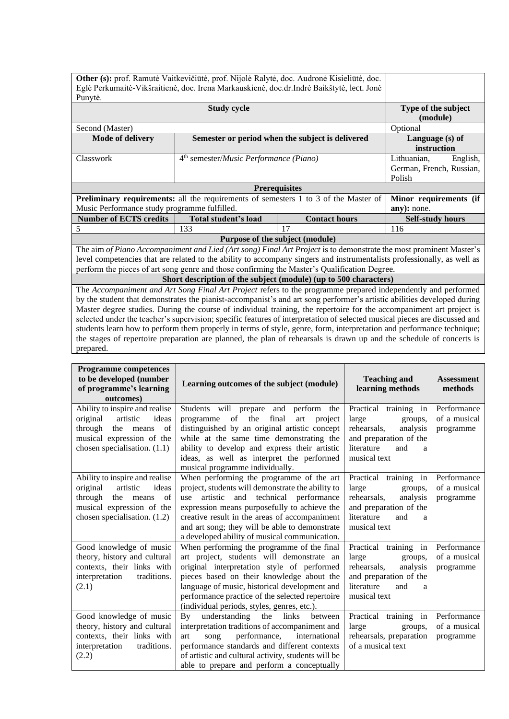|                                                                                                                         |                                                                     | Other (s): prof. Ramutė Vaitkevičiūtė, prof. Nijolė Ralytė, doc. Audronė Kisieliūtė, doc.                          |                         |  |  |
|-------------------------------------------------------------------------------------------------------------------------|---------------------------------------------------------------------|--------------------------------------------------------------------------------------------------------------------|-------------------------|--|--|
| Eglė Perkumaitė-Vikšraitienė, doc. Irena Markauskienė, doc.dr.Indrė Baikštytė, lect. Jonė                               |                                                                     |                                                                                                                    |                         |  |  |
| Punytė.                                                                                                                 |                                                                     |                                                                                                                    |                         |  |  |
|                                                                                                                         | Type of the subject                                                 |                                                                                                                    |                         |  |  |
|                                                                                                                         | (module)                                                            |                                                                                                                    |                         |  |  |
| Second (Master)                                                                                                         | Optional                                                            |                                                                                                                    |                         |  |  |
| <b>Mode of delivery</b>                                                                                                 | Language (s) of                                                     |                                                                                                                    |                         |  |  |
|                                                                                                                         | instruction                                                         |                                                                                                                    |                         |  |  |
| Classwork                                                                                                               | 4 <sup>th</sup> semester/ <i>Music Performance</i> ( <i>Piano</i> ) | Lithuanian,<br>English,                                                                                            |                         |  |  |
|                                                                                                                         |                                                                     | German, French, Russian,                                                                                           |                         |  |  |
|                                                                                                                         |                                                                     |                                                                                                                    | Polish                  |  |  |
|                                                                                                                         |                                                                     | <b>Prerequisites</b>                                                                                               |                         |  |  |
|                                                                                                                         |                                                                     | <b>Preliminary requirements:</b> all the requirements of semesters 1 to 3 of the Master of                         | Minor requirements (if  |  |  |
| Music Performance study programme fulfilled.                                                                            |                                                                     |                                                                                                                    | any): none.             |  |  |
| <b>Number of ECTS credits</b>                                                                                           | Total student's load                                                | <b>Contact hours</b>                                                                                               | <b>Self-study hours</b> |  |  |
| 5                                                                                                                       | 133                                                                 | 17                                                                                                                 | 116                     |  |  |
|                                                                                                                         |                                                                     | Purpose of the subject (module)                                                                                    |                         |  |  |
|                                                                                                                         |                                                                     | The aim of Piano Accompaniment and Lied (Art song) Final Art Project is to demonstrate the most prominent Master's |                         |  |  |
| level competencies that are related to the ability to accompany singers and instrumentalists professionally, as well as |                                                                     |                                                                                                                    |                         |  |  |

perform the pieces of art song genre and those confirming the Master's Qualification Degree.

**Short description of the subject (module) (up to 500 characters)**

The *Accompaniment and Art Song Final Art Project* refers to the programme prepared independently and performed by the student that demonstrates the pianist-accompanist's and art song performer's artistic abilities developed during Master degree studies. During the course of individual training, the repertoire for the accompaniment art project is selected under the teacher's supervision; specific features of interpretation of selected musical pieces are discussed and students learn how to perform them properly in terms of style, genre, form, interpretation and performance technique; the stages of repertoire preparation are planned, the plan of rehearsals is drawn up and the schedule of concerts is prepared.

| <b>Programme competences</b><br>to be developed (number<br>of programme's learning<br>outcomes)                                                                 | Learning outcomes of the subject (module)                                                                                                                                                                                                                                                                                                      | <b>Teaching and</b><br>learning methods                                                                                                  | <b>Assessment</b><br>methods             |
|-----------------------------------------------------------------------------------------------------------------------------------------------------------------|------------------------------------------------------------------------------------------------------------------------------------------------------------------------------------------------------------------------------------------------------------------------------------------------------------------------------------------------|------------------------------------------------------------------------------------------------------------------------------------------|------------------------------------------|
| Ability to inspire and realise<br>original<br>artistic<br>ideas<br>through<br>the<br>of<br>means<br>musical expression of the<br>chosen specialisation. $(1.1)$ | Students will prepare and<br>perform the<br>of the<br>final<br>programme<br>project<br>art<br>distinguished by an original artistic concept<br>while at the same time demonstrating the<br>ability to develop and express their artistic<br>ideas, as well as interpret the performed<br>musical programme individually.                       | Practical training in<br>large<br>groups,<br>rehearsals,<br>analysis<br>and preparation of the<br>literature<br>and<br>a<br>musical text | Performance<br>of a musical<br>programme |
| Ability to inspire and realise<br>artistic<br>ideas<br>original<br>through<br>the means<br>of<br>musical expression of the<br>chosen specialisation. (1.2)      | When performing the programme of the art<br>project, students will demonstrate the ability to<br>artistic and technical performance<br>use<br>expression means purposefully to achieve the<br>creative result in the areas of accompaniment<br>and art song; they will be able to demonstrate<br>a developed ability of musical communication. | Practical training in<br>large<br>groups,<br>rehearsals,<br>analysis<br>and preparation of the<br>literature<br>and<br>a<br>musical text | Performance<br>of a musical<br>programme |
| Good knowledge of music<br>theory, history and cultural<br>contexts, their links with<br>interpretation<br>traditions.<br>(2.1)                                 | When performing the programme of the final<br>art project, students will demonstrate an<br>original interpretation style of performed<br>pieces based on their knowledge about the<br>language of music, historical development and<br>performance practice of the selected repertoire<br>(individual periods, styles, genres, etc.).          | Practical training in<br>large<br>groups,<br>rehearsals,<br>analysis<br>and preparation of the<br>literature<br>and<br>a<br>musical text | Performance<br>of a musical<br>programme |
| Good knowledge of music<br>theory, history and cultural<br>contexts, their links with<br>interpretation<br>traditions.<br>(2.2)                                 | understanding<br>the<br>links<br>By<br>between<br>interpretation traditions of accompaniment and<br>performance,<br>international<br>art<br>song<br>performance standards and different contexts<br>of artistic and cultural activity, students will be<br>able to prepare and perform a conceptually                                          | Practical training in<br>large<br>groups,<br>rehearsals, preparation<br>of a musical text                                                | Performance<br>of a musical<br>programme |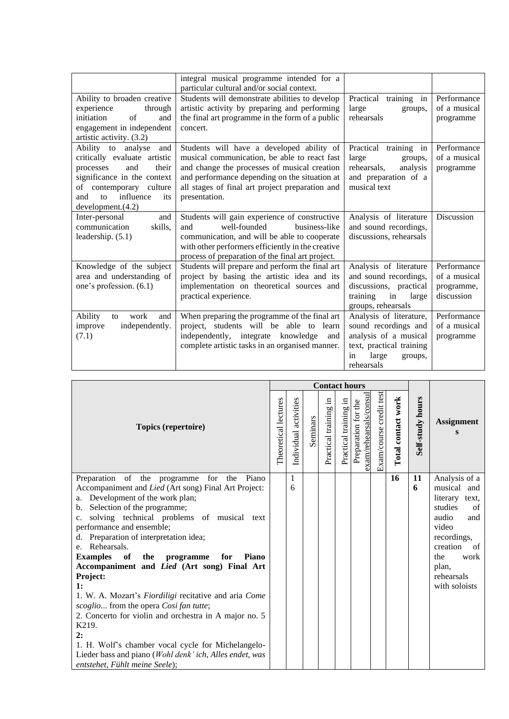|                               | integral musical programme intended for a         |                          |              |
|-------------------------------|---------------------------------------------------|--------------------------|--------------|
|                               | particular cultural and/or social context.        |                          |              |
| Ability to broaden creative   | Students will demonstrate abilities to develop    | Practical training in    | Performance  |
| experience<br>through         | artistic activity by preparing and performing     | large<br>groups,         | of a musical |
| of<br>initiation<br>and       | the final art programme in the form of a public   | rehearsals               | programme    |
| engagement in independent     | concert.                                          |                          |              |
| artistic activity. (3.2)      |                                                   |                          |              |
| Ability to analyse<br>and     | Students will have a developed ability of         | Practical training in    | Performance  |
| critically evaluate artistic  | musical communication, be able to react fast      | large<br>groups,         | of a musical |
| and<br>their<br>processes     | and change the processes of musical creation      | rehearsals,<br>analysis  | programme    |
| significance in the context   | and performance depending on the situation at     | and preparation of a     |              |
| contemporary<br>culture<br>of | all stages of final art project preparation and   | musical text             |              |
| influence<br>and<br>to<br>its | presentation.                                     |                          |              |
| development. (4.2)            |                                                   |                          |              |
| Inter-personal<br>and         | Students will gain experience of constructive     | Analysis of literature   | Discussion   |
| communication<br>skills,      | well-founded<br>business-like<br>and              | and sound recordings,    |              |
| leadership. (5.1)             | communication, and will be able to cooperate      | discussions, rehearsals  |              |
|                               | with other performers efficiently in the creative |                          |              |
|                               | process of preparation of the final art project.  |                          |              |
| Knowledge of the subject      | Students will prepare and perform the final art   | Analysis of literature   | Performance  |
| area and understanding of     | project by basing the artistic idea and its       | and sound recordings,    | of a musical |
| one's profession. (6.1)       | implementation on theoretical sources and         | discussions, practical   | programme,   |
|                               | practical experience.                             | training<br>in<br>large  | discussion   |
|                               |                                                   | groups, rehearsals       |              |
| Ability<br>work<br>to<br>and  | When preparing the programme of the final art     | Analysis of literature,  | Performance  |
| improve<br>independently.     | project, students will be able to learn           | sound recordings and     | of a musical |
| (7.1)                         | independently, integrate<br>knowledge<br>and      | analysis of a musical    | programme    |
|                               | complete artistic tasks in an organised manner.   | text, practical training |              |
|                               |                                                   | large<br>in<br>groups,   |              |
|                               |                                                   | rehearsals               |              |

|                                                                                                                                                                                                                                                                                                                                                                                                                                                                                                                                                                                                                                                                                                                                                                          |                      |                       |          | <b>Contact hours</b>     |                       |                                                  |                         |                    |                  |                                                                                                                                                                                     |
|--------------------------------------------------------------------------------------------------------------------------------------------------------------------------------------------------------------------------------------------------------------------------------------------------------------------------------------------------------------------------------------------------------------------------------------------------------------------------------------------------------------------------------------------------------------------------------------------------------------------------------------------------------------------------------------------------------------------------------------------------------------------------|----------------------|-----------------------|----------|--------------------------|-----------------------|--------------------------------------------------|-------------------------|--------------------|------------------|-------------------------------------------------------------------------------------------------------------------------------------------------------------------------------------|
| Topics (repertoire)                                                                                                                                                                                                                                                                                                                                                                                                                                                                                                                                                                                                                                                                                                                                                      | Theoretical lectures | Individual activities | Seminars | 크.<br>Practical training | Practical training in | exam/rehearsals/consui<br>the<br>Preparation for | Exam/course credit test | Total contact work | Self-study hours | <b>Assignment</b><br>S                                                                                                                                                              |
| Preparation of the programme for<br>the<br>Piano<br>Accompaniment and Lied (Art song) Final Art Project:<br>a. Development of the work plan;<br>b. Selection of the programme;<br>solving technical problems of musical text<br>$c_{\cdot}$<br>performance and ensemble;<br>d. Preparation of interpretation idea;<br>Rehearsals.<br>e.<br><b>Examples</b><br>of<br>the<br>for<br><b>Piano</b><br>programme<br>Accompaniment and Lied (Art song) Final Art<br>Project:<br>1:<br>1. W. A. Mozart's Fiordiligi recitative and aria Come<br>scoglio from the opera Cosi fan tutte;<br>2. Concerto for violin and orchestra in A major no. 5<br>K219.<br>2:<br>1. H. Wolf's chamber vocal cycle for Michelangelo-<br>Lieder bass and piano (Wohl denk' ich, Alles endet, was |                      | $\mathbf{1}$<br>6     |          |                          |                       |                                                  |                         | 16                 | 11<br>6          | Analysis of a<br>musical<br>and<br>literary text,<br>studies<br>of<br>audio<br>and<br>video<br>recordings,<br>creation<br>of<br>the<br>work<br>plan,<br>rehearsals<br>with soloists |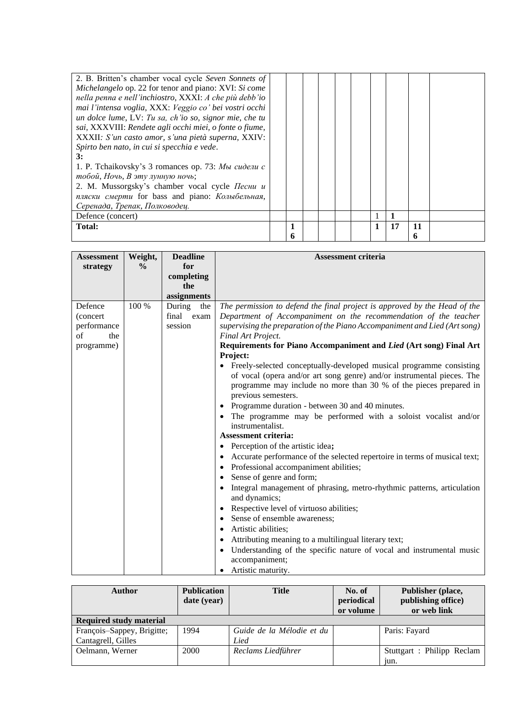| 2. B. Britten's chamber vocal cycle Seven Sonnets of    |   |  |  |    |    |  |
|---------------------------------------------------------|---|--|--|----|----|--|
| Michelangelo op. 22 for tenor and piano: XVI: Si come   |   |  |  |    |    |  |
| nella penna e nell'inchiostro, XXXI: A che più debb'io  |   |  |  |    |    |  |
| mai l'intensa voglia, XXX: Veggio co' bei vostri occhi  |   |  |  |    |    |  |
| un dolce lume, LV: Tu sa, ch'io so, signor mie, che tu  |   |  |  |    |    |  |
| sai, XXXVIII: Rendete agli occhi miei, o fonte o fiume, |   |  |  |    |    |  |
| XXXII: S'un casto amor, s'una pietà superna, XXIV:      |   |  |  |    |    |  |
| Spirto ben nato, in cui si specchia e vede.             |   |  |  |    |    |  |
| 3:                                                      |   |  |  |    |    |  |
| 1. P. Tchaikovsky's 3 romances op. 73: Мы сидели с      |   |  |  |    |    |  |
| тобой, Ночь, В эту лунную ночь;                         |   |  |  |    |    |  |
| 2. M. Mussorgsky's chamber vocal cycle Песни и          |   |  |  |    |    |  |
| пляски смерти for bass and piano: Колыбельная,          |   |  |  |    |    |  |
| Серенада, Трепак, Полководец.                           |   |  |  |    |    |  |
| Defence (concert)                                       |   |  |  |    |    |  |
| Total:                                                  |   |  |  | 17 | 11 |  |
|                                                         | 6 |  |  |    | n  |  |

| <b>Assessment</b>         | Weight,       | <b>Deadline</b> | <b>Assessment criteria</b>                                                                                                                                                                                                                                                                                  |  |  |  |  |  |  |
|---------------------------|---------------|-----------------|-------------------------------------------------------------------------------------------------------------------------------------------------------------------------------------------------------------------------------------------------------------------------------------------------------------|--|--|--|--|--|--|
| strategy                  | $\frac{0}{0}$ | for             |                                                                                                                                                                                                                                                                                                             |  |  |  |  |  |  |
|                           |               | completing      |                                                                                                                                                                                                                                                                                                             |  |  |  |  |  |  |
|                           |               | the             |                                                                                                                                                                                                                                                                                                             |  |  |  |  |  |  |
|                           |               | assignments     |                                                                                                                                                                                                                                                                                                             |  |  |  |  |  |  |
| Defence                   | 100 %         | During<br>the   | The permission to defend the final project is approved by the Head of the                                                                                                                                                                                                                                   |  |  |  |  |  |  |
| (concert)                 |               | final exam      | Department of Accompaniment on the recommendation of the teacher                                                                                                                                                                                                                                            |  |  |  |  |  |  |
| performance<br>$\sigma$ f |               | session         | supervising the preparation of the Piano Accompaniment and Lied (Art song)                                                                                                                                                                                                                                  |  |  |  |  |  |  |
| the                       |               |                 | Final Art Project.                                                                                                                                                                                                                                                                                          |  |  |  |  |  |  |
| programme)                |               |                 | Requirements for Piano Accompaniment and Lied (Art song) Final Art<br>Project:                                                                                                                                                                                                                              |  |  |  |  |  |  |
|                           |               |                 | • Freely-selected conceptually-developed musical programme consisting<br>of vocal (opera and/or art song genre) and/or instrumental pieces. The<br>programme may include no more than 30 % of the pieces prepared in<br>previous semesters.<br>Programme duration - between 30 and 40 minutes.<br>$\bullet$ |  |  |  |  |  |  |
|                           |               |                 | The programme may be performed with a soloist vocalist and/or<br>instrumentalist.                                                                                                                                                                                                                           |  |  |  |  |  |  |
|                           |               |                 | <b>Assessment criteria:</b>                                                                                                                                                                                                                                                                                 |  |  |  |  |  |  |
|                           |               |                 | Perception of the artistic idea;<br>$\bullet$                                                                                                                                                                                                                                                               |  |  |  |  |  |  |
|                           |               |                 | Accurate performance of the selected repertoire in terms of musical text;<br>Professional accompaniment abilities;<br>$\bullet$                                                                                                                                                                             |  |  |  |  |  |  |
|                           |               |                 | Sense of genre and form;<br>$\bullet$                                                                                                                                                                                                                                                                       |  |  |  |  |  |  |
|                           |               |                 | Integral management of phrasing, metro-rhythmic patterns, articulation<br>$\bullet$<br>and dynamics;                                                                                                                                                                                                        |  |  |  |  |  |  |
|                           |               |                 | Respective level of virtuoso abilities;<br>$\bullet$                                                                                                                                                                                                                                                        |  |  |  |  |  |  |
|                           |               |                 | Sense of ensemble awareness;<br>$\bullet$                                                                                                                                                                                                                                                                   |  |  |  |  |  |  |
|                           |               |                 | Artistic abilities;<br>$\bullet$                                                                                                                                                                                                                                                                            |  |  |  |  |  |  |
|                           |               |                 | Attributing meaning to a multilingual literary text;<br>$\bullet$                                                                                                                                                                                                                                           |  |  |  |  |  |  |
|                           |               |                 | Understanding of the specific nature of vocal and instrumental music<br>accompaniment;                                                                                                                                                                                                                      |  |  |  |  |  |  |
|                           |               |                 | Artistic maturity.<br>$\bullet$                                                                                                                                                                                                                                                                             |  |  |  |  |  |  |

| <b>Author</b>                  | <b>Publication</b><br>date (year) | <b>Title</b>              | No. of<br>periodical<br>or volume | Publisher (place,<br>publishing office)<br>or web link |
|--------------------------------|-----------------------------------|---------------------------|-----------------------------------|--------------------------------------------------------|
| <b>Required study material</b> |                                   |                           |                                   |                                                        |
| François-Sappey, Brigitte;     | 1994                              | Guide de la Mélodie et du |                                   | Paris: Fayard                                          |
| Cantagrell, Gilles             |                                   | Lied                      |                                   |                                                        |
| Oelmann, Werner                | 2000                              | Reclams Liedführer        |                                   | Stuttgart : Philipp Reclam                             |
|                                |                                   |                           |                                   | jun.                                                   |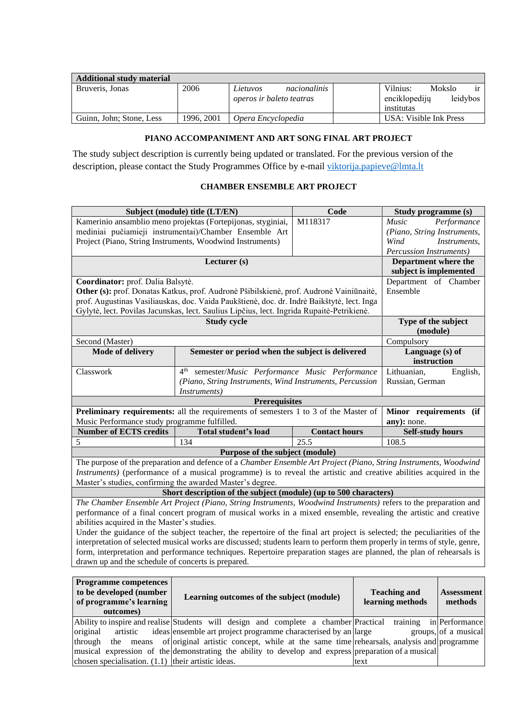| <b>Additional study material</b> |            |                                                      |                                         |        |          |
|----------------------------------|------------|------------------------------------------------------|-----------------------------------------|--------|----------|
| Bruveris, Jonas                  | 2006       | nacionalinis<br>Lietuvos<br>operos ir baleto teatras | Vilnius:<br>enciklopediju<br>institutas | Mokslo | leidybos |
| Guinn, John; Stone, Less         | 1996. 2001 | Opera Encyclopedia                                   | USA: Visible Ink Press                  |        |          |

# **PIANO ACCOMPANIMENT AND ART SONG FINAL ART PROJECT**

<span id="page-30-0"></span>The study subject description is currently being updated or translated. For the previous version of the description, please contact the Study Programmes Office by e-mail [viktorija.papieve@lmta.lt](mailto:viktorija.papieve@lmta.lt)

# **CHAMBER ENSEMBLE ART PROJECT**

<span id="page-30-1"></span>

|                                                    | Subject (module) title (LT/EN)                                                                                             | Code                 | Study programme (s)             |  |  |  |
|----------------------------------------------------|----------------------------------------------------------------------------------------------------------------------------|----------------------|---------------------------------|--|--|--|
|                                                    | Kamerinio ansamblio meno projektas (Fortepijonas, styginiai,                                                               | M118317              | <i>Music</i><br>Performance     |  |  |  |
|                                                    | mediniai pučiamieji instrumentai)/Chamber Ensemble Art                                                                     |                      | (Piano, String Instruments,     |  |  |  |
|                                                    | Project (Piano, String Instruments, Woodwind Instruments)                                                                  |                      |                                 |  |  |  |
|                                                    |                                                                                                                            |                      | <i>Percussion Instruments</i> ) |  |  |  |
|                                                    | Lecturer (s)                                                                                                               |                      | Department where the            |  |  |  |
|                                                    |                                                                                                                            |                      | subject is implemented          |  |  |  |
| Coordinator: prof. Dalia Balsytė.                  |                                                                                                                            |                      | Department of Chamber           |  |  |  |
|                                                    | Other (s): prof. Donatas Katkus, prof. Audronė Pšibilskienė, prof. Audronė Vainiūnaitė,                                    |                      | Ensemble                        |  |  |  |
|                                                    | prof. Augustinas Vasiliauskas, doc. Vaida Paukštienė, doc. dr. Indrė Baikštytė, lect. Inga                                 |                      |                                 |  |  |  |
|                                                    | Gylytė, lect. Povilas Jacunskas, lect. Saulius Lipčius, lect. Ingrida Rupaitė-Petrikienė.                                  |                      |                                 |  |  |  |
|                                                    | <b>Study cycle</b>                                                                                                         |                      | Type of the subject             |  |  |  |
|                                                    |                                                                                                                            |                      | (module)                        |  |  |  |
| Second (Master)                                    |                                                                                                                            |                      | Compulsory                      |  |  |  |
| Mode of delivery                                   | Semester or period when the subject is delivered                                                                           |                      | Language (s) of                 |  |  |  |
|                                                    |                                                                                                                            |                      | instruction                     |  |  |  |
| Classwork                                          | semester/Music Performance Music Performance<br>4 <sup>th</sup>                                                            |                      | Lithuanian,<br>English,         |  |  |  |
|                                                    | (Piano, String Instruments, Wind Instruments, Percussion                                                                   |                      | Russian, German                 |  |  |  |
|                                                    | <i>Instruments</i> )                                                                                                       |                      |                                 |  |  |  |
|                                                    | <b>Prerequisites</b>                                                                                                       |                      |                                 |  |  |  |
|                                                    | Preliminary requirements: all the requirements of semesters 1 to 3 of the Master of                                        |                      | Minor requirements (if          |  |  |  |
| Music Performance study programme fulfilled.       |                                                                                                                            |                      | any): none.                     |  |  |  |
| <b>Number of ECTS credits</b>                      | Total student's load                                                                                                       | <b>Contact hours</b> | <b>Self-study hours</b>         |  |  |  |
| 5                                                  | 134                                                                                                                        | 25.5                 | 108.5                           |  |  |  |
|                                                    | Purpose of the subject (module)                                                                                            |                      |                                 |  |  |  |
|                                                    | The purpose of the preparation and defence of a Chamber Ensemble Art Project (Piano, String Instruments, Woodwind          |                      |                                 |  |  |  |
|                                                    | <i>Instruments</i> ) (performance of a musical programme) is to reveal the artistic and creative abilities acquired in the |                      |                                 |  |  |  |
|                                                    | Master's studies, confirming the awarded Master's degree.                                                                  |                      |                                 |  |  |  |
|                                                    | Short description of the subject (module) (up to 500 characters)                                                           |                      |                                 |  |  |  |
|                                                    | The Chamber Ensemble Art Project (Piano, String Instruments, Woodwind Instruments) refers to the preparation and           |                      |                                 |  |  |  |
|                                                    | performance of a final concert program of musical works in a mixed ensemble, revealing the artistic and creative           |                      |                                 |  |  |  |
| abilities acquired in the Master's studies.        |                                                                                                                            |                      |                                 |  |  |  |
|                                                    | Under the guidance of the subject teacher, the repertoire of the final art project is selected; the peculiarities of the   |                      |                                 |  |  |  |
|                                                    | interpretation of selected musical works are discussed; students learn to perform them properly in terms of style, genre,  |                      |                                 |  |  |  |
|                                                    | form, interpretation and performance techniques. Repertoire preparation stages are planned, the plan of rehearsals is      |                      |                                 |  |  |  |
| drawn up and the schedule of concerts is prepared. |                                                                                                                            |                      |                                 |  |  |  |

| <b>Programme competences</b><br>to be developed (number<br>of programme's learning<br>outcomes) | Learning outcomes of the subject (module)                                                                 | <b>Teaching and</b><br>learning methods | <b>Assessment</b><br>methods |
|-------------------------------------------------------------------------------------------------|-----------------------------------------------------------------------------------------------------------|-----------------------------------------|------------------------------|
|                                                                                                 | Ability to inspire and realise Students will design and complete a chamber Practical                      |                                         | training in Performance      |
| original<br>artistic                                                                            | ideas ensemble art project programme characterised by an large                                            |                                         | groups, of a musical         |
|                                                                                                 | through the means of original artistic concept, while at the same time rehearsals, analysis and programme |                                         |                              |
|                                                                                                 | musical expression of the demonstrating the ability to develop and express preparation of a musical       |                                         |                              |
| chosen specialisation. $(1.1)$ their artistic ideas.                                            |                                                                                                           | text                                    |                              |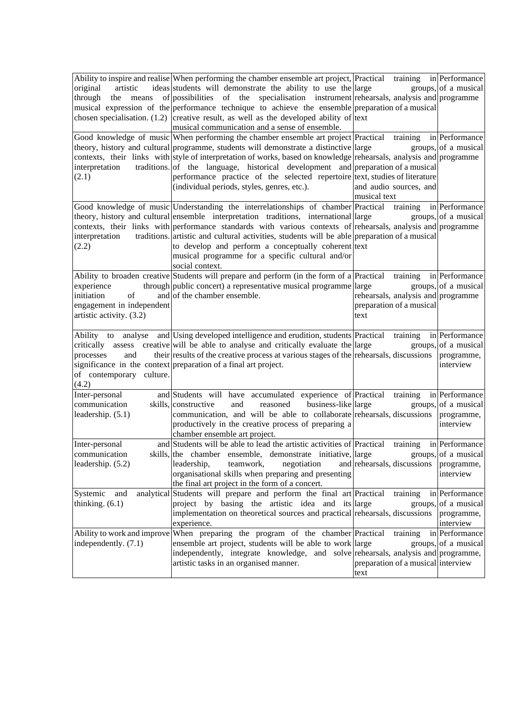|                                 | Ability to inspire and realise When performing the chamber ensemble art project, Practical training in Performance          |                                    |                         |
|---------------------------------|-----------------------------------------------------------------------------------------------------------------------------|------------------------------------|-------------------------|
| original<br>artistic            | ideas students will demonstrate the ability to use the large                                                                |                                    | groups, of a musical    |
| through the means               | of possibilities of the specialisation instrument rehearsals, analysis and programme                                        |                                    |                         |
|                                 | musical expression of the performance technique to achieve the ensemble preparation of a musical                            |                                    |                         |
|                                 | chosen specialisation. $(1.2)$ creative result, as well as the developed ability of text                                    |                                    |                         |
|                                 | musical communication and a sense of ensemble.                                                                              |                                    |                         |
|                                 | Good knowledge of music When performing the chamber ensemble art project Practical training                                 |                                    | in Performance          |
|                                 | theory, history and cultural programme, students will demonstrate a distinctive large                                       |                                    | groups, of a musical    |
|                                 | contexts, their links with style of interpretation of works, based on knowledge rehearsals, analysis and programme          |                                    |                         |
| interpretation                  | traditions. of the language, historical development and preparation of a musical                                            |                                    |                         |
| (2.1)                           | performance practice of the selected repertoire text, studies of literature                                                 |                                    |                         |
|                                 | (individual periods, styles, genres, etc.).                                                                                 | and audio sources, and             |                         |
|                                 |                                                                                                                             | musical text                       |                         |
|                                 | Good knowledge of music Understanding the interrelationships of chamber Practical                                           | training                           | in Performance          |
|                                 | theory, history and cultural ensemble interpretation traditions, international large                                        |                                    | groups, of a musical    |
|                                 | contexts, their links with performance standards with various contexts of rehearsals, analysis and programme                |                                    |                         |
| interpretation                  | traditions. artistic and cultural activities, students will be able preparation of a musical                                |                                    |                         |
| (2.2)                           | to develop and perform a conceptually coherent text                                                                         |                                    |                         |
|                                 | musical programme for a specific cultural and/or                                                                            |                                    |                         |
|                                 | social context.                                                                                                             |                                    |                         |
|                                 | Ability to broaden creative Students will prepare and perform (in the form of a Practical                                   | training                           | in Performance          |
| experience                      | through public concert) a representative musical programme large                                                            |                                    | groups, of a musical    |
| of<br>initiation                | and of the chamber ensemble.                                                                                                | rehearsals, analysis and programme |                         |
| engagement in independent       |                                                                                                                             | preparation of a musical           |                         |
| artistic activity. (3.2)        |                                                                                                                             | text                               |                         |
|                                 |                                                                                                                             |                                    |                         |
|                                 | Ability to analyse and Using developed intelligence and erudition, students Practical training                              |                                    | in Performance          |
|                                 | critically assess creative will be able to analyse and critically evaluate the large                                        |                                    | groups, of a musical    |
| processes<br>and                | their results of the creative process at various stages of the rehearsals, discussions                                      |                                    | programme,              |
|                                 | significance in the context preparation of a final art project.                                                             |                                    | interview               |
| of contemporary culture.        |                                                                                                                             |                                    |                         |
| (4.2)                           |                                                                                                                             |                                    |                         |
| Inter-personal                  | and Students will have accumulated experience of Practical training<br>skills, constructive                                 |                                    | in Performance          |
| communication                   | reasoned<br>business-like large<br>and                                                                                      |                                    | groups, of a musical    |
| leadership. (5.1)               | communication, and will be able to collaborate rehearsals, discussions                                                      |                                    | programme,              |
|                                 | productively in the creative process of preparing a<br>chamber ensemble art project.                                        |                                    | interview               |
|                                 | and Students will be able to lead the artistic activities of Practical training in Performance                              |                                    |                         |
| Inter-personal<br>communication | skills, the chamber ensemble, demonstrate initiative, large groups, of a musical                                            |                                    |                         |
| leadership. (5.2)               | leadership,<br>teamwork,<br>negotiation                                                                                     | and rehearsals, discussions        | programme,              |
|                                 | organisational skills when preparing and presenting                                                                         |                                    | interview               |
|                                 | the final art project in the form of a concert.                                                                             |                                    |                         |
| Systemic<br>and                 | analytical Students will prepare and perform the final art Practical                                                        | training                           | in Performance          |
| thinking. $(6.1)$               | project by basing the artistic idea and its large                                                                           |                                    | groups, of a musical    |
|                                 | implementation on theoretical sources and practical rehearsals, discussions                                                 |                                    | programme,              |
|                                 | experience.                                                                                                                 |                                    | interview               |
|                                 | Ability to work and improve When preparing the program of the chamber Practical                                             |                                    | training in Performance |
| independently. (7.1)            |                                                                                                                             |                                    |                         |
|                                 |                                                                                                                             |                                    |                         |
|                                 | ensemble art project, students will be able to work large                                                                   |                                    | groups, of a musical    |
|                                 | independently, integrate knowledge, and solve rehearsals, analysis and programme,<br>artistic tasks in an organised manner. | preparation of a musical interview |                         |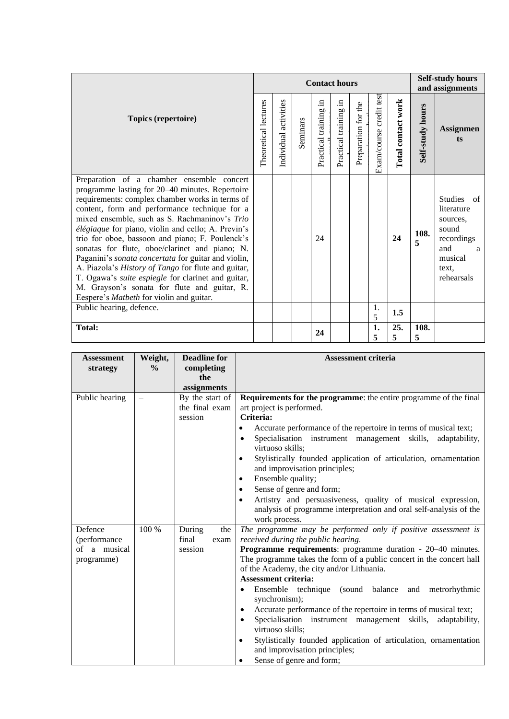|                                                                                                                                                                                                                                                                                                                                                                                                                                                                                                                                                                                                                                                                                     |                      |                       |          | <b>Contact hours</b>                 |                          |                     |                         |                    |                  | <b>Self-study hours</b><br>and assignments                                                                |
|-------------------------------------------------------------------------------------------------------------------------------------------------------------------------------------------------------------------------------------------------------------------------------------------------------------------------------------------------------------------------------------------------------------------------------------------------------------------------------------------------------------------------------------------------------------------------------------------------------------------------------------------------------------------------------------|----------------------|-----------------------|----------|--------------------------------------|--------------------------|---------------------|-------------------------|--------------------|------------------|-----------------------------------------------------------------------------------------------------------|
| Topics (repertoire)                                                                                                                                                                                                                                                                                                                                                                                                                                                                                                                                                                                                                                                                 | Theoretical lectures | Individual activities | Seminars | - 드<br><b>b</b><br>Practical trainin | 크.<br>Practical training | Preparation for the | Exam/course credit test | Total contact work | Self-study hours | <b>Assignmen</b><br>ts                                                                                    |
| Preparation of a chamber ensemble concert<br>programme lasting for 20–40 minutes. Repertoire<br>requirements: complex chamber works in terms of<br>content, form and performance technique for a<br>mixed ensemble, such as S. Rachmaninov's Trio<br>élégiaque for piano, violin and cello; A. Previn's<br>trio for oboe, bassoon and piano; F. Poulenck's<br>sonatas for flute, oboe/clarinet and piano; N.<br>Paganini's sonata concertata for guitar and violin,<br>A. Piazola's History of Tango for flute and guitar,<br>T. Ogawa's suite espiegle for clarinet and guitar,<br>M. Grayson's sonata for flute and guitar, R.<br>Eespere's <i>Matbeth</i> for violin and guitar. |                      |                       |          | 24                                   |                          |                     |                         | 24                 | 108.<br>5        | Studies of<br>literature<br>sources.<br>sound<br>recordings<br>and<br>a<br>musical<br>text.<br>rehearsals |
| Public hearing, defence.                                                                                                                                                                                                                                                                                                                                                                                                                                                                                                                                                                                                                                                            |                      |                       |          |                                      |                          |                     | 1.<br>5                 | 1.5                |                  |                                                                                                           |
| <b>Total:</b>                                                                                                                                                                                                                                                                                                                                                                                                                                                                                                                                                                                                                                                                       |                      |                       |          | 24                                   |                          |                     | 1.<br>5                 | 25.<br>5           | 108.<br>5        |                                                                                                           |

| <b>Assessment</b><br>strategy                         | Weight,<br>$\frac{0}{0}$ | <b>Deadline for</b><br>completing<br>the     | <b>Assessment criteria</b>                                                                                                                                                                                                                                                                                                                                                                                                                                                                                                                                                                                                                                                                                   |
|-------------------------------------------------------|--------------------------|----------------------------------------------|--------------------------------------------------------------------------------------------------------------------------------------------------------------------------------------------------------------------------------------------------------------------------------------------------------------------------------------------------------------------------------------------------------------------------------------------------------------------------------------------------------------------------------------------------------------------------------------------------------------------------------------------------------------------------------------------------------------|
|                                                       |                          | assignments                                  |                                                                                                                                                                                                                                                                                                                                                                                                                                                                                                                                                                                                                                                                                                              |
| Public hearing                                        |                          | By the start of<br>the final exam<br>session | <b>Requirements for the programme:</b> the entire programme of the final<br>art project is performed.<br>Criteria:<br>Accurate performance of the repertoire in terms of musical text;<br>٠<br>Specialisation instrument management skills, adaptability,<br>virtuoso skills;<br>Stylistically founded application of articulation, ornamentation<br>$\bullet$<br>and improvisation principles;<br>Ensemble quality;<br>٠<br>Sense of genre and form;<br>٠<br>Artistry and persuasiveness, quality of musical expression,<br>$\bullet$<br>analysis of programme interpretation and oral self-analysis of the<br>work process.                                                                                |
| Defence<br>(performance<br>of a musical<br>programme) | 100 %                    | During<br>the<br>final<br>exam<br>session    | The programme may be performed only if positive assessment is<br>received during the public hearing.<br>Programme requirements: programme duration - 20–40 minutes.<br>The programme takes the form of a public concert in the concert hall<br>of the Academy, the city and/or Lithuania.<br><b>Assessment criteria:</b><br>Ensemble technique (sound balance and metrorhythmic<br>synchronism);<br>Accurate performance of the repertoire in terms of musical text;<br>٠<br>Specialisation instrument management skills,<br>adaptability,<br>virtuoso skills;<br>Stylistically founded application of articulation, ornamentation<br>$\bullet$<br>and improvisation principles;<br>Sense of genre and form; |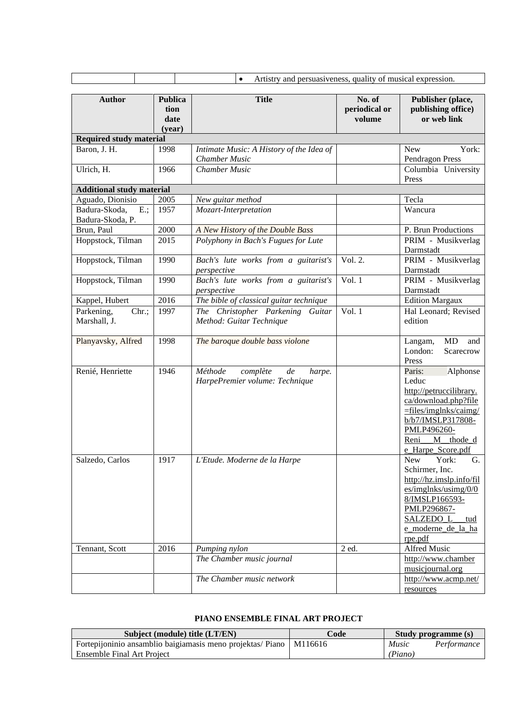|                                             |                                          | Artistry and persuasiveness, quality of musical expression.<br>$\bullet$ |                                   |                                                                                                                                                                                          |
|---------------------------------------------|------------------------------------------|--------------------------------------------------------------------------|-----------------------------------|------------------------------------------------------------------------------------------------------------------------------------------------------------------------------------------|
|                                             |                                          |                                                                          |                                   |                                                                                                                                                                                          |
| <b>Author</b>                               | <b>Publica</b><br>tion<br>date<br>(year) | <b>Title</b>                                                             | No. of<br>periodical or<br>volume | Publisher (place,<br>publishing office)<br>or web link                                                                                                                                   |
| <b>Required study material</b>              |                                          |                                                                          |                                   |                                                                                                                                                                                          |
| Baron, J. H.                                | 1998                                     | Intimate Music: A History of the Idea of<br><b>Chamber Music</b>         |                                   | <b>New</b><br>York:<br>Pendragon Press                                                                                                                                                   |
| Ulrich, H.                                  | 1966                                     | <b>Chamber Music</b>                                                     |                                   | Columbia University<br>Press                                                                                                                                                             |
| <b>Additional study material</b>            |                                          |                                                                          |                                   |                                                                                                                                                                                          |
| Aguado, Dionisio                            | 2005                                     | New guitar method                                                        |                                   | Tecla                                                                                                                                                                                    |
| $E$ .;<br>Badura-Skoda,<br>Badura-Skoda, P. | 1957                                     | Mozart-Interpretation                                                    |                                   | Wancura                                                                                                                                                                                  |
| Brun, Paul                                  | 2000                                     | A New History of the Double Bass                                         |                                   | P. Brun Productions                                                                                                                                                                      |
| Hoppstock, Tilman                           | 2015                                     | Polyphony in Bach's Fugues for Lute                                      |                                   | PRIM - Musikverlag<br>Darmstadt                                                                                                                                                          |
| Hoppstock, Tilman                           | 1990                                     | Bach's lute works from a guitarist's<br>perspective                      | Vol. 2.                           | PRIM - Musikverlag<br>Darmstadt                                                                                                                                                          |
| Hoppstock, Tilman                           | 1990                                     | Bach's lute works from a guitarist's<br>perspective                      | Vol. $1$                          | PRIM - Musikverlag<br>Darmstadt                                                                                                                                                          |
| Kappel, Hubert                              | 2016                                     | The bible of classical guitar technique                                  |                                   | <b>Edition Margaux</b>                                                                                                                                                                   |
| Parkening,<br>Chr.;<br>Marshall, J.         | 1997                                     | The Christopher Parkening Guitar<br>Method: Guitar Technique             | Vol. $1$                          | Hal Leonard; Revised<br>edition                                                                                                                                                          |
| Planyavsky, Alfred                          | 1998                                     | The baroque double bass violone                                          |                                   | MD<br>and<br>Langam,<br>London:<br>Scarecrow<br>Press                                                                                                                                    |
| Renié, Henriette                            | 1946                                     | Méthode<br>complète<br>de<br>harpe.<br>HarpePremier volume: Technique    |                                   | Paris:<br>Alphonse<br>Leduc<br>http://petruccilibrary.<br>ca/download.php?file<br>$=$ files/imglnks/caimg/<br>b/b7/IMSLP317808-<br>PMLP496260-<br>Reni<br>M thode d<br>e Harpe Score.pdf |
| Salzedo, Carlos                             | 1917                                     | L'Etude. Moderne de la Harpe                                             |                                   | New<br>York:<br>G.<br>Schirmer, Inc.<br>http://hz.imslp.info/fil<br>es/imglnks/using/0/0<br>8/IMSLP166593-<br>PMLP296867-<br><b>SALZEDO L</b><br>tud<br>e_moderne_de_la_ha<br>rpe.pdf    |
| Tennant, Scott                              | 2016                                     | Pumping nylon                                                            | 2 ed.                             | Alfred Music                                                                                                                                                                             |
|                                             |                                          | The Chamber music journal                                                |                                   | http://www.chamber<br>musicjournal.org                                                                                                                                                   |
|                                             |                                          | The Chamber music network                                                |                                   | http://www.acmp.net/<br>resources                                                                                                                                                        |

## **PIANO ENSEMBLE FINAL ART PROJECT**

<span id="page-33-0"></span>

| Subject (module) title (LT/EN)                                       | Code |         | Study programme (s) |
|----------------------------------------------------------------------|------|---------|---------------------|
| Fortepijoninio ansamblio baigiamasis meno projektas/ Piano   M116616 |      | Music   | Performance         |
| Ensemble Final Art Project                                           |      | (Piano) |                     |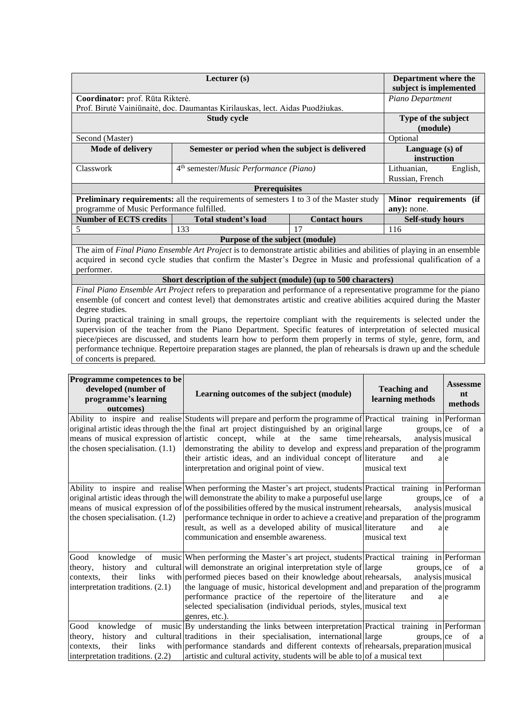|                                           | Department where the<br>subject is implemented                                                                           |                      |                         |  |
|-------------------------------------------|--------------------------------------------------------------------------------------------------------------------------|----------------------|-------------------------|--|
| Coordinator: prof. Rūta Rikterė.          |                                                                                                                          |                      | Piano Department        |  |
|                                           | Prof. Birutė Vainiūnaitė, doc. Daumantas Kirilauskas, lect. Aidas Puodžiukas.                                            |                      |                         |  |
|                                           | <b>Study cycle</b>                                                                                                       |                      | Type of the subject     |  |
|                                           |                                                                                                                          |                      | (module)                |  |
| Second (Master)                           |                                                                                                                          |                      | Optional                |  |
| <b>Mode of delivery</b>                   | Semester or period when the subject is delivered                                                                         |                      | Language (s) of         |  |
|                                           |                                                                                                                          |                      | instruction             |  |
| Classwork                                 | 4 <sup>th</sup> semester/ <i>Music Performance</i> (Piano)                                                               |                      | English,<br>Lithuanian, |  |
|                                           |                                                                                                                          |                      | Russian, French         |  |
|                                           | <b>Prerequisites</b>                                                                                                     |                      |                         |  |
|                                           | <b>Preliminary requirements:</b> all the requirements of semesters 1 to 3 of the Master study                            |                      | Minor requirements (if  |  |
| programme of Music Performance fulfilled. |                                                                                                                          |                      | any): none.             |  |
| <b>Number of ECTS credits</b>             | Total student's load                                                                                                     | <b>Contact hours</b> | <b>Self-study hours</b> |  |
| 5                                         | 133                                                                                                                      | 17                   | 116                     |  |
|                                           | Purpose of the subject (module)                                                                                          |                      |                         |  |
|                                           | The aim of Final Piano Ensemble Art Project is to demonstrate artistic abilities and abilities of playing in an ensemble |                      |                         |  |
|                                           | acquired in second cycle studies that confirm the Master's Degree in Music and professional qualification of a           |                      |                         |  |
| performer.                                |                                                                                                                          |                      |                         |  |
|                                           | Short description of the subject (module) (up to 500 characters)                                                         |                      |                         |  |

**Short description of the subject (module) (up to 500 characters)** *Final Piano Ensemble Art Project* refers to preparation and performance of a representative programme for the piano ensemble (of concert and contest level) that demonstrates artistic and creative abilities acquired during the Master degree studies.

During practical training in small groups, the repertoire compliant with the requirements is selected under the supervision of the teacher from the Piano Department. Specific features of interpretation of selected musical piece/pieces are discussed, and students learn how to perform them properly in terms of style, genre, form, and performance technique. Repertoire preparation stages are planned, the plan of rehearsals is drawn up and the schedule of concerts is prepared.

| Programme competences to be<br>developed (number of<br>programme's learning<br>outcomes) | Learning outcomes of the subject (module)                                                                                                                                                                                                                                                                                                                                                                                                                                                                                  | <b>Teaching and</b><br>learning methods                 | <b>Assessme</b><br>nt<br>methods              |
|------------------------------------------------------------------------------------------|----------------------------------------------------------------------------------------------------------------------------------------------------------------------------------------------------------------------------------------------------------------------------------------------------------------------------------------------------------------------------------------------------------------------------------------------------------------------------------------------------------------------------|---------------------------------------------------------|-----------------------------------------------|
| the chosen specialisation. $(1.1)$                                                       | Ability to inspire and realise Students will prepare and perform the programme of Practical training in Performan<br>original artistic ideas through the the final art project distinguished by an original large<br>means of musical expression of artistic concept, while at the same time rehearsals,<br>demonstrating the ability to develop and express and preparation of the programm<br>their artistic ideas, and an individual concept of literature<br>interpretation and original point of view.                | analysis musical<br>and<br>musical text                 | $groups,  ce \ of$<br><sub>a</sub><br>a e     |
| the chosen specialisation. $(1.2)$                                                       | Ability to inspire and realise When performing the Master's art project, students Practical training in Performan<br>original artistic ideas through the will demonstrate the ability to make a purposeful use large<br>means of musical expression of of the possibilities offered by the musical instrument rehearsals,<br>performance technique in order to achieve a creative and preparation of the programm<br>result, as well as a developed ability of musical literature<br>communication and ensemble awareness. | $groups,$ ce<br>analysis musical<br>and<br>musical text | of a<br>a e                                   |
| Good<br>theory,<br>their<br>contexts,<br>interpretation traditions. (2.1)                | knowledge of music When performing the Master's art project, students Practical training in Performan<br>history and cultural will demonstrate an original interpretation style of large<br>links with performed pieces based on their knowledge about rehearsals,<br>the language of music, historical development and and preparation of the programm<br>performance practice of the repertoire of the literature<br>selected specialisation (individual periods, styles, musical text<br>genres, etc.).                 | groups, ce<br>and                                       | of<br><sub>a</sub><br>analysis musical<br>a e |
| Good<br>theory,<br>their<br>links<br>contexts.<br>interpretation traditions. (2.2)       | knowledge of music By understanding the links between interpretation Practical training in Performan<br>history and cultural traditions in their specialisation, international large<br>with performance standards and different contexts of rehearsals, preparation musical<br>artistic and cultural activity, students will be able to of a musical text                                                                                                                                                                 | groups,  ce                                             | of<br>a                                       |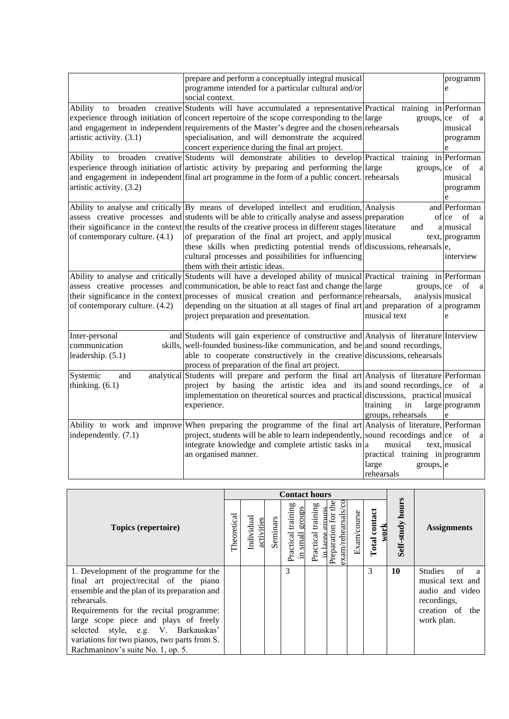|                                | prepare and perform a conceptually integral musical                                                                 |                                | programm                 |
|--------------------------------|---------------------------------------------------------------------------------------------------------------------|--------------------------------|--------------------------|
|                                | programme intended for a particular cultural and/or                                                                 |                                | e                        |
|                                | social context.                                                                                                     |                                |                          |
| broaden<br>Ability<br>to       | creative Students will have accumulated a representative Practical training in Performan                            |                                |                          |
|                                | experience through initiation of concert repertoire of the scope corresponding to the large                         | groups, ce                     | of<br>a a                |
|                                | and engagement in independent requirements of the Master's degree and the chosen rehearsals                         |                                | musical                  |
| artistic activity. (3.1)       | specialisation, and will demonstrate the acquired                                                                   |                                | programm                 |
|                                | concert experience during the final art project.                                                                    |                                | e                        |
| Ability                        | to broaden creative Students will demonstrate abilities to develop Practical training in Performan                  |                                |                          |
|                                | experience through initiation of artistic activity by preparing and performing the large                            | groups, ce                     | of<br>a                  |
|                                | and engagement in independent final art programme in the form of a public concert. rehearsals                       |                                | musical                  |
| artistic activity. (3.2)       |                                                                                                                     |                                | programm                 |
|                                |                                                                                                                     |                                | e                        |
|                                | Ability to analyse and critically By means of developed intellect and erudition, Analysis                           |                                | and Performan            |
|                                | assess creative processes and students will be able to critically analyse and assess preparation                    |                                | of ce of<br><sub>a</sub> |
|                                | their significance in the context the results of the creative process in different stages literature                | and                            | a musical                |
| of contemporary culture. (4.1) | of preparation of the final art project, and apply musical                                                          |                                | text, programm           |
|                                | these skills when predicting potential trends of discussions, rehearsals e,                                         |                                |                          |
|                                | cultural processes and possibilities for influencing                                                                |                                | interview                |
|                                | them with their artistic ideas.                                                                                     |                                |                          |
|                                | Ability to analyse and critically Students will have a developed ability of musical Practical training in Performan |                                |                          |
|                                | assess creative processes and communication, be able to react fast and change the large                             | groups,  ce                    | of<br>a                  |
|                                | their significance in the context processes of musical creation and performance rehearsals,                         | analysis musical               |                          |
| of contemporary culture. (4.2) | depending on the situation at all stages of final art and preparation of a programm                                 |                                |                          |
|                                | project preparation and presentation.                                                                               | musical text                   | e                        |
| Inter-personal                 | and Students will gain experience of constructive and Analysis of literature Interview                              |                                |                          |
| communication                  | skills, well-founded business-like communication, and be and sound recordings,                                      |                                |                          |
| leadership. (5.1)              | able to cooperate constructively in the creative discussions, rehearsals                                            |                                |                          |
|                                | process of preparation of the final art project.                                                                    |                                |                          |
| Systemic<br>and                | analytical Students will prepare and perform the final art Analysis of literature Performan                         |                                |                          |
| thinking. $(6.1)$              | project by basing the artistic idea and its and sound recordings, ce                                                |                                | of<br><sub>a</sub>       |
|                                | implementation on theoretical sources and practical discussions, practical musical                                  |                                |                          |
|                                | experience.                                                                                                         | training<br>in                 | large programm           |
|                                |                                                                                                                     | groups, rehearsals             |                          |
|                                | Ability to work and improve When preparing the programme of the final art Analysis of literature, Performan         |                                |                          |
| independently. (7.1)           | project, students will be able to learn independently, sound recordings and $ ce$ of                                |                                | <sub>a</sub>             |
|                                | integrate knowledge and complete artistic tasks in a                                                                | musical                        | text, musical            |
|                                | an organised manner.                                                                                                | practical training in programm |                          |
|                                |                                                                                                                     | large<br>groups,  e            |                          |
|                                |                                                                                                                     | rehearsals                     |                          |

|                                                                                                                                                                                                                                                                                                                                                                  |             |                         |          | <b>Contact hours</b>                               |                                          |                                                        |             |                          |                         |                                                                                                                     |
|------------------------------------------------------------------------------------------------------------------------------------------------------------------------------------------------------------------------------------------------------------------------------------------------------------------------------------------------------------------|-------------|-------------------------|----------|----------------------------------------------------|------------------------------------------|--------------------------------------------------------|-------------|--------------------------|-------------------------|---------------------------------------------------------------------------------------------------------------------|
| Topics (repertoire)                                                                                                                                                                                                                                                                                                                                              | Theoretical | Individua<br>activities | Seminars | training<br>groups<br>Practical<br><u>in small</u> | Practical training<br>prouns<br>in large | exam/rehearsals/cc<br>$\frac{1}{2}$<br>Preparation for | Exam/course | contact<br>work<br>Total | <b>Self-study hours</b> | <b>Assignments</b>                                                                                                  |
| 1. Development of the programme for the<br>final art project/recital of the piano<br>ensemble and the plan of its preparation and<br>rehearsals.<br>Requirements for the recital programme:<br>large scope piece and plays of freely<br>selected style, e.g. V. Barkauskas'<br>variations for two pianos, two parts from S.<br>Rachmaninov's suite No. 1, op. 5. |             |                         |          | 3                                                  |                                          |                                                        |             | 3                        | 10                      | <b>Studies</b><br>of<br>a<br>musical text and<br>audio and video<br>recordings,<br>creation of<br>the<br>work plan. |